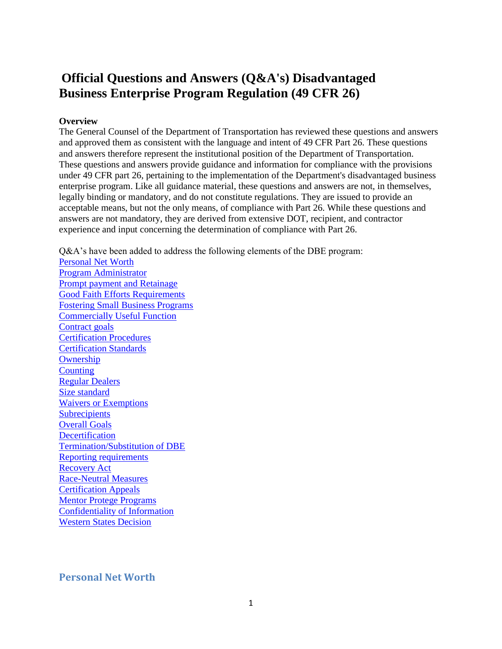# <span id="page-0-1"></span>**Official Questions and Answers (Q&A's) Disadvantaged Business Enterprise Program Regulation (49 CFR 26)**

#### **Overview**

The General Counsel of the Department of Transportation has reviewed these questions and answers and approved them as consistent with the language and intent of 49 CFR Part 26. These questions and answers therefore represent the institutional position of the Department of Transportation. These questions and answers provide guidance and information for compliance with the provisions under 49 CFR part 26, pertaining to the implementation of the Department's disadvantaged business enterprise program. Like all guidance material, these questions and answers are not, in themselves, legally binding or mandatory, and do not constitute regulations. They are issued to provide an acceptable means, but not the only means, of compliance with Part 26. While these questions and answers are not mandatory, they are derived from extensive DOT, recipient, and contractor experience and input concerning the determination of compliance with Part 26.

Q&A's have been added to address the following elements of the DBE program:

[Personal Net Worth](#page-0-0) [Program Administrator](#page-2-0) [Prompt payment and Retainage](#page-5-0) [Good Faith Efforts Requirements](#page-5-0) [Fostering Small Business Programs](#page-26-0) [Commercially Useful Function](#page-34-0) [Contract goals](#page-54-0) **[Certification Procedures](#page-9-0)** [Certification Standards](#page-19-0) **[Ownership](#page-36-0) [Counting](#page-37-0)** [Regular Dealers](#page-44-0) [Size standard](#page-46-0) [Waivers or Exemptions](#page-48-0) **[Subrecipients](#page-49-0)** [Overall Goals](#page-50-0) **[Decertification](#page-58-0)** [Termination/Substitution of DBE](#page-60-0) [Reporting requirements](#page-60-1) [Recovery Act](#page-70-0) [Race-Neutral Measures](#page-72-0) [Certification Appeals](#page-62-0) [Mentor Protege Programs](#page-62-1) [Confidentiality of Information](#page-63-0) [Western States Decision](#page-64-0)

## <span id="page-0-0"></span>**Personal Net Worth**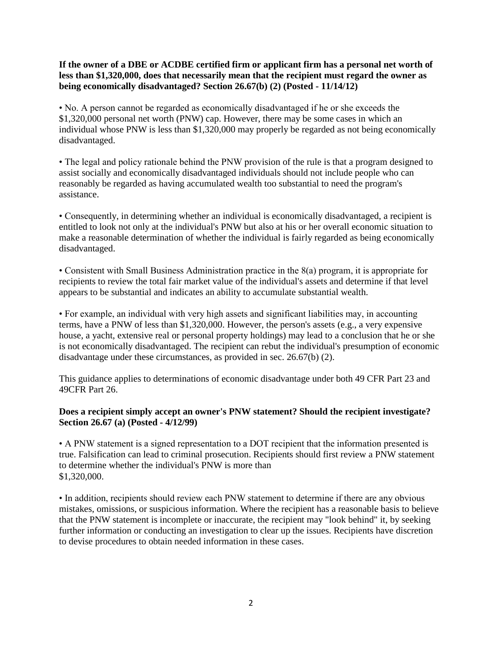**If the owner of a DBE or ACDBE certified firm or applicant firm has a personal net worth of less than \$1,320,000, does that necessarily mean that the recipient must regard the owner as being economically disadvantaged? Section 26.67(b) (2) (Posted - 11/14/12)**

• No. A person cannot be regarded as economically disadvantaged if he or she exceeds the \$1,320,000 personal net worth (PNW) cap. However, there may be some cases in which an individual whose PNW is less than \$1,320,000 may properly be regarded as not being economically disadvantaged.

• The legal and policy rationale behind the PNW provision of the rule is that a program designed to assist socially and economically disadvantaged individuals should not include people who can reasonably be regarded as having accumulated wealth too substantial to need the program's assistance.

• Consequently, in determining whether an individual is economically disadvantaged, a recipient is entitled to look not only at the individual's PNW but also at his or her overall economic situation to make a reasonable determination of whether the individual is fairly regarded as being economically disadvantaged.

• Consistent with Small Business Administration practice in the 8(a) program, it is appropriate for recipients to review the total fair market value of the individual's assets and determine if that level appears to be substantial and indicates an ability to accumulate substantial wealth.

• For example, an individual with very high assets and significant liabilities may, in accounting terms, have a PNW of less than \$1,320,000. However, the person's assets (e.g., a very expensive house, a yacht, extensive real or personal property holdings) may lead to a conclusion that he or she is not economically disadvantaged. The recipient can rebut the individual's presumption of economic disadvantage under these circumstances, as provided in sec. 26.67(b) (2).

This guidance applies to determinations of economic disadvantage under both 49 CFR Part 23 and 49CFR Part 26.

#### **Does a recipient simply accept an owner's PNW statement? Should the recipient investigate? Section 26.67 (a) (Posted - 4/12/99)**

• A PNW statement is a signed representation to a DOT recipient that the information presented is true. Falsification can lead to criminal prosecution. Recipients should first review a PNW statement to determine whether the individual's PNW is more than \$1,320,000.

• In addition, recipients should review each PNW statement to determine if there are any obvious mistakes, omissions, or suspicious information. Where the recipient has a reasonable basis to believe that the PNW statement is incomplete or inaccurate, the recipient may "look behind" it, by seeking further information or conducting an investigation to clear up the issues. Recipients have discretion to devise procedures to obtain needed information in these cases.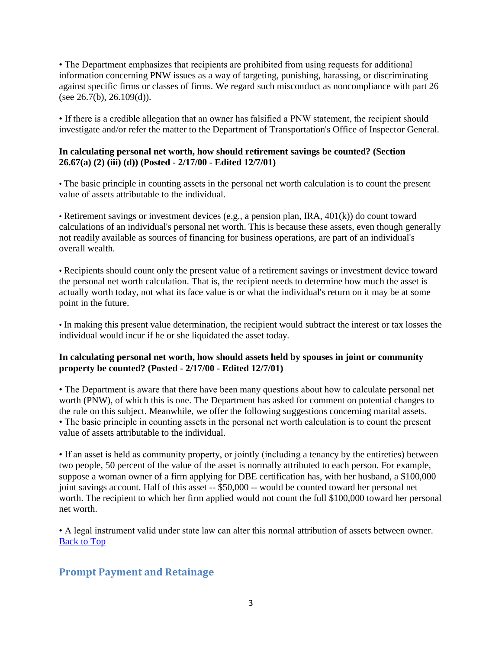• The Department emphasizes that recipients are prohibited from using requests for additional information concerning PNW issues as a way of targeting, punishing, harassing, or discriminating against specific firms or classes of firms. We regard such misconduct as noncompliance with part 26 (see  $26.7(b)$ ,  $26.109(d)$ ).

• If there is a credible allegation that an owner has falsified a PNW statement, the recipient should investigate and/or refer the matter to the Department of Transportation's Office of Inspector General.

# **In calculating personal net worth, how should retirement savings be counted? (Section 26.67(a) (2) (iii) (d)) (Posted - 2/17/00 - Edited 12/7/01)**

• The basic principle in counting assets in the personal net worth calculation is to count the present value of assets attributable to the individual.

• Retirement savings or investment devices (e.g., a pension plan, IRA, 401(k)) do count toward calculations of an individual's personal net worth. This is because these assets, even though generally not readily available as sources of financing for business operations, are part of an individual's overall wealth.

• Recipients should count only the present value of a retirement savings or investment device toward the personal net worth calculation. That is, the recipient needs to determine how much the asset is actually worth today, not what its face value is or what the individual's return on it may be at some point in the future.

• In making this present value determination, the recipient would subtract the interest or tax losses the individual would incur if he or she liquidated the asset today.

#### **In calculating personal net worth, how should assets held by spouses in joint or community property be counted? (Posted - 2/17/00 - Edited 12/7/01)**

• The Department is aware that there have been many questions about how to calculate personal net worth (PNW), of which this is one. The Department has asked for comment on potential changes to the rule on this subject. Meanwhile, we offer the following suggestions concerning marital assets. • The basic principle in counting assets in the personal net worth calculation is to count the present value of assets attributable to the individual.

• If an asset is held as community property, or jointly (including a tenancy by the entireties) between two people, 50 percent of the value of the asset is normally attributed to each person. For example, suppose a woman owner of a firm applying for DBE certification has, with her husband, a \$100,000 joint savings account. Half of this asset -- \$50,000 -- would be counted toward her personal net worth. The recipient to which her firm applied would not count the full \$100,000 toward her personal net worth.

• A legal instrument valid under state law can alter this normal attribution of assets between owner. [Back to Top](#page-0-1)

# <span id="page-2-0"></span>**Prompt Payment and Retainage**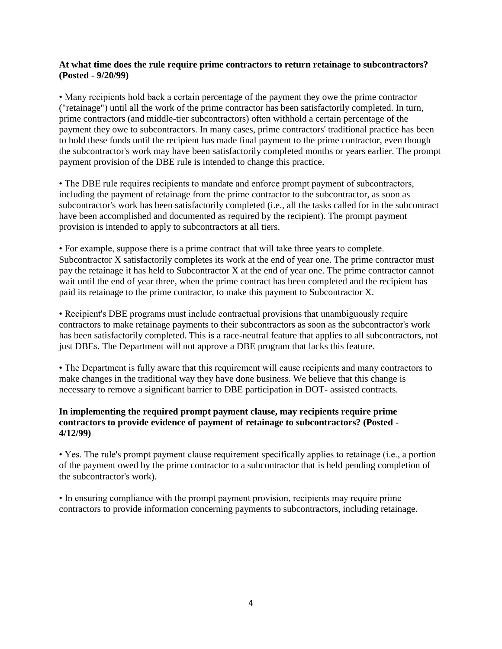#### **At what time does the rule require prime contractors to return retainage to subcontractors? (Posted - 9/20/99)**

• Many recipients hold back a certain percentage of the payment they owe the prime contractor ("retainage") until all the work of the prime contractor has been satisfactorily completed. In turn, prime contractors (and middle-tier subcontractors) often withhold a certain percentage of the payment they owe to subcontractors. In many cases, prime contractors' traditional practice has been to hold these funds until the recipient has made final payment to the prime contractor, even though the subcontractor's work may have been satisfactorily completed months or years earlier. The prompt payment provision of the DBE rule is intended to change this practice.

• The DBE rule requires recipients to mandate and enforce prompt payment of subcontractors, including the payment of retainage from the prime contractor to the subcontractor, as soon as subcontractor's work has been satisfactorily completed (i.e., all the tasks called for in the subcontract have been accomplished and documented as required by the recipient). The prompt payment provision is intended to apply to subcontractors at all tiers.

• For example, suppose there is a prime contract that will take three years to complete. Subcontractor X satisfactorily completes its work at the end of year one. The prime contractor must pay the retainage it has held to Subcontractor X at the end of year one. The prime contractor cannot wait until the end of year three, when the prime contract has been completed and the recipient has paid its retainage to the prime contractor, to make this payment to Subcontractor X.

• Recipient's DBE programs must include contractual provisions that unambiguously require contractors to make retainage payments to their subcontractors as soon as the subcontractor's work has been satisfactorily completed. This is a race-neutral feature that applies to all subcontractors, not just DBEs. The Department will not approve a DBE program that lacks this feature.

• The Department is fully aware that this requirement will cause recipients and many contractors to make changes in the traditional way they have done business. We believe that this change is necessary to remove a significant barrier to DBE participation in DOT- assisted contracts.

#### **In implementing the required prompt payment clause, may recipients require prime contractors to provide evidence of payment of retainage to subcontractors? (Posted - 4/12/99)**

• Yes. The rule's prompt payment clause requirement specifically applies to retainage (i.e., a portion of the payment owed by the prime contractor to a subcontractor that is held pending completion of the subcontractor's work).

• In ensuring compliance with the prompt payment provision, recipients may require prime contractors to provide information concerning payments to subcontractors, including retainage.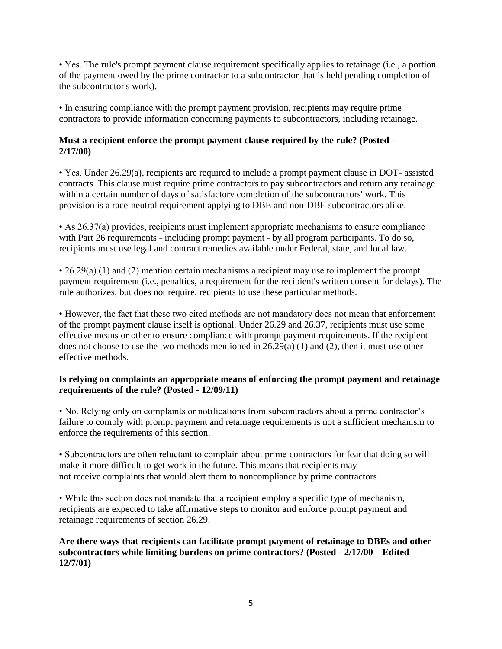• Yes. The rule's prompt payment clause requirement specifically applies to retainage (i.e., a portion of the payment owed by the prime contractor to a subcontractor that is held pending completion of the subcontractor's work).

• In ensuring compliance with the prompt payment provision, recipients may require prime contractors to provide information concerning payments to subcontractors, including retainage.

#### **Must a recipient enforce the prompt payment clause required by the rule? (Posted - 2/17/00)**

• Yes. Under 26.29(a), recipients are required to include a prompt payment clause in DOT- assisted contracts. This clause must require prime contractors to pay subcontractors and return any retainage within a certain number of days of satisfactory completion of the subcontractors' work. This provision is a race-neutral requirement applying to DBE and non-DBE subcontractors alike.

• As 26.37(a) provides, recipients must implement appropriate mechanisms to ensure compliance with Part 26 requirements - including prompt payment - by all program participants. To do so, recipients must use legal and contract remedies available under Federal, state, and local law.

• 26.29(a) (1) and (2) mention certain mechanisms a recipient may use to implement the prompt payment requirement (i.e., penalties, a requirement for the recipient's written consent for delays). The rule authorizes, but does not require, recipients to use these particular methods.

• However, the fact that these two cited methods are not mandatory does not mean that enforcement of the prompt payment clause itself is optional. Under 26.29 and 26.37, recipients must use some effective means or other to ensure compliance with prompt payment requirements. If the recipient does not choose to use the two methods mentioned in 26.29(a) (1) and (2), then it must use other effective methods.

#### **Is relying on complaints an appropriate means of enforcing the prompt payment and retainage requirements of the rule? (Posted - 12/09/11)**

• No. Relying only on complaints or notifications from subcontractors about a prime contractor's failure to comply with prompt payment and retainage requirements is not a sufficient mechanism to enforce the requirements of this section.

• Subcontractors are often reluctant to complain about prime contractors for fear that doing so will make it more difficult to get work in the future. This means that recipients may not receive complaints that would alert them to noncompliance by prime contractors.

• While this section does not mandate that a recipient employ a specific type of mechanism, recipients are expected to take affirmative steps to monitor and enforce prompt payment and retainage requirements of section 26.29.

**Are there ways that recipients can facilitate prompt payment of retainage to DBEs and other subcontractors while limiting burdens on prime contractors? (Posted - 2/17/00 – Edited 12/7/01)**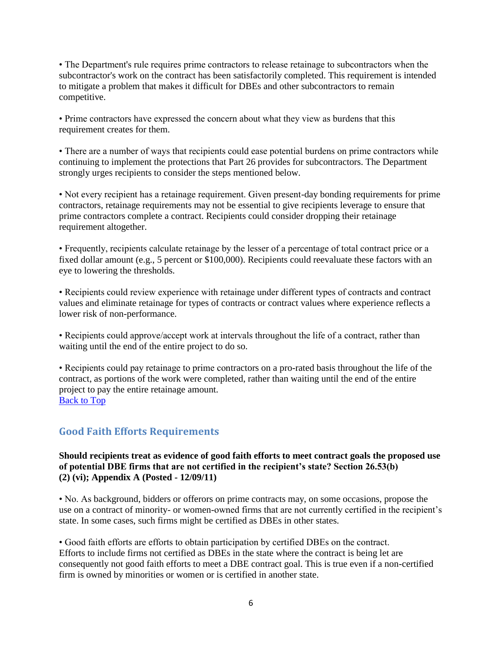• The Department's rule requires prime contractors to release retainage to subcontractors when the subcontractor's work on the contract has been satisfactorily completed. This requirement is intended to mitigate a problem that makes it difficult for DBEs and other subcontractors to remain competitive.

• Prime contractors have expressed the concern about what they view as burdens that this requirement creates for them.

• There are a number of ways that recipients could ease potential burdens on prime contractors while continuing to implement the protections that Part 26 provides for subcontractors. The Department strongly urges recipients to consider the steps mentioned below.

• Not every recipient has a retainage requirement. Given present-day bonding requirements for prime contractors, retainage requirements may not be essential to give recipients leverage to ensure that prime contractors complete a contract. Recipients could consider dropping their retainage requirement altogether.

• Frequently, recipients calculate retainage by the lesser of a percentage of total contract price or a fixed dollar amount (e.g., 5 percent or \$100,000). Recipients could reevaluate these factors with an eye to lowering the thresholds.

• Recipients could review experience with retainage under different types of contracts and contract values and eliminate retainage for types of contracts or contract values where experience reflects a lower risk of non-performance.

• Recipients could approve/accept work at intervals throughout the life of a contract, rather than waiting until the end of the entire project to do so.

• Recipients could pay retainage to prime contractors on a pro-rated basis throughout the life of the contract, as portions of the work were completed, rather than waiting until the end of the entire project to pay the entire retainage amount. [Back to Top](#page-0-1)

# <span id="page-5-0"></span>**Good Faith Efforts Requirements**

#### **Should recipients treat as evidence of good faith efforts to meet contract goals the proposed use of potential DBE firms that are not certified in the recipient's state? Section 26.53(b) (2) (vi); Appendix A (Posted - 12/09/11)**

• No. As background, bidders or offerors on prime contracts may, on some occasions, propose the use on a contract of minority- or women-owned firms that are not currently certified in the recipient's state. In some cases, such firms might be certified as DBEs in other states.

• Good faith efforts are efforts to obtain participation by certified DBEs on the contract. Efforts to include firms not certified as DBEs in the state where the contract is being let are consequently not good faith efforts to meet a DBE contract goal. This is true even if a non-certified firm is owned by minorities or women or is certified in another state.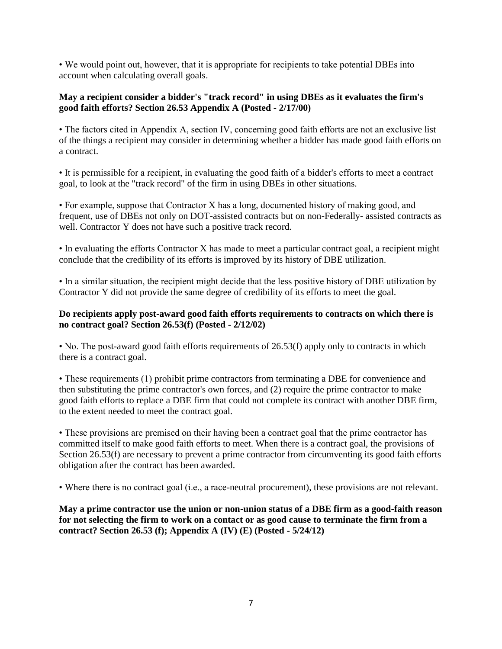• We would point out, however, that it is appropriate for recipients to take potential DBEs into account when calculating overall goals.

# **May a recipient consider a bidder's "track record" in using DBEs as it evaluates the firm's good faith efforts? Section 26.53 Appendix A (Posted - 2/17/00)**

• The factors cited in Appendix A, section IV, concerning good faith efforts are not an exclusive list of the things a recipient may consider in determining whether a bidder has made good faith efforts on a contract.

• It is permissible for a recipient, in evaluating the good faith of a bidder's efforts to meet a contract goal, to look at the "track record" of the firm in using DBEs in other situations.

• For example, suppose that Contractor X has a long, documented history of making good, and frequent, use of DBEs not only on DOT-assisted contracts but on non-Federally- assisted contracts as well. Contractor Y does not have such a positive track record.

• In evaluating the efforts Contractor X has made to meet a particular contract goal, a recipient might conclude that the credibility of its efforts is improved by its history of DBE utilization.

• In a similar situation, the recipient might decide that the less positive history of DBE utilization by Contractor Y did not provide the same degree of credibility of its efforts to meet the goal.

# **Do recipients apply post-award good faith efforts requirements to contracts on which there is no contract goal? Section 26.53(f) (Posted - 2/12/02)**

• No. The post-award good faith efforts requirements of 26.53(f) apply only to contracts in which there is a contract goal.

• These requirements (1) prohibit prime contractors from terminating a DBE for convenience and then substituting the prime contractor's own forces, and (2) require the prime contractor to make good faith efforts to replace a DBE firm that could not complete its contract with another DBE firm, to the extent needed to meet the contract goal.

• These provisions are premised on their having been a contract goal that the prime contractor has committed itself to make good faith efforts to meet. When there is a contract goal, the provisions of Section 26.53(f) are necessary to prevent a prime contractor from circumventing its good faith efforts obligation after the contract has been awarded.

• Where there is no contract goal (i.e., a race-neutral procurement), these provisions are not relevant.

**May a prime contractor use the union or non-union status of a DBE firm as a good-faith reason for not selecting the firm to work on a contact or as good cause to terminate the firm from a contract? Section 26.53 (f); Appendix A (IV) (E) (Posted - 5/24/12)**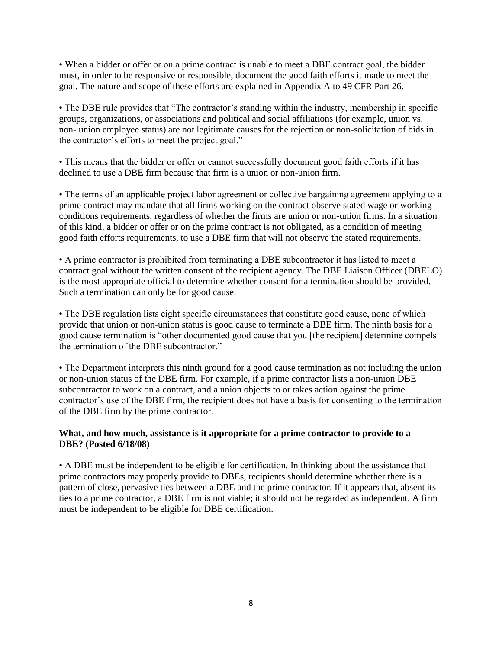• When a bidder or offer or on a prime contract is unable to meet a DBE contract goal, the bidder must, in order to be responsive or responsible, document the good faith efforts it made to meet the goal. The nature and scope of these efforts are explained in Appendix A to 49 CFR Part 26.

• The DBE rule provides that "The contractor's standing within the industry, membership in specific groups, organizations, or associations and political and social affiliations (for example, union vs. non- union employee status) are not legitimate causes for the rejection or non-solicitation of bids in the contractor's efforts to meet the project goal."

• This means that the bidder or offer or cannot successfully document good faith efforts if it has declined to use a DBE firm because that firm is a union or non-union firm.

• The terms of an applicable project labor agreement or collective bargaining agreement applying to a prime contract may mandate that all firms working on the contract observe stated wage or working conditions requirements, regardless of whether the firms are union or non-union firms. In a situation of this kind, a bidder or offer or on the prime contract is not obligated, as a condition of meeting good faith efforts requirements, to use a DBE firm that will not observe the stated requirements.

• A prime contractor is prohibited from terminating a DBE subcontractor it has listed to meet a contract goal without the written consent of the recipient agency. The DBE Liaison Officer (DBELO) is the most appropriate official to determine whether consent for a termination should be provided. Such a termination can only be for good cause.

• The DBE regulation lists eight specific circumstances that constitute good cause, none of which provide that union or non-union status is good cause to terminate a DBE firm. The ninth basis for a good cause termination is "other documented good cause that you [the recipient] determine compels the termination of the DBE subcontractor."

• The Department interprets this ninth ground for a good cause termination as not including the union or non-union status of the DBE firm. For example, if a prime contractor lists a non-union DBE subcontractor to work on a contract, and a union objects to or takes action against the prime contractor's use of the DBE firm, the recipient does not have a basis for consenting to the termination of the DBE firm by the prime contractor.

#### **What, and how much, assistance is it appropriate for a prime contractor to provide to a DBE? (Posted 6/18/08)**

• A DBE must be independent to be eligible for certification. In thinking about the assistance that prime contractors may properly provide to DBEs, recipients should determine whether there is a pattern of close, pervasive ties between a DBE and the prime contractor. If it appears that, absent its ties to a prime contractor, a DBE firm is not viable; it should not be regarded as independent. A firm must be independent to be eligible for DBE certification.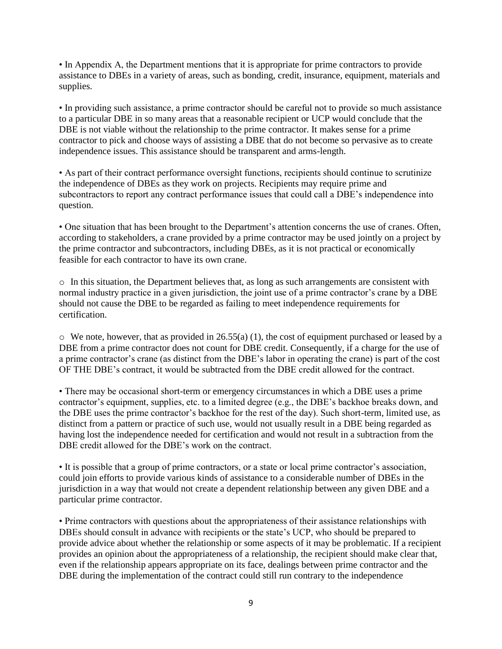• In Appendix A, the Department mentions that it is appropriate for prime contractors to provide assistance to DBEs in a variety of areas, such as bonding, credit, insurance, equipment, materials and supplies.

• In providing such assistance, a prime contractor should be careful not to provide so much assistance to a particular DBE in so many areas that a reasonable recipient or UCP would conclude that the DBE is not viable without the relationship to the prime contractor. It makes sense for a prime contractor to pick and choose ways of assisting a DBE that do not become so pervasive as to create independence issues. This assistance should be transparent and arms-length.

• As part of their contract performance oversight functions, recipients should continue to scrutinize the independence of DBEs as they work on projects. Recipients may require prime and subcontractors to report any contract performance issues that could call a DBE's independence into question.

• One situation that has been brought to the Department's attention concerns the use of cranes. Often, according to stakeholders, a crane provided by a prime contractor may be used jointly on a project by the prime contractor and subcontractors, including DBEs, as it is not practical or economically feasible for each contractor to have its own crane.

o In this situation, the Department believes that, as long as such arrangements are consistent with normal industry practice in a given jurisdiction, the joint use of a prime contractor's crane by a DBE should not cause the DBE to be regarded as failing to meet independence requirements for certification.

 $\circ$  We note, however, that as provided in 26.55(a) (1), the cost of equipment purchased or leased by a DBE from a prime contractor does not count for DBE credit. Consequently, if a charge for the use of a prime contractor's crane (as distinct from the DBE's labor in operating the crane) is part of the cost OF THE DBE's contract, it would be subtracted from the DBE credit allowed for the contract.

• There may be occasional short-term or emergency circumstances in which a DBE uses a prime contractor's equipment, supplies, etc. to a limited degree (e.g., the DBE's backhoe breaks down, and the DBE uses the prime contractor's backhoe for the rest of the day). Such short-term, limited use, as distinct from a pattern or practice of such use, would not usually result in a DBE being regarded as having lost the independence needed for certification and would not result in a subtraction from the DBE credit allowed for the DBE's work on the contract.

• It is possible that a group of prime contractors, or a state or local prime contractor's association, could join efforts to provide various kinds of assistance to a considerable number of DBEs in the jurisdiction in a way that would not create a dependent relationship between any given DBE and a particular prime contractor.

• Prime contractors with questions about the appropriateness of their assistance relationships with DBEs should consult in advance with recipients or the state's UCP, who should be prepared to provide advice about whether the relationship or some aspects of it may be problematic. If a recipient provides an opinion about the appropriateness of a relationship, the recipient should make clear that, even if the relationship appears appropriate on its face, dealings between prime contractor and the DBE during the implementation of the contract could still run contrary to the independence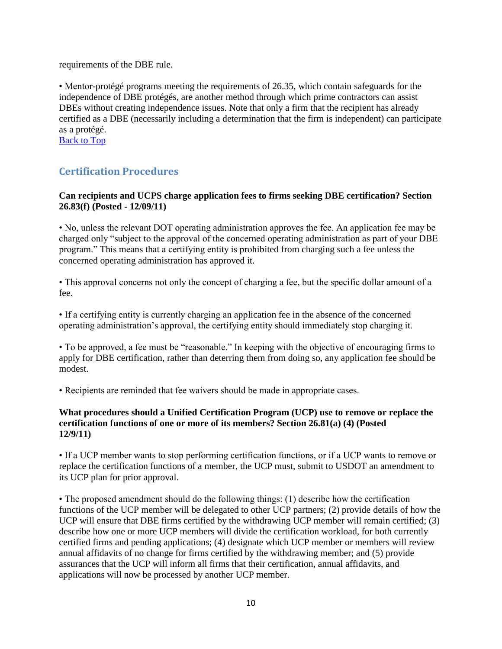requirements of the DBE rule.

• Mentor-protégé programs meeting the requirements of 26.35, which contain safeguards for the independence of DBE protégés, are another method through which prime contractors can assist DBEs without creating independence issues. Note that only a firm that the recipient has already certified as a DBE (necessarily including a determination that the firm is independent) can participate as a protégé.

[Back to Top](#page-0-1)

# <span id="page-9-0"></span>**Certification Procedures**

#### **Can recipients and UCPS charge application fees to firms seeking DBE certification? Section 26.83(f) (Posted - 12/09/11)**

• No, unless the relevant DOT operating administration approves the fee. An application fee may be charged only "subject to the approval of the concerned operating administration as part of your DBE program." This means that a certifying entity is prohibited from charging such a fee unless the concerned operating administration has approved it.

• This approval concerns not only the concept of charging a fee, but the specific dollar amount of a fee.

• If a certifying entity is currently charging an application fee in the absence of the concerned operating administration's approval, the certifying entity should immediately stop charging it.

• To be approved, a fee must be "reasonable." In keeping with the objective of encouraging firms to apply for DBE certification, rather than deterring them from doing so, any application fee should be modest.

• Recipients are reminded that fee waivers should be made in appropriate cases.

#### **What procedures should a Unified Certification Program (UCP) use to remove or replace the certification functions of one or more of its members? Section 26.81(a) (4) (Posted 12/9/11)**

• If a UCP member wants to stop performing certification functions, or if a UCP wants to remove or replace the certification functions of a member, the UCP must, submit to USDOT an amendment to its UCP plan for prior approval.

• The proposed amendment should do the following things: (1) describe how the certification functions of the UCP member will be delegated to other UCP partners; (2) provide details of how the UCP will ensure that DBE firms certified by the withdrawing UCP member will remain certified; (3) describe how one or more UCP members will divide the certification workload, for both currently certified firms and pending applications; (4) designate which UCP member or members will review annual affidavits of no change for firms certified by the withdrawing member; and (5) provide assurances that the UCP will inform all firms that their certification, annual affidavits, and applications will now be processed by another UCP member.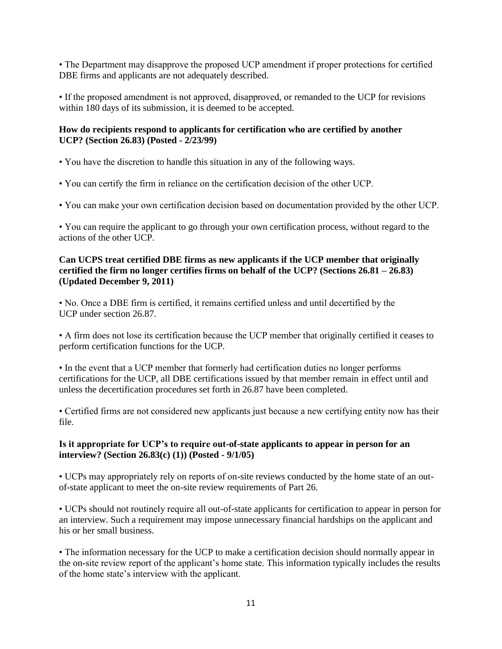• The Department may disapprove the proposed UCP amendment if proper protections for certified DBE firms and applicants are not adequately described.

• If the proposed amendment is not approved, disapproved, or remanded to the UCP for revisions within 180 days of its submission, it is deemed to be accepted.

# **How do recipients respond to applicants for certification who are certified by another UCP? (Section 26.83) (Posted - 2/23/99)**

- You have the discretion to handle this situation in any of the following ways.
- You can certify the firm in reliance on the certification decision of the other UCP.
- You can make your own certification decision based on documentation provided by the other UCP.

• You can require the applicant to go through your own certification process, without regard to the actions of the other UCP.

## **Can UCPS treat certified DBE firms as new applicants if the UCP member that originally certified the firm no longer certifies firms on behalf of the UCP? (Sections 26.81 – 26.83) (Updated December 9, 2011)**

• No. Once a DBE firm is certified, it remains certified unless and until decertified by the UCP under section 26.87.

• A firm does not lose its certification because the UCP member that originally certified it ceases to perform certification functions for the UCP.

• In the event that a UCP member that formerly had certification duties no longer performs certifications for the UCP, all DBE certifications issued by that member remain in effect until and unless the decertification procedures set forth in 26.87 have been completed.

• Certified firms are not considered new applicants just because a new certifying entity now has their file.

# **Is it appropriate for UCP's to require out-of-state applicants to appear in person for an interview? (Section 26.83(c) (1)) (Posted - 9/1/05)**

• UCPs may appropriately rely on reports of on-site reviews conducted by the home state of an outof-state applicant to meet the on-site review requirements of Part 26.

• UCPs should not routinely require all out-of-state applicants for certification to appear in person for an interview. Such a requirement may impose unnecessary financial hardships on the applicant and his or her small business.

• The information necessary for the UCP to make a certification decision should normally appear in the on-site review report of the applicant's home state. This information typically includes the results of the home state's interview with the applicant.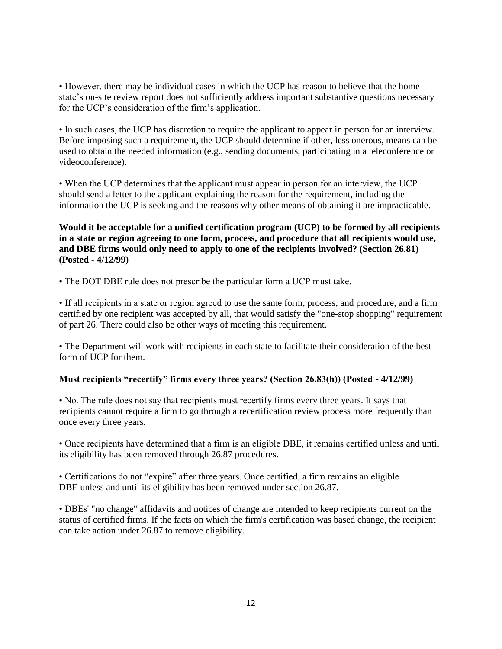• However, there may be individual cases in which the UCP has reason to believe that the home state's on-site review report does not sufficiently address important substantive questions necessary for the UCP's consideration of the firm's application.

• In such cases, the UCP has discretion to require the applicant to appear in person for an interview. Before imposing such a requirement, the UCP should determine if other, less onerous, means can be used to obtain the needed information (e.g., sending documents, participating in a teleconference or videoconference).

• When the UCP determines that the applicant must appear in person for an interview, the UCP should send a letter to the applicant explaining the reason for the requirement, including the information the UCP is seeking and the reasons why other means of obtaining it are impracticable.

**Would it be acceptable for a unified certification program (UCP) to be formed by all recipients in a state or region agreeing to one form, process, and procedure that all recipients would use, and DBE firms would only need to apply to one of the recipients involved? (Section 26.81) (Posted - 4/12/99)** 

• The DOT DBE rule does not prescribe the particular form a UCP must take.

• If all recipients in a state or region agreed to use the same form, process, and procedure, and a firm certified by one recipient was accepted by all, that would satisfy the "one-stop shopping" requirement of part 26. There could also be other ways of meeting this requirement.

• The Department will work with recipients in each state to facilitate their consideration of the best form of UCP for them.

#### **Must recipients "recertify" firms every three years? (Section 26.83(h)) (Posted - 4/12/99)**

• No. The rule does not say that recipients must recertify firms every three years. It says that recipients cannot require a firm to go through a recertification review process more frequently than once every three years.

• Once recipients have determined that a firm is an eligible DBE, it remains certified unless and until its eligibility has been removed through 26.87 procedures.

• Certifications do not "expire" after three years. Once certified, a firm remains an eligible DBE unless and until its eligibility has been removed under section 26.87.

• DBEs' "no change" affidavits and notices of change are intended to keep recipients current on the status of certified firms. If the facts on which the firm's certification was based change, the recipient can take action under 26.87 to remove eligibility.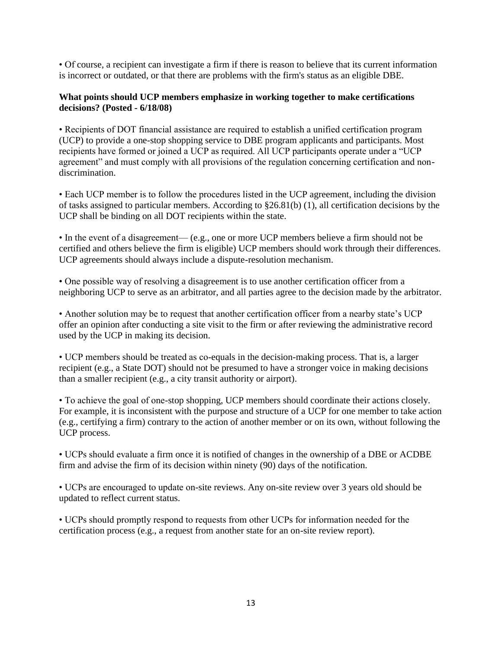• Of course, a recipient can investigate a firm if there is reason to believe that its current information is incorrect or outdated, or that there are problems with the firm's status as an eligible DBE.

#### **What points should UCP members emphasize in working together to make certifications decisions? (Posted - 6/18/08)**

• Recipients of DOT financial assistance are required to establish a unified certification program (UCP) to provide a one-stop shopping service to DBE program applicants and participants. Most recipients have formed or joined a UCP as required. All UCP participants operate under a "UCP agreement" and must comply with all provisions of the regulation concerning certification and nondiscrimination.

• Each UCP member is to follow the procedures listed in the UCP agreement, including the division of tasks assigned to particular members. According to §26.81(b) (1), all certification decisions by the UCP shall be binding on all DOT recipients within the state.

• In the event of a disagreement— (e.g., one or more UCP members believe a firm should not be certified and others believe the firm is eligible) UCP members should work through their differences. UCP agreements should always include a dispute-resolution mechanism.

• One possible way of resolving a disagreement is to use another certification officer from a neighboring UCP to serve as an arbitrator, and all parties agree to the decision made by the arbitrator.

• Another solution may be to request that another certification officer from a nearby state's UCP offer an opinion after conducting a site visit to the firm or after reviewing the administrative record used by the UCP in making its decision.

• UCP members should be treated as co-equals in the decision-making process. That is, a larger recipient (e.g., a State DOT) should not be presumed to have a stronger voice in making decisions than a smaller recipient (e.g., a city transit authority or airport).

• To achieve the goal of one-stop shopping, UCP members should coordinate their actions closely. For example, it is inconsistent with the purpose and structure of a UCP for one member to take action (e.g., certifying a firm) contrary to the action of another member or on its own, without following the UCP process.

• UCPs should evaluate a firm once it is notified of changes in the ownership of a DBE or ACDBE firm and advise the firm of its decision within ninety (90) days of the notification.

• UCPs are encouraged to update on-site reviews. Any on-site review over 3 years old should be updated to reflect current status.

• UCPs should promptly respond to requests from other UCPs for information needed for the certification process (e.g., a request from another state for an on-site review report).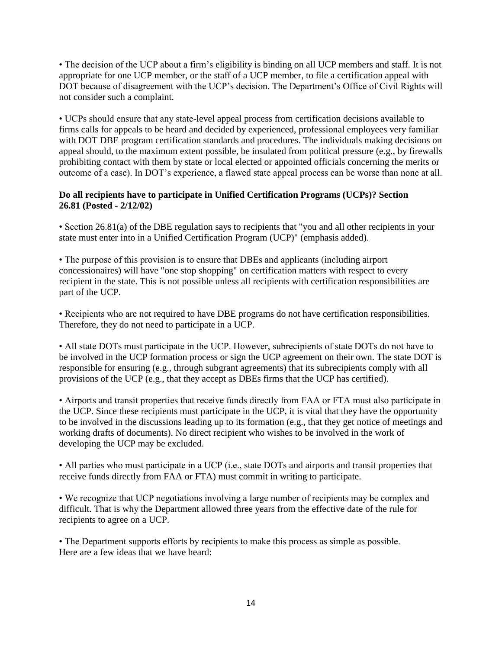• The decision of the UCP about a firm's eligibility is binding on all UCP members and staff. It is not appropriate for one UCP member, or the staff of a UCP member, to file a certification appeal with DOT because of disagreement with the UCP's decision. The Department's Office of Civil Rights will not consider such a complaint.

• UCPs should ensure that any state-level appeal process from certification decisions available to firms calls for appeals to be heard and decided by experienced, professional employees very familiar with DOT DBE program certification standards and procedures. The individuals making decisions on appeal should, to the maximum extent possible, be insulated from political pressure (e.g., by firewalls prohibiting contact with them by state or local elected or appointed officials concerning the merits or outcome of a case). In DOT's experience, a flawed state appeal process can be worse than none at all.

# **Do all recipients have to participate in Unified Certification Programs (UCPs)? Section 26.81 (Posted - 2/12/02)**

• Section 26.81(a) of the DBE regulation says to recipients that "you and all other recipients in your state must enter into in a Unified Certification Program (UCP)" (emphasis added).

• The purpose of this provision is to ensure that DBEs and applicants (including airport concessionaires) will have "one stop shopping" on certification matters with respect to every recipient in the state. This is not possible unless all recipients with certification responsibilities are part of the UCP.

• Recipients who are not required to have DBE programs do not have certification responsibilities. Therefore, they do not need to participate in a UCP.

• All state DOTs must participate in the UCP. However, subrecipients of state DOTs do not have to be involved in the UCP formation process or sign the UCP agreement on their own. The state DOT is responsible for ensuring (e.g., through subgrant agreements) that its subrecipients comply with all provisions of the UCP (e.g., that they accept as DBEs firms that the UCP has certified).

• Airports and transit properties that receive funds directly from FAA or FTA must also participate in the UCP. Since these recipients must participate in the UCP, it is vital that they have the opportunity to be involved in the discussions leading up to its formation (e.g., that they get notice of meetings and working drafts of documents). No direct recipient who wishes to be involved in the work of developing the UCP may be excluded.

• All parties who must participate in a UCP (i.e., state DOTs and airports and transit properties that receive funds directly from FAA or FTA) must commit in writing to participate.

• We recognize that UCP negotiations involving a large number of recipients may be complex and difficult. That is why the Department allowed three years from the effective date of the rule for recipients to agree on a UCP.

• The Department supports efforts by recipients to make this process as simple as possible. Here are a few ideas that we have heard: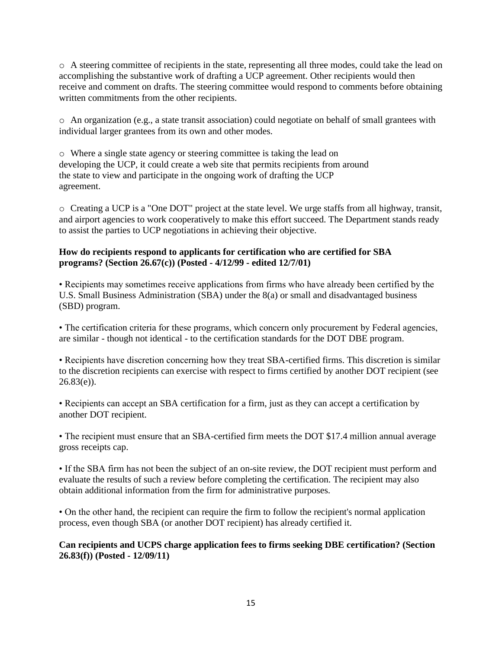o A steering committee of recipients in the state, representing all three modes, could take the lead on accomplishing the substantive work of drafting a UCP agreement. Other recipients would then receive and comment on drafts. The steering committee would respond to comments before obtaining written commitments from the other recipients.

o An organization (e.g., a state transit association) could negotiate on behalf of small grantees with individual larger grantees from its own and other modes.

o Where a single state agency or steering committee is taking the lead on developing the UCP, it could create a web site that permits recipients from around the state to view and participate in the ongoing work of drafting the UCP agreement.

o Creating a UCP is a "One DOT" project at the state level. We urge staffs from all highway, transit, and airport agencies to work cooperatively to make this effort succeed. The Department stands ready to assist the parties to UCP negotiations in achieving their objective.

# **How do recipients respond to applicants for certification who are certified for SBA programs? (Section 26.67(c)) (Posted - 4/12/99 - edited 12/7/01)**

• Recipients may sometimes receive applications from firms who have already been certified by the U.S. Small Business Administration (SBA) under the 8(a) or small and disadvantaged business (SBD) program.

• The certification criteria for these programs, which concern only procurement by Federal agencies, are similar - though not identical - to the certification standards for the DOT DBE program.

• Recipients have discretion concerning how they treat SBA-certified firms. This discretion is similar to the discretion recipients can exercise with respect to firms certified by another DOT recipient (see  $26.83(e)$ ).

• Recipients can accept an SBA certification for a firm, just as they can accept a certification by another DOT recipient.

• The recipient must ensure that an SBA-certified firm meets the DOT \$17.4 million annual average gross receipts cap.

• If the SBA firm has not been the subject of an on-site review, the DOT recipient must perform and evaluate the results of such a review before completing the certification. The recipient may also obtain additional information from the firm for administrative purposes.

• On the other hand, the recipient can require the firm to follow the recipient's normal application process, even though SBA (or another DOT recipient) has already certified it.

#### **Can recipients and UCPS charge application fees to firms seeking DBE certification? (Section 26.83(f)) (Posted - 12/09/11)**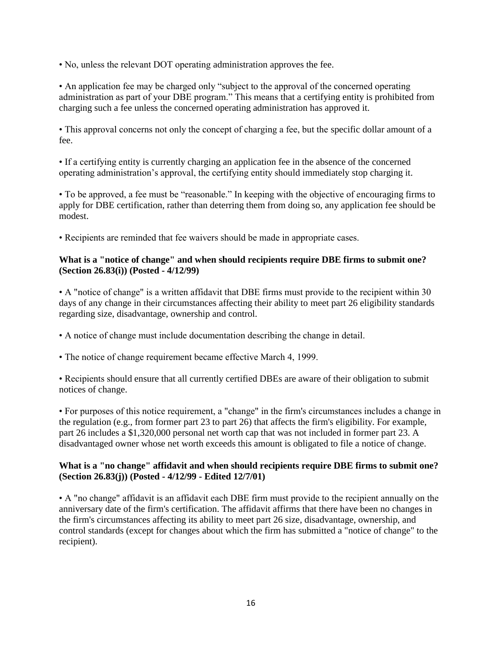• No, unless the relevant DOT operating administration approves the fee.

• An application fee may be charged only "subject to the approval of the concerned operating administration as part of your DBE program." This means that a certifying entity is prohibited from charging such a fee unless the concerned operating administration has approved it.

• This approval concerns not only the concept of charging a fee, but the specific dollar amount of a fee.

• If a certifying entity is currently charging an application fee in the absence of the concerned operating administration's approval, the certifying entity should immediately stop charging it.

• To be approved, a fee must be "reasonable." In keeping with the objective of encouraging firms to apply for DBE certification, rather than deterring them from doing so, any application fee should be modest.

• Recipients are reminded that fee waivers should be made in appropriate cases.

#### **What is a "notice of change" and when should recipients require DBE firms to submit one? (Section 26.83(i)) (Posted - 4/12/99)**

• A "notice of change" is a written affidavit that DBE firms must provide to the recipient within 30 days of any change in their circumstances affecting their ability to meet part 26 eligibility standards regarding size, disadvantage, ownership and control.

• A notice of change must include documentation describing the change in detail.

• The notice of change requirement became effective March 4, 1999.

• Recipients should ensure that all currently certified DBEs are aware of their obligation to submit notices of change.

• For purposes of this notice requirement, a "change" in the firm's circumstances includes a change in the regulation (e.g., from former part 23 to part 26) that affects the firm's eligibility. For example, part 26 includes a \$1,320,000 personal net worth cap that was not included in former part 23. A disadvantaged owner whose net worth exceeds this amount is obligated to file a notice of change.

#### **What is a "no change" affidavit and when should recipients require DBE firms to submit one? (Section 26.83(j)) (Posted - 4/12/99 - Edited 12/7/01)**

• A "no change" affidavit is an affidavit each DBE firm must provide to the recipient annually on the anniversary date of the firm's certification. The affidavit affirms that there have been no changes in the firm's circumstances affecting its ability to meet part 26 size, disadvantage, ownership, and control standards (except for changes about which the firm has submitted a "notice of change" to the recipient).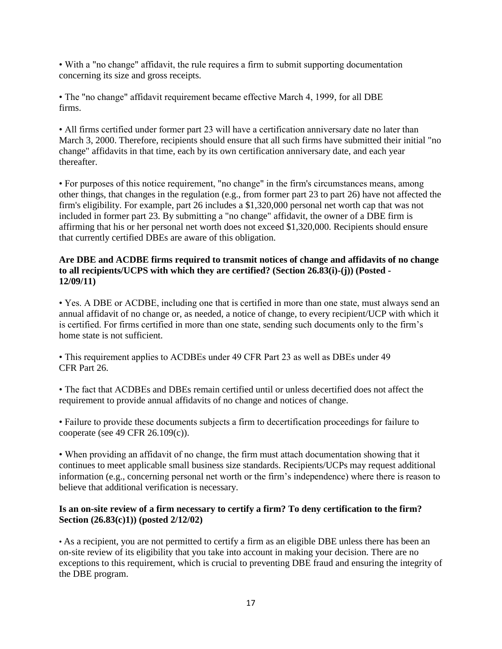• With a "no change" affidavit, the rule requires a firm to submit supporting documentation concerning its size and gross receipts.

• The "no change" affidavit requirement became effective March 4, 1999, for all DBE firms.

• All firms certified under former part 23 will have a certification anniversary date no later than March 3, 2000. Therefore, recipients should ensure that all such firms have submitted their initial "no change" affidavits in that time, each by its own certification anniversary date, and each year thereafter.

• For purposes of this notice requirement, "no change" in the firm's circumstances means, among other things, that changes in the regulation (e.g., from former part 23 to part 26) have not affected the firm's eligibility. For example, part 26 includes a \$1,320,000 personal net worth cap that was not included in former part 23. By submitting a "no change" affidavit, the owner of a DBE firm is affirming that his or her personal net worth does not exceed \$1,320,000. Recipients should ensure that currently certified DBEs are aware of this obligation.

#### **Are DBE and ACDBE firms required to transmit notices of change and affidavits of no change to all recipients/UCPS with which they are certified? (Section 26.83(i)-(j)) (Posted - 12/09/11)**

• Yes. A DBE or ACDBE, including one that is certified in more than one state, must always send an annual affidavit of no change or, as needed, a notice of change, to every recipient/UCP with which it is certified. For firms certified in more than one state, sending such documents only to the firm's home state is not sufficient.

• This requirement applies to ACDBEs under 49 CFR Part 23 as well as DBEs under 49 CFR Part 26.

• The fact that ACDBEs and DBEs remain certified until or unless decertified does not affect the requirement to provide annual affidavits of no change and notices of change.

• Failure to provide these documents subjects a firm to decertification proceedings for failure to cooperate (see 49 CFR 26.109(c)).

• When providing an affidavit of no change, the firm must attach documentation showing that it continues to meet applicable small business size standards. Recipients/UCPs may request additional information (e.g., concerning personal net worth or the firm's independence) where there is reason to believe that additional verification is necessary.

#### **Is an on-site review of a firm necessary to certify a firm? To deny certification to the firm? Section (26.83(c)1)) (posted 2/12/02)**

• As a recipient, you are not permitted to certify a firm as an eligible DBE unless there has been an on-site review of its eligibility that you take into account in making your decision. There are no exceptions to this requirement, which is crucial to preventing DBE fraud and ensuring the integrity of the DBE program.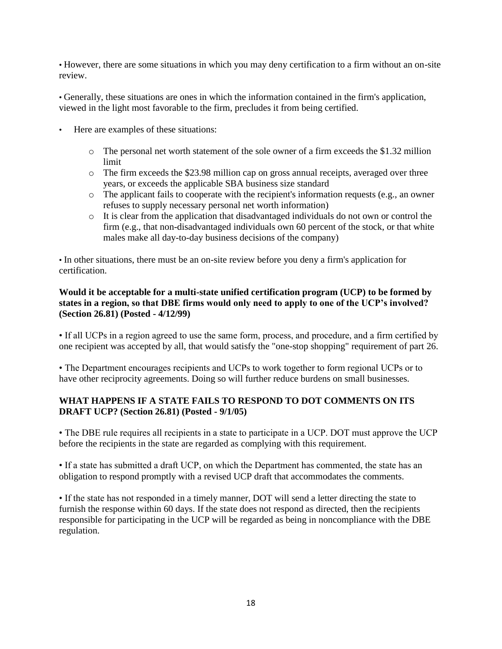• However, there are some situations in which you may deny certification to a firm without an on-site review.

• Generally, these situations are ones in which the information contained in the firm's application, viewed in the light most favorable to the firm, precludes it from being certified.

- Here are examples of these situations:
	- $\circ$  The personal net worth statement of the sole owner of a firm exceeds the \$1.32 million limit
	- o The firm exceeds the \$23.98 million cap on gross annual receipts, averaged over three years, or exceeds the applicable SBA business size standard
	- o The applicant fails to cooperate with the recipient's information requests (e.g., an owner refuses to supply necessary personal net worth information)
	- o It is clear from the application that disadvantaged individuals do not own or control the firm (e.g., that non-disadvantaged individuals own 60 percent of the stock, or that white males make all day-to-day business decisions of the company)

• In other situations, there must be an on-site review before you deny a firm's application for certification.

#### **Would it be acceptable for a multi-state unified certification program (UCP) to be formed by states in a region, so that DBE firms would only need to apply to one of the UCP's involved? (Section 26.81) (Posted - 4/12/99)**

• If all UCPs in a region agreed to use the same form, process, and procedure, and a firm certified by one recipient was accepted by all, that would satisfy the "one-stop shopping" requirement of part 26.

• The Department encourages recipients and UCPs to work together to form regional UCPs or to have other reciprocity agreements. Doing so will further reduce burdens on small businesses.

#### **WHAT HAPPENS IF A STATE FAILS TO RESPOND TO DOT COMMENTS ON ITS DRAFT UCP? (Section 26.81) (Posted - 9/1/05)**

• The DBE rule requires all recipients in a state to participate in a UCP. DOT must approve the UCP before the recipients in the state are regarded as complying with this requirement.

• If a state has submitted a draft UCP, on which the Department has commented, the state has an obligation to respond promptly with a revised UCP draft that accommodates the comments.

• If the state has not responded in a timely manner, DOT will send a letter directing the state to furnish the response within 60 days. If the state does not respond as directed, then the recipients responsible for participating in the UCP will be regarded as being in noncompliance with the DBE regulation.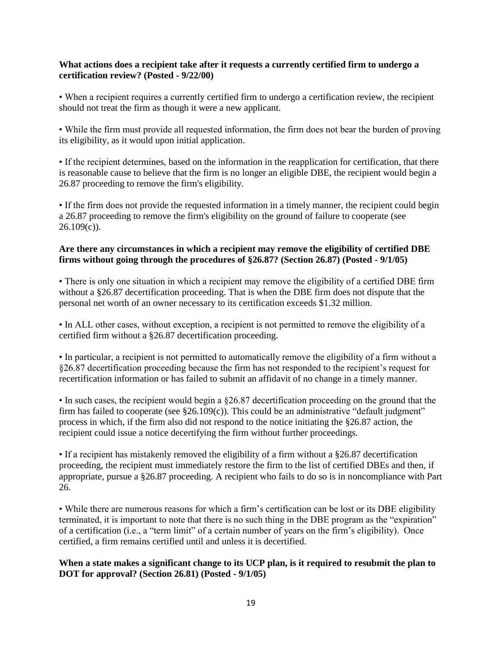#### **What actions does a recipient take after it requests a currently certified firm to undergo a certification review? (Posted - 9/22/00)**

• When a recipient requires a currently certified firm to undergo a certification review, the recipient should not treat the firm as though it were a new applicant.

• While the firm must provide all requested information, the firm does not bear the burden of proving its eligibility, as it would upon initial application.

• If the recipient determines, based on the information in the reapplication for certification, that there is reasonable cause to believe that the firm is no longer an eligible DBE, the recipient would begin a 26.87 proceeding to remove the firm's eligibility.

• If the firm does not provide the requested information in a timely manner, the recipient could begin a 26.87 proceeding to remove the firm's eligibility on the ground of failure to cooperate (see  $26.109(c)$ ).

#### **Are there any circumstances in which a recipient may remove the eligibility of certified DBE firms without going through the procedures of §26.87? (Section 26.87) (Posted - 9/1/05)**

• There is only one situation in which a recipient may remove the eligibility of a certified DBE firm without a §26.87 decertification proceeding. That is when the DBE firm does not dispute that the personal net worth of an owner necessary to its certification exceeds \$1.32 million.

• In ALL other cases, without exception, a recipient is not permitted to remove the eligibility of a certified firm without a §26.87 decertification proceeding.

• In particular, a recipient is not permitted to automatically remove the eligibility of a firm without a §26.87 decertification proceeding because the firm has not responded to the recipient's request for recertification information or has failed to submit an affidavit of no change in a timely manner.

• In such cases, the recipient would begin a §26.87 decertification proceeding on the ground that the firm has failed to cooperate (see  $\S26.109(c)$ ). This could be an administrative "default judgment" process in which, if the firm also did not respond to the notice initiating the §26.87 action, the recipient could issue a notice decertifying the firm without further proceedings.

• If a recipient has mistakenly removed the eligibility of a firm without a §26.87 decertification proceeding, the recipient must immediately restore the firm to the list of certified DBEs and then, if appropriate, pursue a §26.87 proceeding. A recipient who fails to do so is in noncompliance with Part 26.

• While there are numerous reasons for which a firm's certification can be lost or its DBE eligibility terminated, it is important to note that there is no such thing in the DBE program as the "expiration" of a certification (i.e., a "term limit" of a certain number of years on the firm's eligibility). Once certified, a firm remains certified until and unless it is decertified.

#### **When a state makes a significant change to its UCP plan, is it required to resubmit the plan to DOT for approval? (Section 26.81) (Posted - 9/1/05)**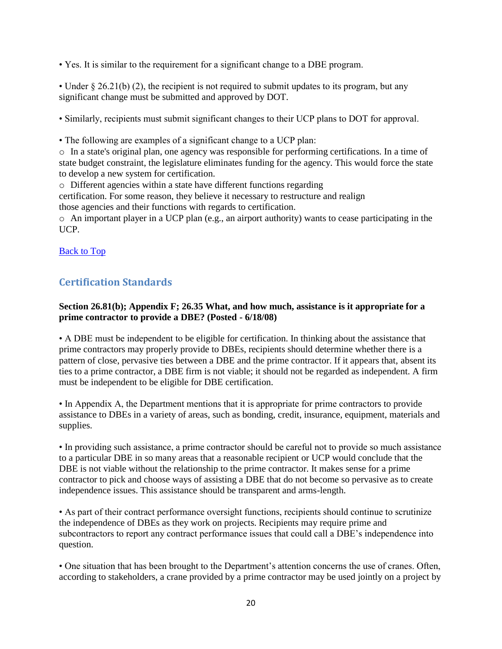• Yes. It is similar to the requirement for a significant change to a DBE program.

• Under  $\S 26.21(b)$  (2), the recipient is not required to submit updates to its program, but any significant change must be submitted and approved by DOT.

• Similarly, recipients must submit significant changes to their UCP plans to DOT for approval.

• The following are examples of a significant change to a UCP plan:

o In a state's original plan, one agency was responsible for performing certifications. In a time of state budget constraint, the legislature eliminates funding for the agency. This would force the state to develop a new system for certification.

o Different agencies within a state have different functions regarding

certification. For some reason, they believe it necessary to restructure and realign those agencies and their functions with regards to certification.

o An important player in a UCP plan (e.g., an airport authority) wants to cease participating in the UCP.

**[Back to Top](#page-0-1)** 

# <span id="page-19-0"></span>**Certification Standards**

#### **Section 26.81(b); Appendix F; 26.35 What, and how much, assistance is it appropriate for a prime contractor to provide a DBE? (Posted - 6/18/08)**

• A DBE must be independent to be eligible for certification. In thinking about the assistance that prime contractors may properly provide to DBEs, recipients should determine whether there is a pattern of close, pervasive ties between a DBE and the prime contractor. If it appears that, absent its ties to a prime contractor, a DBE firm is not viable; it should not be regarded as independent. A firm must be independent to be eligible for DBE certification.

• In Appendix A, the Department mentions that it is appropriate for prime contractors to provide assistance to DBEs in a variety of areas, such as bonding, credit, insurance, equipment, materials and supplies.

• In providing such assistance, a prime contractor should be careful not to provide so much assistance to a particular DBE in so many areas that a reasonable recipient or UCP would conclude that the DBE is not viable without the relationship to the prime contractor. It makes sense for a prime contractor to pick and choose ways of assisting a DBE that do not become so pervasive as to create independence issues. This assistance should be transparent and arms-length.

• As part of their contract performance oversight functions, recipients should continue to scrutinize the independence of DBEs as they work on projects. Recipients may require prime and subcontractors to report any contract performance issues that could call a DBE's independence into question.

• One situation that has been brought to the Department's attention concerns the use of cranes. Often, according to stakeholders, a crane provided by a prime contractor may be used jointly on a project by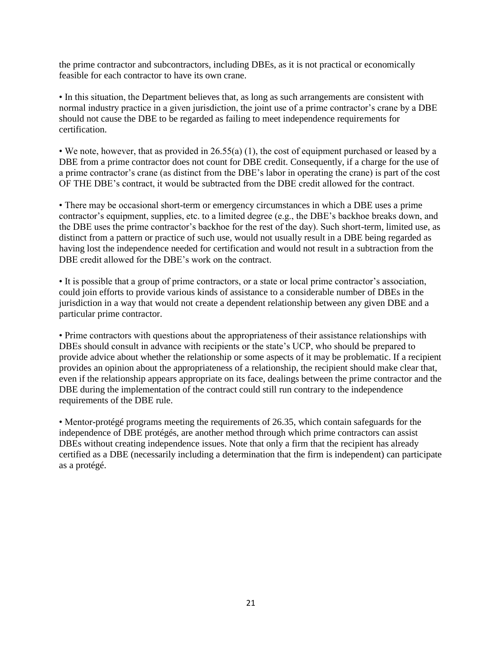the prime contractor and subcontractors, including DBEs, as it is not practical or economically feasible for each contractor to have its own crane.

• In this situation, the Department believes that, as long as such arrangements are consistent with normal industry practice in a given jurisdiction, the joint use of a prime contractor's crane by a DBE should not cause the DBE to be regarded as failing to meet independence requirements for certification.

• We note, however, that as provided in 26.55(a) (1), the cost of equipment purchased or leased by a DBE from a prime contractor does not count for DBE credit. Consequently, if a charge for the use of a prime contractor's crane (as distinct from the DBE's labor in operating the crane) is part of the cost OF THE DBE's contract, it would be subtracted from the DBE credit allowed for the contract.

• There may be occasional short-term or emergency circumstances in which a DBE uses a prime contractor's equipment, supplies, etc. to a limited degree (e.g., the DBE's backhoe breaks down, and the DBE uses the prime contractor's backhoe for the rest of the day). Such short-term, limited use, as distinct from a pattern or practice of such use, would not usually result in a DBE being regarded as having lost the independence needed for certification and would not result in a subtraction from the DBE credit allowed for the DBE's work on the contract.

• It is possible that a group of prime contractors, or a state or local prime contractor's association, could join efforts to provide various kinds of assistance to a considerable number of DBEs in the jurisdiction in a way that would not create a dependent relationship between any given DBE and a particular prime contractor.

• Prime contractors with questions about the appropriateness of their assistance relationships with DBEs should consult in advance with recipients or the state's UCP, who should be prepared to provide advice about whether the relationship or some aspects of it may be problematic. If a recipient provides an opinion about the appropriateness of a relationship, the recipient should make clear that, even if the relationship appears appropriate on its face, dealings between the prime contractor and the DBE during the implementation of the contract could still run contrary to the independence requirements of the DBE rule.

• Mentor-protégé programs meeting the requirements of 26.35, which contain safeguards for the independence of DBE protégés, are another method through which prime contractors can assist DBEs without creating independence issues. Note that only a firm that the recipient has already certified as a DBE (necessarily including a determination that the firm is independent) can participate as a protégé.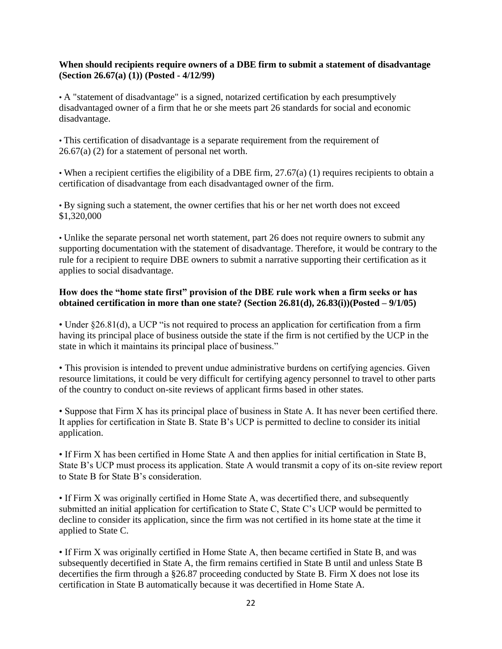#### **When should recipients require owners of a DBE firm to submit a statement of disadvantage (Section 26.67(a) (1)) (Posted - 4/12/99)**

• A "statement of disadvantage" is a signed, notarized certification by each presumptively disadvantaged owner of a firm that he or she meets part 26 standards for social and economic disadvantage.

• This certification of disadvantage is a separate requirement from the requirement of 26.67(a) (2) for a statement of personal net worth.

• When a recipient certifies the eligibility of a DBE firm, 27.67(a) (1) requires recipients to obtain a certification of disadvantage from each disadvantaged owner of the firm.

• By signing such a statement, the owner certifies that his or her net worth does not exceed \$1,320,000

• Unlike the separate personal net worth statement, part 26 does not require owners to submit any supporting documentation with the statement of disadvantage. Therefore, it would be contrary to the rule for a recipient to require DBE owners to submit a narrative supporting their certification as it applies to social disadvantage.

#### **How does the "home state first" provision of the DBE rule work when a firm seeks or has obtained certification in more than one state? (Section 26.81(d), 26.83(i))(Posted – 9/1/05)**

• Under §26.81(d), a UCP "is not required to process an application for certification from a firm having its principal place of business outside the state if the firm is not certified by the UCP in the state in which it maintains its principal place of business."

• This provision is intended to prevent undue administrative burdens on certifying agencies. Given resource limitations, it could be very difficult for certifying agency personnel to travel to other parts of the country to conduct on-site reviews of applicant firms based in other states.

• Suppose that Firm X has its principal place of business in State A. It has never been certified there. It applies for certification in State B. State B's UCP is permitted to decline to consider its initial application.

• If Firm X has been certified in Home State A and then applies for initial certification in State B, State B's UCP must process its application. State A would transmit a copy of its on-site review report to State B for State B's consideration.

• If Firm X was originally certified in Home State A, was decertified there, and subsequently submitted an initial application for certification to State C, State C's UCP would be permitted to decline to consider its application, since the firm was not certified in its home state at the time it applied to State C.

• If Firm X was originally certified in Home State A, then became certified in State B, and was subsequently decertified in State A, the firm remains certified in State B until and unless State B decertifies the firm through a §26.87 proceeding conducted by State B. Firm X does not lose its certification in State B automatically because it was decertified in Home State A.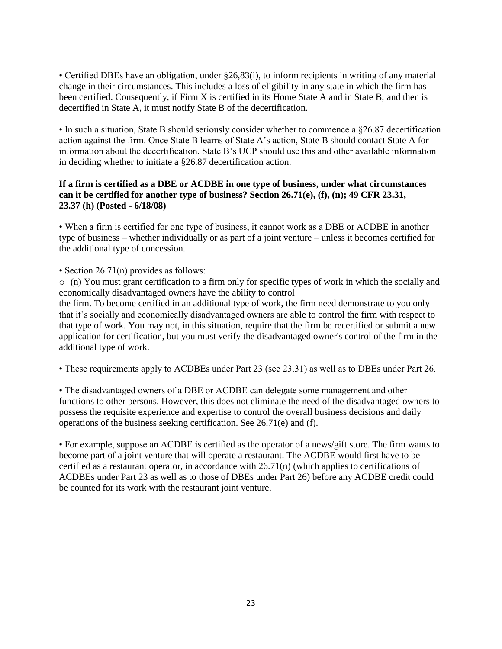• Certified DBEs have an obligation, under §26,83(i), to inform recipients in writing of any material change in their circumstances. This includes a loss of eligibility in any state in which the firm has been certified. Consequently, if Firm X is certified in its Home State A and in State B, and then is decertified in State A, it must notify State B of the decertification.

• In such a situation, State B should seriously consider whether to commence a §26.87 decertification action against the firm. Once State B learns of State A's action, State B should contact State A for information about the decertification. State B's UCP should use this and other available information in deciding whether to initiate a §26.87 decertification action.

# **If a firm is certified as a DBE or ACDBE in one type of business, under what circumstances can it be certified for another type of business? Section 26.71(e), (f), (n); 49 CFR 23.31, 23.37 (h) (Posted - 6/18/08)**

• When a firm is certified for one type of business, it cannot work as a DBE or ACDBE in another type of business – whether individually or as part of a joint venture – unless it becomes certified for the additional type of concession.

• Section 26.71(n) provides as follows:

o (n) You must grant certification to a firm only for specific types of work in which the socially and economically disadvantaged owners have the ability to control

the firm. To become certified in an additional type of work, the firm need demonstrate to you only that it's socially and economically disadvantaged owners are able to control the firm with respect to that type of work. You may not, in this situation, require that the firm be recertified or submit a new application for certification, but you must verify the disadvantaged owner's control of the firm in the additional type of work.

• These requirements apply to ACDBEs under Part 23 (see 23.31) as well as to DBEs under Part 26.

• The disadvantaged owners of a DBE or ACDBE can delegate some management and other functions to other persons. However, this does not eliminate the need of the disadvantaged owners to possess the requisite experience and expertise to control the overall business decisions and daily operations of the business seeking certification. See 26.71(e) and (f).

• For example, suppose an ACDBE is certified as the operator of a news/gift store. The firm wants to become part of a joint venture that will operate a restaurant. The ACDBE would first have to be certified as a restaurant operator, in accordance with 26.71(n) (which applies to certifications of ACDBEs under Part 23 as well as to those of DBEs under Part 26) before any ACDBE credit could be counted for its work with the restaurant joint venture.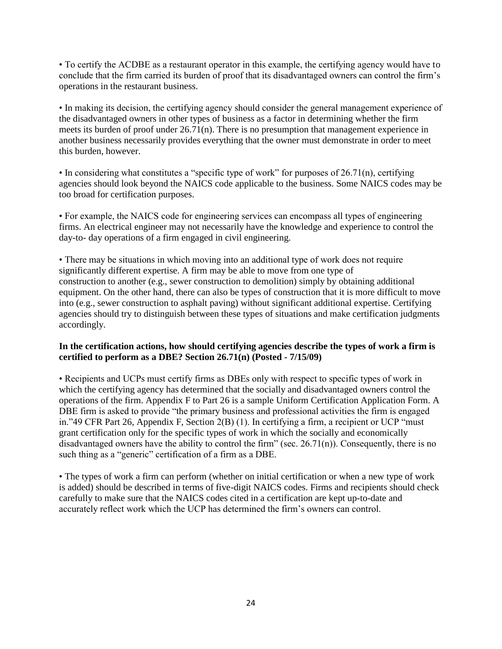• To certify the ACDBE as a restaurant operator in this example, the certifying agency would have to conclude that the firm carried its burden of proof that its disadvantaged owners can control the firm's operations in the restaurant business.

• In making its decision, the certifying agency should consider the general management experience of the disadvantaged owners in other types of business as a factor in determining whether the firm meets its burden of proof under 26.71(n). There is no presumption that management experience in another business necessarily provides everything that the owner must demonstrate in order to meet this burden, however.

• In considering what constitutes a "specific type of work" for purposes of 26.71(n), certifying agencies should look beyond the NAICS code applicable to the business. Some NAICS codes may be too broad for certification purposes.

• For example, the NAICS code for engineering services can encompass all types of engineering firms. An electrical engineer may not necessarily have the knowledge and experience to control the day-to- day operations of a firm engaged in civil engineering.

• There may be situations in which moving into an additional type of work does not require significantly different expertise. A firm may be able to move from one type of construction to another (e.g., sewer construction to demolition) simply by obtaining additional equipment. On the other hand, there can also be types of construction that it is more difficult to move into (e.g., sewer construction to asphalt paving) without significant additional expertise. Certifying agencies should try to distinguish between these types of situations and make certification judgments accordingly.

#### **In the certification actions, how should certifying agencies describe the types of work a firm is certified to perform as a DBE? Section 26.71(n) (Posted - 7/15/09)**

• Recipients and UCPs must certify firms as DBEs only with respect to specific types of work in which the certifying agency has determined that the socially and disadvantaged owners control the operations of the firm. Appendix F to Part 26 is a sample Uniform Certification Application Form. A DBE firm is asked to provide "the primary business and professional activities the firm is engaged in."49 CFR Part 26, Appendix F, Section 2(B) (1). In certifying a firm, a recipient or UCP "must grant certification only for the specific types of work in which the socially and economically disadvantaged owners have the ability to control the firm" (sec. 26.71(n)). Consequently, there is no such thing as a "generic" certification of a firm as a DBE.

• The types of work a firm can perform (whether on initial certification or when a new type of work is added) should be described in terms of five-digit NAICS codes. Firms and recipients should check carefully to make sure that the NAICS codes cited in a certification are kept up-to-date and accurately reflect work which the UCP has determined the firm's owners can control.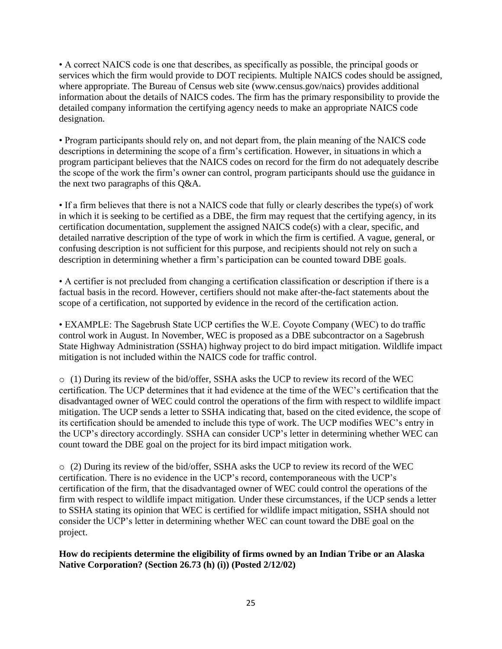• A correct NAICS code is one that describes, as specifically as possible, the principal goods or services which the firm would provide to DOT recipients. Multiple NAICS codes should be assigned, where appropriate. The Bureau of Census web site (www.census.gov/naics) provides additional information about the details of NAICS codes. The firm has the primary responsibility to provide the detailed company information the certifying agency needs to make an appropriate NAICS code designation.

• Program participants should rely on, and not depart from, the plain meaning of the NAICS code descriptions in determining the scope of a firm's certification. However, in situations in which a program participant believes that the NAICS codes on record for the firm do not adequately describe the scope of the work the firm's owner can control, program participants should use the guidance in the next two paragraphs of this Q&A.

• If a firm believes that there is not a NAICS code that fully or clearly describes the type(s) of work in which it is seeking to be certified as a DBE, the firm may request that the certifying agency, in its certification documentation, supplement the assigned NAICS code(s) with a clear, specific, and detailed narrative description of the type of work in which the firm is certified. A vague, general, or confusing description is not sufficient for this purpose, and recipients should not rely on such a description in determining whether a firm's participation can be counted toward DBE goals.

• A certifier is not precluded from changing a certification classification or description if there is a factual basis in the record. However, certifiers should not make after-the-fact statements about the scope of a certification, not supported by evidence in the record of the certification action.

• EXAMPLE: The Sagebrush State UCP certifies the W.E. Coyote Company (WEC) to do traffic control work in August. In November, WEC is proposed as a DBE subcontractor on a Sagebrush State Highway Administration (SSHA) highway project to do bird impact mitigation. Wildlife impact mitigation is not included within the NAICS code for traffic control.

 $\circ$  (1) During its review of the bid/offer, SSHA asks the UCP to review its record of the WEC certification. The UCP determines that it had evidence at the time of the WEC's certification that the disadvantaged owner of WEC could control the operations of the firm with respect to wildlife impact mitigation. The UCP sends a letter to SSHA indicating that, based on the cited evidence, the scope of its certification should be amended to include this type of work. The UCP modifies WEC's entry in the UCP's directory accordingly. SSHA can consider UCP's letter in determining whether WEC can count toward the DBE goal on the project for its bird impact mitigation work.

o (2) During its review of the bid/offer, SSHA asks the UCP to review its record of the WEC certification. There is no evidence in the UCP's record, contemporaneous with the UCP's certification of the firm, that the disadvantaged owner of WEC could control the operations of the firm with respect to wildlife impact mitigation. Under these circumstances, if the UCP sends a letter to SSHA stating its opinion that WEC is certified for wildlife impact mitigation, SSHA should not consider the UCP's letter in determining whether WEC can count toward the DBE goal on the project.

**How do recipients determine the eligibility of firms owned by an Indian Tribe or an Alaska Native Corporation? (Section 26.73 (h) (i)) (Posted 2/12/02)**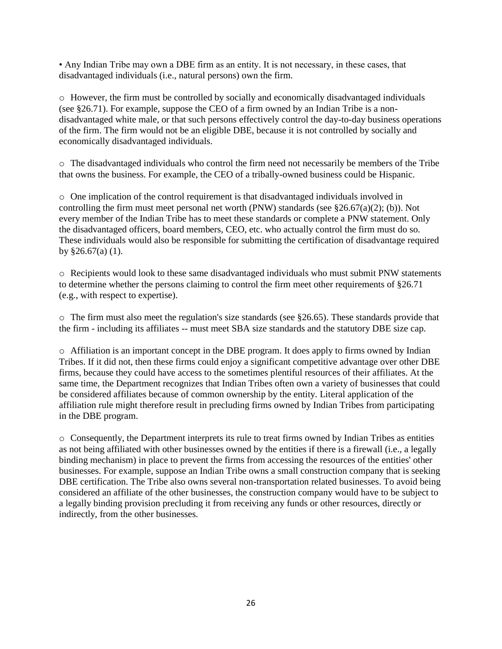• Any Indian Tribe may own a DBE firm as an entity. It is not necessary, in these cases, that disadvantaged individuals (i.e., natural persons) own the firm.

o However, the firm must be controlled by socially and economically disadvantaged individuals (see §26.71). For example, suppose the CEO of a firm owned by an Indian Tribe is a nondisadvantaged white male, or that such persons effectively control the day-to-day business operations of the firm. The firm would not be an eligible DBE, because it is not controlled by socially and economically disadvantaged individuals.

o The disadvantaged individuals who control the firm need not necessarily be members of the Tribe that owns the business. For example, the CEO of a tribally-owned business could be Hispanic.

o One implication of the control requirement is that disadvantaged individuals involved in controlling the firm must meet personal net worth (PNW) standards (see §26.67(a)(2); (b)). Not every member of the Indian Tribe has to meet these standards or complete a PNW statement. Only the disadvantaged officers, board members, CEO, etc. who actually control the firm must do so. These individuals would also be responsible for submitting the certification of disadvantage required by §26.67(a) (1).

o Recipients would look to these same disadvantaged individuals who must submit PNW statements to determine whether the persons claiming to control the firm meet other requirements of §26.71 (e.g., with respect to expertise).

 $\circ$  The firm must also meet the regulation's size standards (see §26.65). These standards provide that the firm - including its affiliates -- must meet SBA size standards and the statutory DBE size cap.

o Affiliation is an important concept in the DBE program. It does apply to firms owned by Indian Tribes. If it did not, then these firms could enjoy a significant competitive advantage over other DBE firms, because they could have access to the sometimes plentiful resources of their affiliates. At the same time, the Department recognizes that Indian Tribes often own a variety of businesses that could be considered affiliates because of common ownership by the entity. Literal application of the affiliation rule might therefore result in precluding firms owned by Indian Tribes from participating in the DBE program.

o Consequently, the Department interprets its rule to treat firms owned by Indian Tribes as entities as not being affiliated with other businesses owned by the entities if there is a firewall (i.e., a legally binding mechanism) in place to prevent the firms from accessing the resources of the entities' other businesses. For example, suppose an Indian Tribe owns a small construction company that is seeking DBE certification. The Tribe also owns several non-transportation related businesses. To avoid being considered an affiliate of the other businesses, the construction company would have to be subject to a legally binding provision precluding it from receiving any funds or other resources, directly or indirectly, from the other businesses.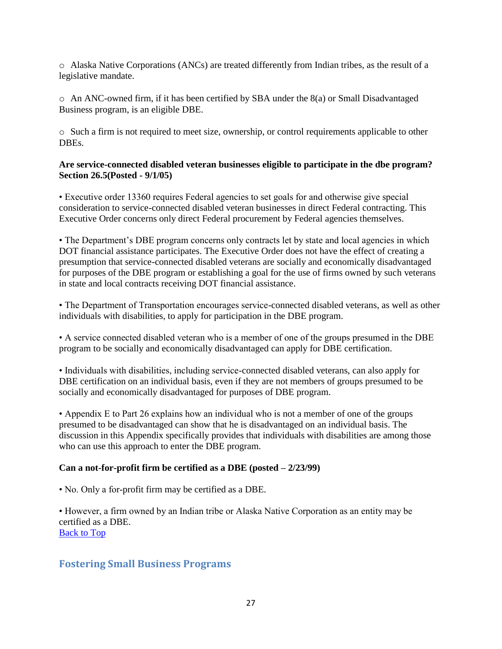o Alaska Native Corporations (ANCs) are treated differently from Indian tribes, as the result of a legislative mandate.

 $\circ$  An ANC-owned firm, if it has been certified by SBA under the 8(a) or Small Disadvantaged Business program, is an eligible DBE.

o Such a firm is not required to meet size, ownership, or control requirements applicable to other DBEs.

#### **Are service-connected disabled veteran businesses eligible to participate in the dbe program? Section 26.5(Posted - 9/1/05)**

• Executive order 13360 requires Federal agencies to set goals for and otherwise give special consideration to service-connected disabled veteran businesses in direct Federal contracting. This Executive Order concerns only direct Federal procurement by Federal agencies themselves.

• The Department's DBE program concerns only contracts let by state and local agencies in which DOT financial assistance participates. The Executive Order does not have the effect of creating a presumption that service-connected disabled veterans are socially and economically disadvantaged for purposes of the DBE program or establishing a goal for the use of firms owned by such veterans in state and local contracts receiving DOT financial assistance.

• The Department of Transportation encourages service-connected disabled veterans, as well as other individuals with disabilities, to apply for participation in the DBE program.

• A service connected disabled veteran who is a member of one of the groups presumed in the DBE program to be socially and economically disadvantaged can apply for DBE certification.

• Individuals with disabilities, including service-connected disabled veterans, can also apply for DBE certification on an individual basis, even if they are not members of groups presumed to be socially and economically disadvantaged for purposes of DBE program.

• Appendix E to Part 26 explains how an individual who is not a member of one of the groups presumed to be disadvantaged can show that he is disadvantaged on an individual basis. The discussion in this Appendix specifically provides that individuals with disabilities are among those who can use this approach to enter the DBE program.

# **Can a not-for-profit firm be certified as a DBE (posted – 2/23/99)**

• No. Only a for-profit firm may be certified as a DBE.

• However, a firm owned by an Indian tribe or Alaska Native Corporation as an entity may be certified as a DBE. [Back to Top](#page-0-1)

# <span id="page-26-0"></span>**Fostering Small Business Programs**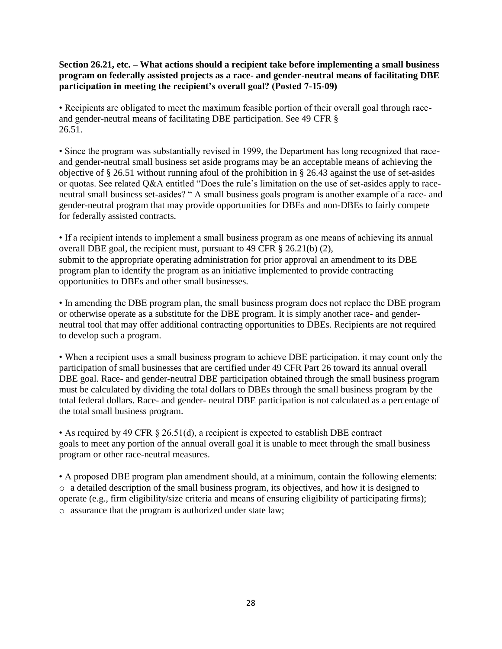**Section 26.21, etc. – What actions should a recipient take before implementing a small business program on federally assisted projects as a race- and gender-neutral means of facilitating DBE participation in meeting the recipient's overall goal? (Posted 7-15-09)** 

• Recipients are obligated to meet the maximum feasible portion of their overall goal through raceand gender-neutral means of facilitating DBE participation. See 49 CFR § 26.51.

• Since the program was substantially revised in 1999, the Department has long recognized that raceand gender-neutral small business set aside programs may be an acceptable means of achieving the objective of § 26.51 without running afoul of the prohibition in § 26.43 against the use of set-asides or quotas. See related Q&A entitled "Does the rule's limitation on the use of set-asides apply to raceneutral small business set-asides? " A small business goals program is another example of a race- and gender-neutral program that may provide opportunities for DBEs and non-DBEs to fairly compete for federally assisted contracts.

• If a recipient intends to implement a small business program as one means of achieving its annual overall DBE goal, the recipient must, pursuant to 49 CFR § 26.21(b) (2), submit to the appropriate operating administration for prior approval an amendment to its DBE program plan to identify the program as an initiative implemented to provide contracting opportunities to DBEs and other small businesses.

• In amending the DBE program plan, the small business program does not replace the DBE program or otherwise operate as a substitute for the DBE program. It is simply another race- and genderneutral tool that may offer additional contracting opportunities to DBEs. Recipients are not required to develop such a program.

• When a recipient uses a small business program to achieve DBE participation, it may count only the participation of small businesses that are certified under 49 CFR Part 26 toward its annual overall DBE goal. Race- and gender-neutral DBE participation obtained through the small business program must be calculated by dividing the total dollars to DBEs through the small business program by the total federal dollars. Race- and gender- neutral DBE participation is not calculated as a percentage of the total small business program.

• As required by 49 CFR § 26.51(d), a recipient is expected to establish DBE contract goals to meet any portion of the annual overall goal it is unable to meet through the small business program or other race-neutral measures.

• A proposed DBE program plan amendment should, at a minimum, contain the following elements: o a detailed description of the small business program, its objectives, and how it is designed to operate (e.g., firm eligibility/size criteria and means of ensuring eligibility of participating firms); o assurance that the program is authorized under state law;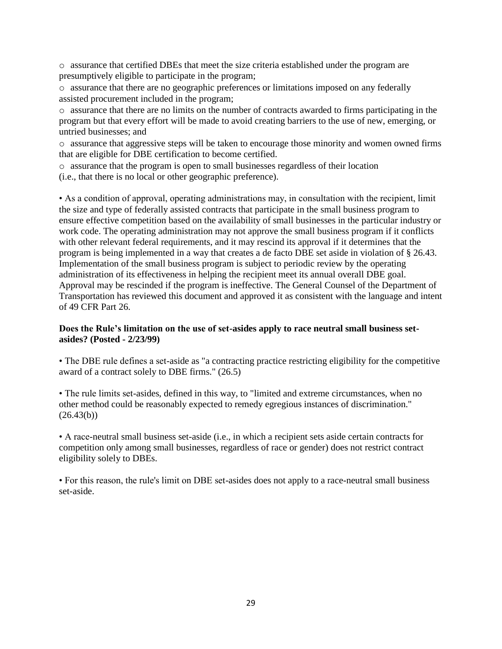o assurance that certified DBEs that meet the size criteria established under the program are presumptively eligible to participate in the program;

o assurance that there are no geographic preferences or limitations imposed on any federally assisted procurement included in the program;

o assurance that there are no limits on the number of contracts awarded to firms participating in the program but that every effort will be made to avoid creating barriers to the use of new, emerging, or untried businesses; and

o assurance that aggressive steps will be taken to encourage those minority and women owned firms that are eligible for DBE certification to become certified.

o assurance that the program is open to small businesses regardless of their location

(i.e., that there is no local or other geographic preference).

• As a condition of approval, operating administrations may, in consultation with the recipient, limit the size and type of federally assisted contracts that participate in the small business program to ensure effective competition based on the availability of small businesses in the particular industry or work code. The operating administration may not approve the small business program if it conflicts with other relevant federal requirements, and it may rescind its approval if it determines that the program is being implemented in a way that creates a de facto DBE set aside in violation of § 26.43. Implementation of the small business program is subject to periodic review by the operating administration of its effectiveness in helping the recipient meet its annual overall DBE goal. Approval may be rescinded if the program is ineffective. The General Counsel of the Department of Transportation has reviewed this document and approved it as consistent with the language and intent of 49 CFR Part 26.

#### **Does the Rule's limitation on the use of set-asides apply to race neutral small business setasides? (Posted - 2/23/99)**

• The DBE rule defines a set-aside as "a contracting practice restricting eligibility for the competitive award of a contract solely to DBE firms." (26.5)

• The rule limits set-asides, defined in this way, to "limited and extreme circumstances, when no other method could be reasonably expected to remedy egregious instances of discrimination."  $(26.43(b))$ 

• A race-neutral small business set-aside (i.e., in which a recipient sets aside certain contracts for competition only among small businesses, regardless of race or gender) does not restrict contract eligibility solely to DBEs.

• For this reason, the rule's limit on DBE set-asides does not apply to a race-neutral small business set-aside.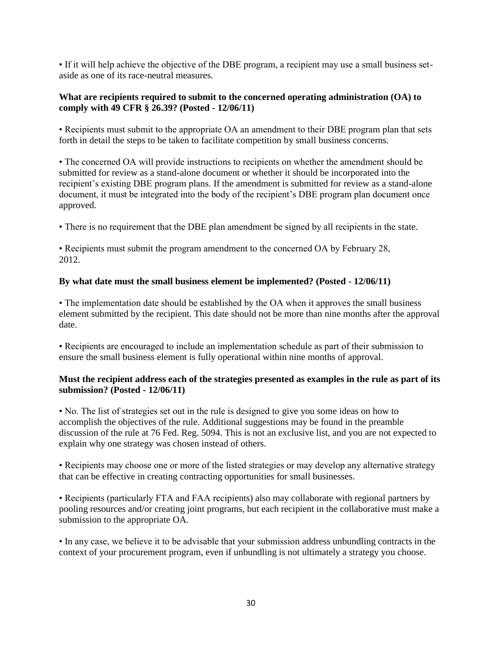• If it will help achieve the objective of the DBE program, a recipient may use a small business setaside as one of its race-neutral measures.

#### **What are recipients required to submit to the concerned operating administration (OA) to comply with 49 CFR § 26.39? (Posted - 12/06/11)**

• Recipients must submit to the appropriate OA an amendment to their DBE program plan that sets forth in detail the steps to be taken to facilitate competition by small business concerns.

• The concerned OA will provide instructions to recipients on whether the amendment should be submitted for review as a stand-alone document or whether it should be incorporated into the recipient's existing DBE program plans. If the amendment is submitted for review as a stand-alone document, it must be integrated into the body of the recipient's DBE program plan document once approved.

• There is no requirement that the DBE plan amendment be signed by all recipients in the state.

• Recipients must submit the program amendment to the concerned OA by February 28, 2012.

# **By what date must the small business element be implemented? (Posted - 12/06/11)**

• The implementation date should be established by the OA when it approves the small business element submitted by the recipient. This date should not be more than nine months after the approval date.

• Recipients are encouraged to include an implementation schedule as part of their submission to ensure the small business element is fully operational within nine months of approval.

#### **Must the recipient address each of the strategies presented as examples in the rule as part of its submission? (Posted - 12/06/11)**

• No. The list of strategies set out in the rule is designed to give you some ideas on how to accomplish the objectives of the rule. Additional suggestions may be found in the preamble discussion of the rule at 76 Fed. Reg. 5094. This is not an exclusive list, and you are not expected to explain why one strategy was chosen instead of others.

• Recipients may choose one or more of the listed strategies or may develop any alternative strategy that can be effective in creating contracting opportunities for small businesses.

• Recipients (particularly FTA and FAA recipients) also may collaborate with regional partners by pooling resources and/or creating joint programs, but each recipient in the collaborative must make a submission to the appropriate OA.

• In any case, we believe it to be advisable that your submission address unbundling contracts in the context of your procurement program, even if unbundling is not ultimately a strategy you choose.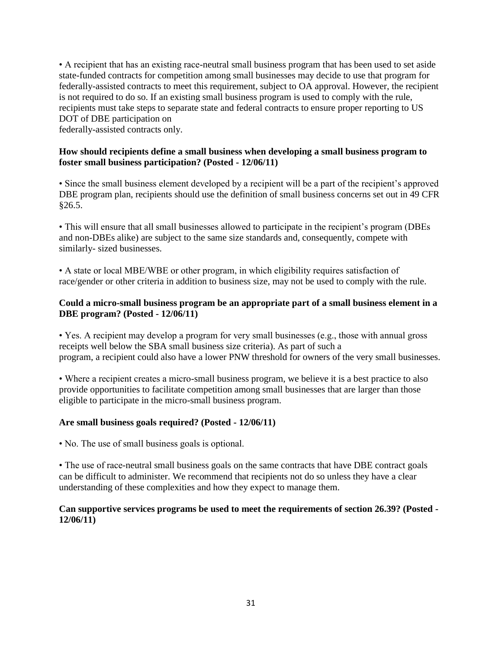• A recipient that has an existing race-neutral small business program that has been used to set aside state-funded contracts for competition among small businesses may decide to use that program for federally-assisted contracts to meet this requirement, subject to OA approval. However, the recipient is not required to do so. If an existing small business program is used to comply with the rule, recipients must take steps to separate state and federal contracts to ensure proper reporting to US DOT of DBE participation on

federally-assisted contracts only.

## **How should recipients define a small business when developing a small business program to foster small business participation? (Posted - 12/06/11)**

• Since the small business element developed by a recipient will be a part of the recipient's approved DBE program plan, recipients should use the definition of small business concerns set out in 49 CFR §26.5.

• This will ensure that all small businesses allowed to participate in the recipient's program (DBEs and non-DBEs alike) are subject to the same size standards and, consequently, compete with similarly- sized businesses.

• A state or local MBE/WBE or other program, in which eligibility requires satisfaction of race/gender or other criteria in addition to business size, may not be used to comply with the rule.

#### **Could a micro-small business program be an appropriate part of a small business element in a DBE program? (Posted - 12/06/11)**

• Yes. A recipient may develop a program for very small businesses (e.g., those with annual gross receipts well below the SBA small business size criteria). As part of such a program, a recipient could also have a lower PNW threshold for owners of the very small businesses.

• Where a recipient creates a micro-small business program, we believe it is a best practice to also provide opportunities to facilitate competition among small businesses that are larger than those eligible to participate in the micro-small business program.

#### **Are small business goals required? (Posted - 12/06/11)**

• No. The use of small business goals is optional.

• The use of race-neutral small business goals on the same contracts that have DBE contract goals can be difficult to administer. We recommend that recipients not do so unless they have a clear understanding of these complexities and how they expect to manage them.

#### **Can supportive services programs be used to meet the requirements of section 26.39? (Posted - 12/06/11)**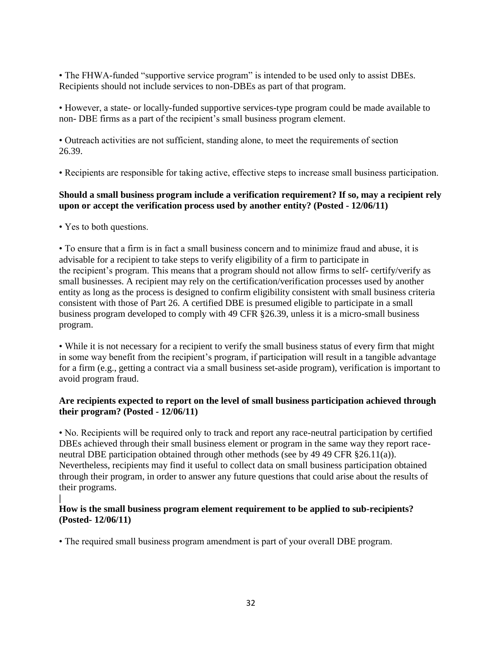• The FHWA-funded "supportive service program" is intended to be used only to assist DBEs. Recipients should not include services to non-DBEs as part of that program.

• However, a state- or locally-funded supportive services-type program could be made available to non- DBE firms as a part of the recipient's small business program element.

• Outreach activities are not sufficient, standing alone, to meet the requirements of section 26.39.

• Recipients are responsible for taking active, effective steps to increase small business participation.

# **Should a small business program include a verification requirement? If so, may a recipient rely upon or accept the verification process used by another entity? (Posted - 12/06/11)**

• Yes to both questions.

• To ensure that a firm is in fact a small business concern and to minimize fraud and abuse, it is advisable for a recipient to take steps to verify eligibility of a firm to participate in the recipient's program. This means that a program should not allow firms to self- certify/verify as small businesses. A recipient may rely on the certification/verification processes used by another entity as long as the process is designed to confirm eligibility consistent with small business criteria consistent with those of Part 26. A certified DBE is presumed eligible to participate in a small business program developed to comply with 49 CFR §26.39, unless it is a micro-small business program.

• While it is not necessary for a recipient to verify the small business status of every firm that might in some way benefit from the recipient's program, if participation will result in a tangible advantage for a firm (e.g., getting a contract via a small business set-aside program), verification is important to avoid program fraud.

#### **Are recipients expected to report on the level of small business participation achieved through their program? (Posted - 12/06/11)**

• No. Recipients will be required only to track and report any race-neutral participation by certified DBEs achieved through their small business element or program in the same way they report raceneutral DBE participation obtained through other methods (see by 49 49 CFR §26.11(a)). Nevertheless, recipients may find it useful to collect data on small business participation obtained through their program, in order to answer any future questions that could arise about the results of their programs.

# **|**

#### **How is the small business program element requirement to be applied to sub-recipients? (Posted- 12/06/11)**

• The required small business program amendment is part of your overall DBE program.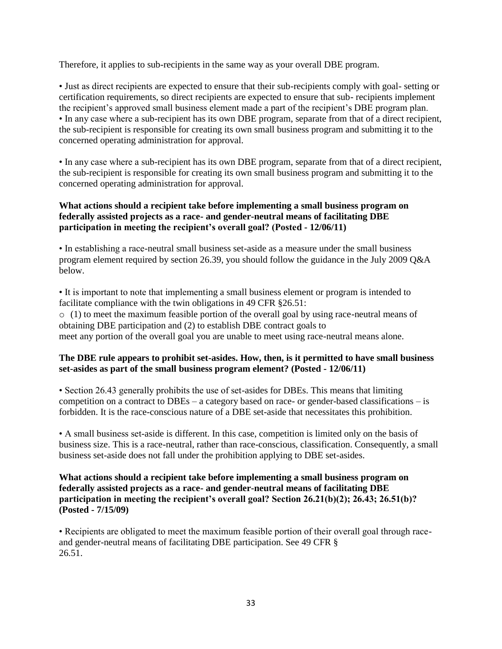Therefore, it applies to sub-recipients in the same way as your overall DBE program.

• Just as direct recipients are expected to ensure that their sub-recipients comply with goal- setting or certification requirements, so direct recipients are expected to ensure that sub- recipients implement the recipient's approved small business element made a part of the recipient's DBE program plan. • In any case where a sub-recipient has its own DBE program, separate from that of a direct recipient, the sub-recipient is responsible for creating its own small business program and submitting it to the concerned operating administration for approval.

• In any case where a sub-recipient has its own DBE program, separate from that of a direct recipient, the sub-recipient is responsible for creating its own small business program and submitting it to the concerned operating administration for approval.

## **What actions should a recipient take before implementing a small business program on federally assisted projects as a race- and gender-neutral means of facilitating DBE participation in meeting the recipient's overall goal? (Posted - 12/06/11)**

• In establishing a race-neutral small business set-aside as a measure under the small business program element required by section 26.39, you should follow the guidance in the July 2009 Q&A below.

• It is important to note that implementing a small business element or program is intended to facilitate compliance with the twin obligations in 49 CFR §26.51:

o (1) to meet the maximum feasible portion of the overall goal by using race-neutral means of obtaining DBE participation and (2) to establish DBE contract goals to meet any portion of the overall goal you are unable to meet using race-neutral means alone.

#### **The DBE rule appears to prohibit set-asides. How, then, is it permitted to have small business set-asides as part of the small business program element? (Posted - 12/06/11)**

• Section 26.43 generally prohibits the use of set-asides for DBEs. This means that limiting competition on a contract to DBEs – a category based on race- or gender-based classifications – is forbidden. It is the race-conscious nature of a DBE set-aside that necessitates this prohibition.

• A small business set-aside is different. In this case, competition is limited only on the basis of business size. This is a race-neutral, rather than race-conscious, classification. Consequently, a small business set-aside does not fall under the prohibition applying to DBE set-asides.

#### **What actions should a recipient take before implementing a small business program on federally assisted projects as a race- and gender-neutral means of facilitating DBE participation in meeting the recipient's overall goal? Section 26.21(b)(2); 26.43; 26.51(b)? (Posted - 7/15/09)**

• Recipients are obligated to meet the maximum feasible portion of their overall goal through raceand gender-neutral means of facilitating DBE participation. See 49 CFR § 26.51.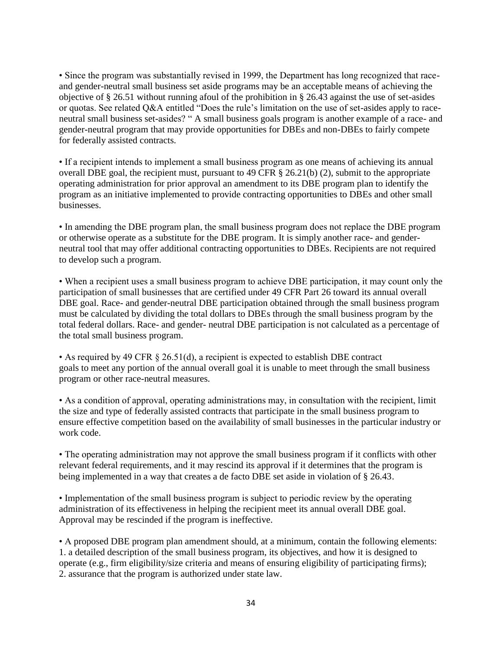• Since the program was substantially revised in 1999, the Department has long recognized that raceand gender-neutral small business set aside programs may be an acceptable means of achieving the objective of § 26.51 without running afoul of the prohibition in § 26.43 against the use of set-asides or quotas. See related Q&A entitled "Does the rule's limitation on the use of set-asides apply to raceneutral small business set-asides? " A small business goals program is another example of a race- and gender-neutral program that may provide opportunities for DBEs and non-DBEs to fairly compete for federally assisted contracts.

• If a recipient intends to implement a small business program as one means of achieving its annual overall DBE goal, the recipient must, pursuant to 49 CFR § 26.21(b) (2), submit to the appropriate operating administration for prior approval an amendment to its DBE program plan to identify the program as an initiative implemented to provide contracting opportunities to DBEs and other small businesses.

• In amending the DBE program plan, the small business program does not replace the DBE program or otherwise operate as a substitute for the DBE program. It is simply another race- and genderneutral tool that may offer additional contracting opportunities to DBEs. Recipients are not required to develop such a program.

• When a recipient uses a small business program to achieve DBE participation, it may count only the participation of small businesses that are certified under 49 CFR Part 26 toward its annual overall DBE goal. Race- and gender-neutral DBE participation obtained through the small business program must be calculated by dividing the total dollars to DBEs through the small business program by the total federal dollars. Race- and gender- neutral DBE participation is not calculated as a percentage of the total small business program.

• As required by 49 CFR § 26.51(d), a recipient is expected to establish DBE contract goals to meet any portion of the annual overall goal it is unable to meet through the small business program or other race-neutral measures.

• As a condition of approval, operating administrations may, in consultation with the recipient, limit the size and type of federally assisted contracts that participate in the small business program to ensure effective competition based on the availability of small businesses in the particular industry or work code.

• The operating administration may not approve the small business program if it conflicts with other relevant federal requirements, and it may rescind its approval if it determines that the program is being implemented in a way that creates a de facto DBE set aside in violation of § 26.43.

• Implementation of the small business program is subject to periodic review by the operating administration of its effectiveness in helping the recipient meet its annual overall DBE goal. Approval may be rescinded if the program is ineffective.

• A proposed DBE program plan amendment should, at a minimum, contain the following elements: 1. a detailed description of the small business program, its objectives, and how it is designed to operate (e.g., firm eligibility/size criteria and means of ensuring eligibility of participating firms); 2. assurance that the program is authorized under state law.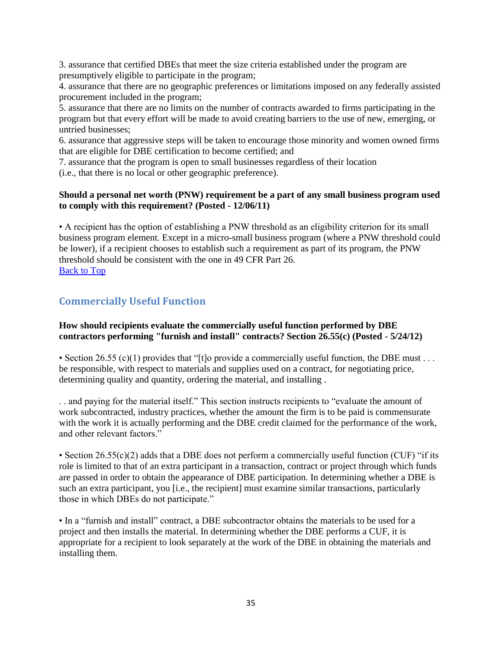3. assurance that certified DBEs that meet the size criteria established under the program are presumptively eligible to participate in the program;

4. assurance that there are no geographic preferences or limitations imposed on any federally assisted procurement included in the program;

5. assurance that there are no limits on the number of contracts awarded to firms participating in the program but that every effort will be made to avoid creating barriers to the use of new, emerging, or untried businesses;

6. assurance that aggressive steps will be taken to encourage those minority and women owned firms that are eligible for DBE certification to become certified; and

7. assurance that the program is open to small businesses regardless of their location

(i.e., that there is no local or other geographic preference).

#### **Should a personal net worth (PNW) requirement be a part of any small business program used to comply with this requirement? (Posted - 12/06/11)**

• A recipient has the option of establishing a PNW threshold as an eligibility criterion for its small business program element. Except in a micro-small business program (where a PNW threshold could be lower), if a recipient chooses to establish such a requirement as part of its program, the PNW threshold should be consistent with the one in 49 CFR Part 26. [Back to Top](#page-0-1)

# <span id="page-34-0"></span>**Commercially Useful Function**

## **How should recipients evaluate the commercially useful function performed by DBE contractors performing "furnish and install" contracts? Section 26.55(c) (Posted - 5/24/12)**

• Section 26.55 (c)(1) provides that "[t]o provide a commercially useful function, the DBE must . . . be responsible, with respect to materials and supplies used on a contract, for negotiating price, determining quality and quantity, ordering the material, and installing .

. . and paying for the material itself." This section instructs recipients to "evaluate the amount of work subcontracted, industry practices, whether the amount the firm is to be paid is commensurate with the work it is actually performing and the DBE credit claimed for the performance of the work, and other relevant factors."

• Section 26.55(c)(2) adds that a DBE does not perform a commercially useful function (CUF) "if its role is limited to that of an extra participant in a transaction, contract or project through which funds are passed in order to obtain the appearance of DBE participation. In determining whether a DBE is such an extra participant, you [i.e., the recipient] must examine similar transactions, particularly those in which DBEs do not participate."

• In a "furnish and install" contract, a DBE subcontractor obtains the materials to be used for a project and then installs the material. In determining whether the DBE performs a CUF, it is appropriate for a recipient to look separately at the work of the DBE in obtaining the materials and installing them.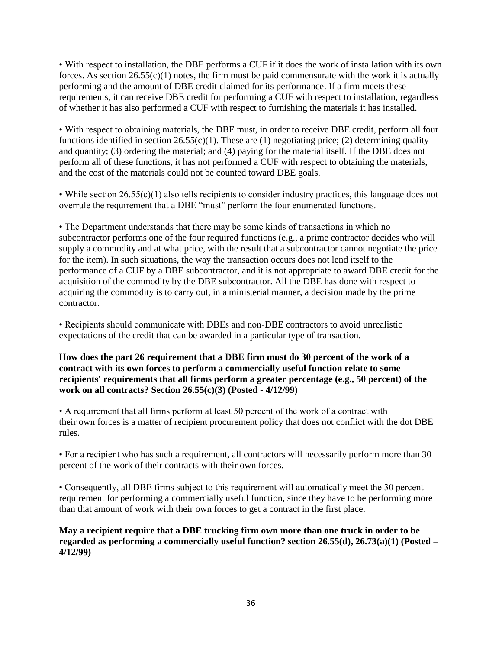• With respect to installation, the DBE performs a CUF if it does the work of installation with its own forces. As section  $26.55(c)(1)$  notes, the firm must be paid commensurate with the work it is actually performing and the amount of DBE credit claimed for its performance. If a firm meets these requirements, it can receive DBE credit for performing a CUF with respect to installation, regardless of whether it has also performed a CUF with respect to furnishing the materials it has installed.

• With respect to obtaining materials, the DBE must, in order to receive DBE credit, perform all four functions identified in section  $26.55(c)(1)$ . These are (1) negotiating price; (2) determining quality and quantity; (3) ordering the material; and (4) paying for the material itself. If the DBE does not perform all of these functions, it has not performed a CUF with respect to obtaining the materials, and the cost of the materials could not be counted toward DBE goals.

• While section 26.55(c)(1) also tells recipients to consider industry practices, this language does not overrule the requirement that a DBE "must" perform the four enumerated functions.

• The Department understands that there may be some kinds of transactions in which no subcontractor performs one of the four required functions (e.g., a prime contractor decides who will supply a commodity and at what price, with the result that a subcontractor cannot negotiate the price for the item). In such situations, the way the transaction occurs does not lend itself to the performance of a CUF by a DBE subcontractor, and it is not appropriate to award DBE credit for the acquisition of the commodity by the DBE subcontractor. All the DBE has done with respect to acquiring the commodity is to carry out, in a ministerial manner, a decision made by the prime contractor.

• Recipients should communicate with DBEs and non-DBE contractors to avoid unrealistic expectations of the credit that can be awarded in a particular type of transaction.

**How does the part 26 requirement that a DBE firm must do 30 percent of the work of a contract with its own forces to perform a commercially useful function relate to some recipients' requirements that all firms perform a greater percentage (e.g., 50 percent) of the work on all contracts? Section 26.55(c)(3) (Posted - 4/12/99)** 

• A requirement that all firms perform at least 50 percent of the work of a contract with their own forces is a matter of recipient procurement policy that does not conflict with the dot DBE rules.

• For a recipient who has such a requirement, all contractors will necessarily perform more than 30 percent of the work of their contracts with their own forces.

• Consequently, all DBE firms subject to this requirement will automatically meet the 30 percent requirement for performing a commercially useful function, since they have to be performing more than that amount of work with their own forces to get a contract in the first place.

**May a recipient require that a DBE trucking firm own more than one truck in order to be regarded as performing a commercially useful function? section 26.55(d), 26.73(a)(1) (Posted – 4/12/99)**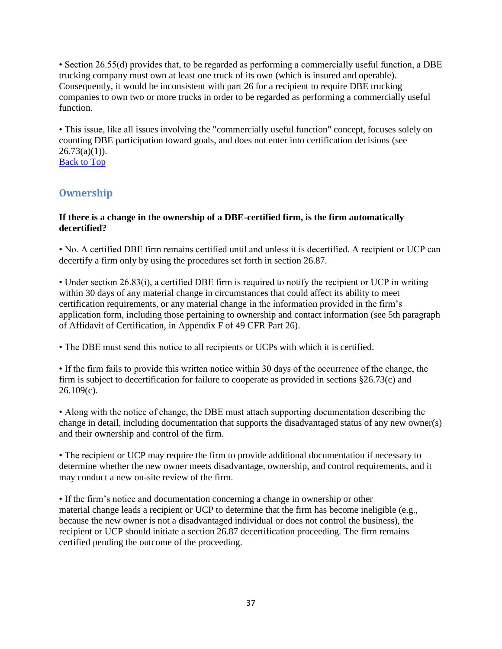• Section 26.55(d) provides that, to be regarded as performing a commercially useful function, a DBE trucking company must own at least one truck of its own (which is insured and operable). Consequently, it would be inconsistent with part 26 for a recipient to require DBE trucking companies to own two or more trucks in order to be regarded as performing a commercially useful function.

• This issue, like all issues involving the "commercially useful function" concept, focuses solely on counting DBE participation toward goals, and does not enter into certification decisions (see  $26.73(a)(1)$ ).

**[Back to Top](#page-0-0)** 

# **Ownership**

## **If there is a change in the ownership of a DBE-certified firm, is the firm automatically decertified?**

• No. A certified DBE firm remains certified until and unless it is decertified. A recipient or UCP can decertify a firm only by using the procedures set forth in section 26.87.

• Under section 26.83(i), a certified DBE firm is required to notify the recipient or UCP in writing within 30 days of any material change in circumstances that could affect its ability to meet certification requirements, or any material change in the information provided in the firm's application form, including those pertaining to ownership and contact information (see 5th paragraph of Affidavit of Certification, in Appendix F of 49 CFR Part 26).

• The DBE must send this notice to all recipients or UCPs with which it is certified.

• If the firm fails to provide this written notice within 30 days of the occurrence of the change, the firm is subject to decertification for failure to cooperate as provided in sections §26.73(c) and  $26.109(c)$ .

• Along with the notice of change, the DBE must attach supporting documentation describing the change in detail, including documentation that supports the disadvantaged status of any new owner(s) and their ownership and control of the firm.

• The recipient or UCP may require the firm to provide additional documentation if necessary to determine whether the new owner meets disadvantage, ownership, and control requirements, and it may conduct a new on-site review of the firm.

• If the firm's notice and documentation concerning a change in ownership or other material change leads a recipient or UCP to determine that the firm has become ineligible (e.g., because the new owner is not a disadvantaged individual or does not control the business), the recipient or UCP should initiate a section 26.87 decertification proceeding. The firm remains certified pending the outcome of the proceeding.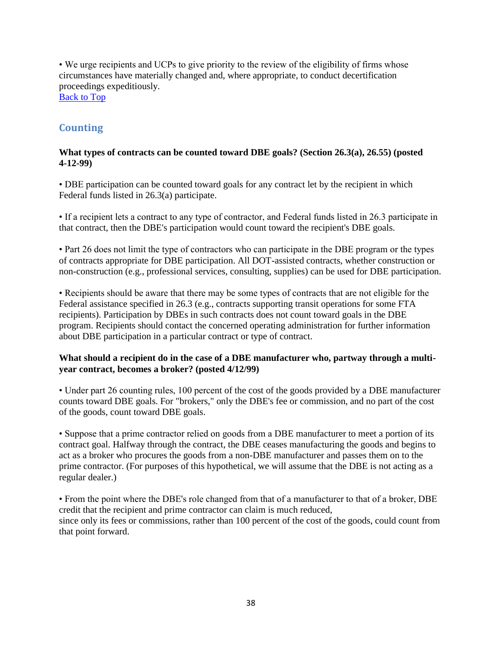• We urge recipients and UCPs to give priority to the review of the eligibility of firms whose circumstances have materially changed and, where appropriate, to conduct decertification proceedings expeditiously.

[Back to Top](#page-0-0)

# **Counting**

## **What types of contracts can be counted toward DBE goals? (Section 26.3(a), 26.55) (posted 4-12-99)**

• DBE participation can be counted toward goals for any contract let by the recipient in which Federal funds listed in 26.3(a) participate.

• If a recipient lets a contract to any type of contractor, and Federal funds listed in 26.3 participate in that contract, then the DBE's participation would count toward the recipient's DBE goals.

• Part 26 does not limit the type of contractors who can participate in the DBE program or the types of contracts appropriate for DBE participation. All DOT-assisted contracts, whether construction or non-construction (e.g., professional services, consulting, supplies) can be used for DBE participation.

• Recipients should be aware that there may be some types of contracts that are not eligible for the Federal assistance specified in 26.3 (e.g., contracts supporting transit operations for some FTA recipients). Participation by DBEs in such contracts does not count toward goals in the DBE program. Recipients should contact the concerned operating administration for further information about DBE participation in a particular contract or type of contract.

# **What should a recipient do in the case of a DBE manufacturer who, partway through a multiyear contract, becomes a broker? (posted 4/12/99)**

• Under part 26 counting rules, 100 percent of the cost of the goods provided by a DBE manufacturer counts toward DBE goals. For "brokers," only the DBE's fee or commission, and no part of the cost of the goods, count toward DBE goals.

• Suppose that a prime contractor relied on goods from a DBE manufacturer to meet a portion of its contract goal. Halfway through the contract, the DBE ceases manufacturing the goods and begins to act as a broker who procures the goods from a non-DBE manufacturer and passes them on to the prime contractor. (For purposes of this hypothetical, we will assume that the DBE is not acting as a regular dealer.)

• From the point where the DBE's role changed from that of a manufacturer to that of a broker, DBE credit that the recipient and prime contractor can claim is much reduced, since only its fees or commissions, rather than 100 percent of the cost of the goods, could count from that point forward.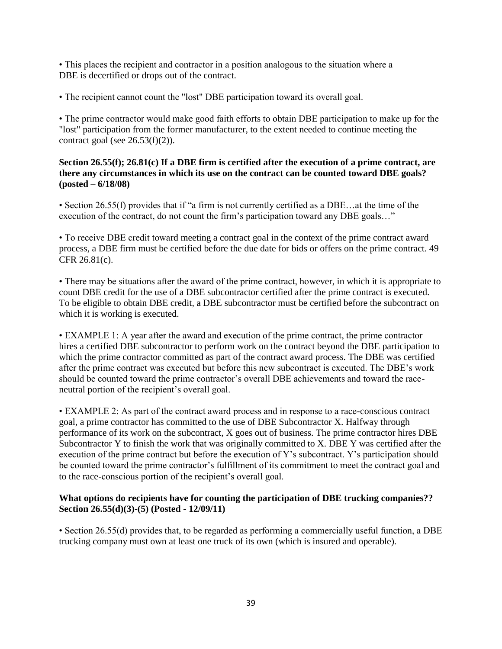• This places the recipient and contractor in a position analogous to the situation where a DBE is decertified or drops out of the contract.

• The recipient cannot count the "lost" DBE participation toward its overall goal.

• The prime contractor would make good faith efforts to obtain DBE participation to make up for the "lost" participation from the former manufacturer, to the extent needed to continue meeting the contract goal (see  $26.53(f)(2)$ ).

# **Section 26.55(f); 26.81(c) If a DBE firm is certified after the execution of a prime contract, are there any circumstances in which its use on the contract can be counted toward DBE goals? (posted – 6/18/08)**

• Section 26.55(f) provides that if "a firm is not currently certified as a DBE...at the time of the execution of the contract, do not count the firm's participation toward any DBE goals…"

• To receive DBE credit toward meeting a contract goal in the context of the prime contract award process, a DBE firm must be certified before the due date for bids or offers on the prime contract. 49 CFR 26.81(c).

• There may be situations after the award of the prime contract, however, in which it is appropriate to count DBE credit for the use of a DBE subcontractor certified after the prime contract is executed. To be eligible to obtain DBE credit, a DBE subcontractor must be certified before the subcontract on which it is working is executed.

• EXAMPLE 1: A year after the award and execution of the prime contract, the prime contractor hires a certified DBE subcontractor to perform work on the contract beyond the DBE participation to which the prime contractor committed as part of the contract award process. The DBE was certified after the prime contract was executed but before this new subcontract is executed. The DBE's work should be counted toward the prime contractor's overall DBE achievements and toward the raceneutral portion of the recipient's overall goal.

• EXAMPLE 2: As part of the contract award process and in response to a race-conscious contract goal, a prime contractor has committed to the use of DBE Subcontractor X. Halfway through performance of its work on the subcontract, X goes out of business. The prime contractor hires DBE Subcontractor Y to finish the work that was originally committed to X. DBE Y was certified after the execution of the prime contract but before the execution of Y's subcontract. Y's participation should be counted toward the prime contractor's fulfillment of its commitment to meet the contract goal and to the race-conscious portion of the recipient's overall goal.

# **What options do recipients have for counting the participation of DBE trucking companies?? Section 26.55(d)(3)-(5) (Posted - 12/09/11)**

• Section 26.55(d) provides that, to be regarded as performing a commercially useful function, a DBE trucking company must own at least one truck of its own (which is insured and operable).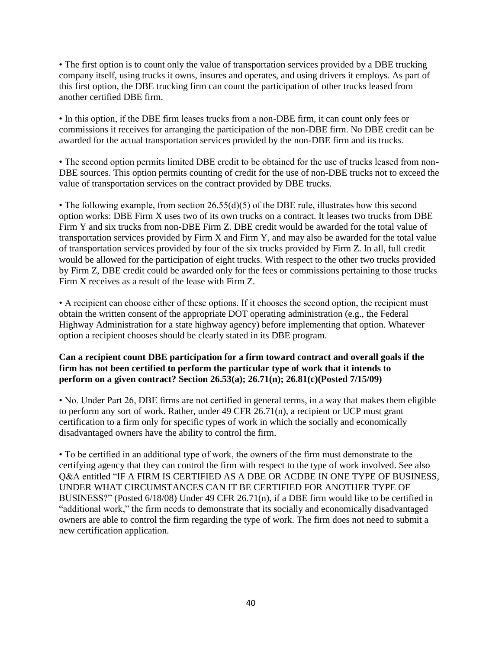• The first option is to count only the value of transportation services provided by a DBE trucking company itself, using trucks it owns, insures and operates, and using drivers it employs. As part of this first option, the DBE trucking firm can count the participation of other trucks leased from another certified DBE firm.

• In this option, if the DBE firm leases trucks from a non-DBE firm, it can count only fees or commissions it receives for arranging the participation of the non-DBE firm. No DBE credit can be awarded for the actual transportation services provided by the non-DBE firm and its trucks.

• The second option permits limited DBE credit to be obtained for the use of trucks leased from non-DBE sources. This option permits counting of credit for the use of non-DBE trucks not to exceed the value of transportation services on the contract provided by DBE trucks.

• The following example, from section  $26.55(d)(5)$  of the DBE rule, illustrates how this second option works: DBE Firm X uses two of its own trucks on a contract. It leases two trucks from DBE Firm Y and six trucks from non-DBE Firm Z. DBE credit would be awarded for the total value of transportation services provided by Firm X and Firm Y, and may also be awarded for the total value of transportation services provided by four of the six trucks provided by Firm Z. In all, full credit would be allowed for the participation of eight trucks. With respect to the other two trucks provided by Firm Z, DBE credit could be awarded only for the fees or commissions pertaining to those trucks Firm X receives as a result of the lease with Firm Z.

• A recipient can choose either of these options. If it chooses the second option, the recipient must obtain the written consent of the appropriate DOT operating administration (e.g., the Federal Highway Administration for a state highway agency) before implementing that option. Whatever option a recipient chooses should be clearly stated in its DBE program.

## **Can a recipient count DBE participation for a firm toward contract and overall goals if the firm has not been certified to perform the particular type of work that it intends to perform on a given contract? Section 26.53(a); 26.71(n); 26.81(c)(Posted 7/15/09)**

• No. Under Part 26, DBE firms are not certified in general terms, in a way that makes them eligible to perform any sort of work. Rather, under 49 CFR 26.71(n), a recipient or UCP must grant certification to a firm only for specific types of work in which the socially and economically disadvantaged owners have the ability to control the firm.

• To be certified in an additional type of work, the owners of the firm must demonstrate to the certifying agency that they can control the firm with respect to the type of work involved. See also Q&A entitled "IF A FIRM IS CERTIFIED AS A DBE OR ACDBE IN ONE TYPE OF BUSINESS, UNDER WHAT CIRCUMSTANCES CAN IT BE CERTIFIED FOR ANOTHER TYPE OF BUSINESS?" (Posted 6/18/08) Under 49 CFR 26.71(n), if a DBE firm would like to be certified in "additional work," the firm needs to demonstrate that its socially and economically disadvantaged owners are able to control the firm regarding the type of work. The firm does not need to submit a new certification application.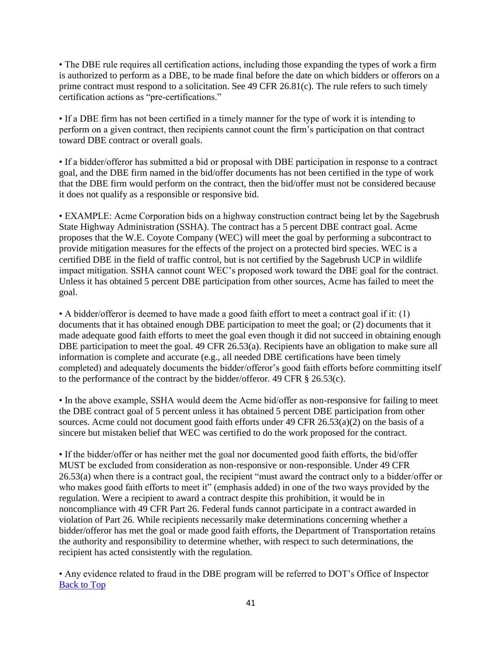• The DBE rule requires all certification actions, including those expanding the types of work a firm is authorized to perform as a DBE, to be made final before the date on which bidders or offerors on a prime contract must respond to a solicitation. See 49 CFR 26.81(c). The rule refers to such timely certification actions as "pre-certifications."

• If a DBE firm has not been certified in a timely manner for the type of work it is intending to perform on a given contract, then recipients cannot count the firm's participation on that contract toward DBE contract or overall goals.

• If a bidder/offeror has submitted a bid or proposal with DBE participation in response to a contract goal, and the DBE firm named in the bid/offer documents has not been certified in the type of work that the DBE firm would perform on the contract, then the bid/offer must not be considered because it does not qualify as a responsible or responsive bid.

• EXAMPLE: Acme Corporation bids on a highway construction contract being let by the Sagebrush State Highway Administration (SSHA). The contract has a 5 percent DBE contract goal. Acme proposes that the W.E. Coyote Company (WEC) will meet the goal by performing a subcontract to provide mitigation measures for the effects of the project on a protected bird species. WEC is a certified DBE in the field of traffic control, but is not certified by the Sagebrush UCP in wildlife impact mitigation. SSHA cannot count WEC's proposed work toward the DBE goal for the contract. Unless it has obtained 5 percent DBE participation from other sources, Acme has failed to meet the goal.

• A bidder/offeror is deemed to have made a good faith effort to meet a contract goal if it: (1) documents that it has obtained enough DBE participation to meet the goal; or (2) documents that it made adequate good faith efforts to meet the goal even though it did not succeed in obtaining enough DBE participation to meet the goal. 49 CFR 26.53(a). Recipients have an obligation to make sure all information is complete and accurate (e.g., all needed DBE certifications have been timely completed) and adequately documents the bidder/offeror's good faith efforts before committing itself to the performance of the contract by the bidder/offeror. 49 CFR § 26.53(c).

• In the above example, SSHA would deem the Acme bid/offer as non-responsive for failing to meet the DBE contract goal of 5 percent unless it has obtained 5 percent DBE participation from other sources. Acme could not document good faith efforts under 49 CFR 26.53(a)(2) on the basis of a sincere but mistaken belief that WEC was certified to do the work proposed for the contract.

• If the bidder/offer or has neither met the goal nor documented good faith efforts, the bid/offer MUST be excluded from consideration as non-responsive or non-responsible. Under 49 CFR 26.53(a) when there is a contract goal, the recipient "must award the contract only to a bidder/offer or who makes good faith efforts to meet it" (emphasis added) in one of the two ways provided by the regulation. Were a recipient to award a contract despite this prohibition, it would be in noncompliance with 49 CFR Part 26. Federal funds cannot participate in a contract awarded in violation of Part 26. While recipients necessarily make determinations concerning whether a bidder/offeror has met the goal or made good faith efforts, the Department of Transportation retains the authority and responsibility to determine whether, with respect to such determinations, the recipient has acted consistently with the regulation.

• Any evidence related to fraud in the DBE program will be referred to DOT's Office of Inspector [Back to Top](#page-0-0)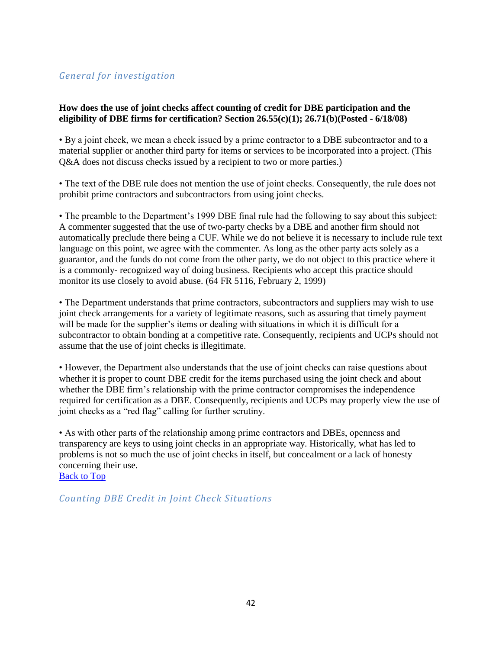# *General for investigation*

## **How does the use of joint checks affect counting of credit for DBE participation and the eligibility of DBE firms for certification? Section 26.55(c)(1); 26.71(b)(Posted - 6/18/08)**

• By a joint check, we mean a check issued by a prime contractor to a DBE subcontractor and to a material supplier or another third party for items or services to be incorporated into a project. (This Q&A does not discuss checks issued by a recipient to two or more parties.)

• The text of the DBE rule does not mention the use of joint checks. Consequently, the rule does not prohibit prime contractors and subcontractors from using joint checks.

• The preamble to the Department's 1999 DBE final rule had the following to say about this subject: A commenter suggested that the use of two-party checks by a DBE and another firm should not automatically preclude there being a CUF. While we do not believe it is necessary to include rule text language on this point, we agree with the commenter. As long as the other party acts solely as a guarantor, and the funds do not come from the other party, we do not object to this practice where it is a commonly- recognized way of doing business. Recipients who accept this practice should monitor its use closely to avoid abuse. (64 FR 5116, February 2, 1999)

• The Department understands that prime contractors, subcontractors and suppliers may wish to use joint check arrangements for a variety of legitimate reasons, such as assuring that timely payment will be made for the supplier's items or dealing with situations in which it is difficult for a subcontractor to obtain bonding at a competitive rate. Consequently, recipients and UCPs should not assume that the use of joint checks is illegitimate.

• However, the Department also understands that the use of joint checks can raise questions about whether it is proper to count DBE credit for the items purchased using the joint check and about whether the DBE firm's relationship with the prime contractor compromises the independence required for certification as a DBE. Consequently, recipients and UCPs may properly view the use of joint checks as a "red flag" calling for further scrutiny.

• As with other parts of the relationship among prime contractors and DBEs, openness and transparency are keys to using joint checks in an appropriate way. Historically, what has led to problems is not so much the use of joint checks in itself, but concealment or a lack of honesty concerning their use.

[Back to Top](#page-0-0)

*Counting DBE Credit in Joint Check Situations*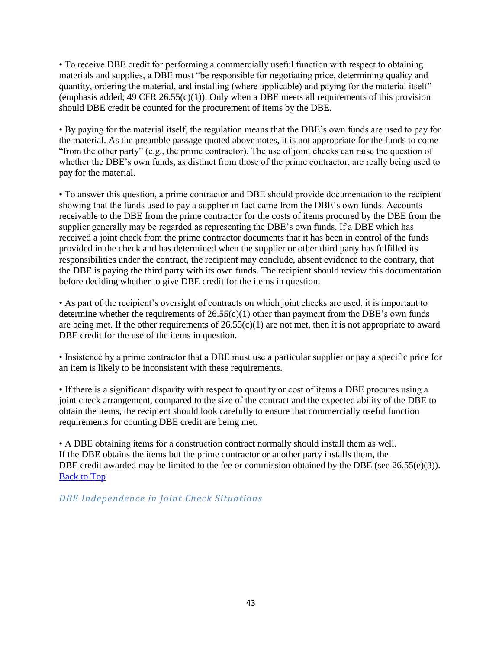• To receive DBE credit for performing a commercially useful function with respect to obtaining materials and supplies, a DBE must "be responsible for negotiating price, determining quality and quantity, ordering the material, and installing (where applicable) and paying for the material itself" (emphasis added; 49 CFR  $26.55(c)(1)$ ). Only when a DBE meets all requirements of this provision should DBE credit be counted for the procurement of items by the DBE.

• By paying for the material itself, the regulation means that the DBE's own funds are used to pay for the material. As the preamble passage quoted above notes, it is not appropriate for the funds to come "from the other party" (e.g., the prime contractor). The use of joint checks can raise the question of whether the DBE's own funds, as distinct from those of the prime contractor, are really being used to pay for the material.

• To answer this question, a prime contractor and DBE should provide documentation to the recipient showing that the funds used to pay a supplier in fact came from the DBE's own funds. Accounts receivable to the DBE from the prime contractor for the costs of items procured by the DBE from the supplier generally may be regarded as representing the DBE's own funds. If a DBE which has received a joint check from the prime contractor documents that it has been in control of the funds provided in the check and has determined when the supplier or other third party has fulfilled its responsibilities under the contract, the recipient may conclude, absent evidence to the contrary, that the DBE is paying the third party with its own funds. The recipient should review this documentation before deciding whether to give DBE credit for the items in question.

• As part of the recipient's oversight of contracts on which joint checks are used, it is important to determine whether the requirements of  $26.55(c)(1)$  other than payment from the DBE's own funds are being met. If the other requirements of  $26.55(c)(1)$  are not met, then it is not appropriate to award DBE credit for the use of the items in question.

• Insistence by a prime contractor that a DBE must use a particular supplier or pay a specific price for an item is likely to be inconsistent with these requirements.

• If there is a significant disparity with respect to quantity or cost of items a DBE procures using a joint check arrangement, compared to the size of the contract and the expected ability of the DBE to obtain the items, the recipient should look carefully to ensure that commercially useful function requirements for counting DBE credit are being met.

• A DBE obtaining items for a construction contract normally should install them as well. If the DBE obtains the items but the prime contractor or another party installs them, the DBE credit awarded may be limited to the fee or commission obtained by the DBE (see 26.55(e)(3)). [Back to Top](#page-0-0)

*DBE Independence in Joint Check Situations*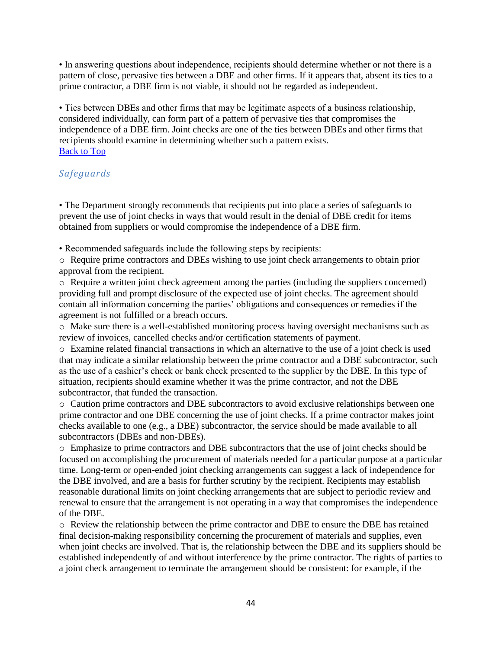• In answering questions about independence, recipients should determine whether or not there is a pattern of close, pervasive ties between a DBE and other firms. If it appears that, absent its ties to a prime contractor, a DBE firm is not viable, it should not be regarded as independent.

• Ties between DBEs and other firms that may be legitimate aspects of a business relationship, considered individually, can form part of a pattern of pervasive ties that compromises the independence of a DBE firm. Joint checks are one of the ties between DBEs and other firms that recipients should examine in determining whether such a pattern exists. [Back to Top](#page-0-0)

# *Safeguards*

• The Department strongly recommends that recipients put into place a series of safeguards to prevent the use of joint checks in ways that would result in the denial of DBE credit for items obtained from suppliers or would compromise the independence of a DBE firm.

• Recommended safeguards include the following steps by recipients:

o Require prime contractors and DBEs wishing to use joint check arrangements to obtain prior approval from the recipient.

o Require a written joint check agreement among the parties (including the suppliers concerned) providing full and prompt disclosure of the expected use of joint checks. The agreement should contain all information concerning the parties' obligations and consequences or remedies if the agreement is not fulfilled or a breach occurs.

o Make sure there is a well-established monitoring process having oversight mechanisms such as review of invoices, cancelled checks and/or certification statements of payment.

o Examine related financial transactions in which an alternative to the use of a joint check is used that may indicate a similar relationship between the prime contractor and a DBE subcontractor, such as the use of a cashier's check or bank check presented to the supplier by the DBE. In this type of situation, recipients should examine whether it was the prime contractor, and not the DBE subcontractor, that funded the transaction.

o Caution prime contractors and DBE subcontractors to avoid exclusive relationships between one prime contractor and one DBE concerning the use of joint checks. If a prime contractor makes joint checks available to one (e.g., a DBE) subcontractor, the service should be made available to all subcontractors (DBEs and non-DBEs).

o Emphasize to prime contractors and DBE subcontractors that the use of joint checks should be focused on accomplishing the procurement of materials needed for a particular purpose at a particular time. Long-term or open-ended joint checking arrangements can suggest a lack of independence for the DBE involved, and are a basis for further scrutiny by the recipient. Recipients may establish reasonable durational limits on joint checking arrangements that are subject to periodic review and renewal to ensure that the arrangement is not operating in a way that compromises the independence of the DBE.

o Review the relationship between the prime contractor and DBE to ensure the DBE has retained final decision-making responsibility concerning the procurement of materials and supplies, even when joint checks are involved. That is, the relationship between the DBE and its suppliers should be established independently of and without interference by the prime contractor. The rights of parties to a joint check arrangement to terminate the arrangement should be consistent: for example, if the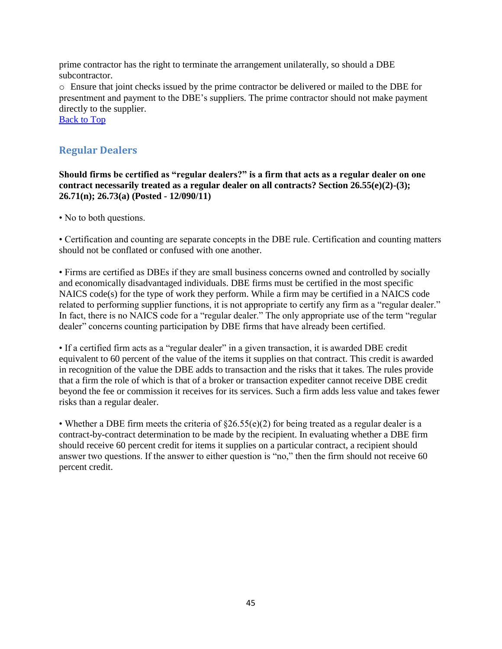prime contractor has the right to terminate the arrangement unilaterally, so should a DBE subcontractor.

o Ensure that joint checks issued by the prime contractor be delivered or mailed to the DBE for presentment and payment to the DBE's suppliers. The prime contractor should not make payment directly to the supplier.

[Back to Top](#page-0-0)

# **Regular Dealers**

**Should firms be certified as "regular dealers?" is a firm that acts as a regular dealer on one contract necessarily treated as a regular dealer on all contracts? Section 26.55(e)(2)-(3); 26.71(n); 26.73(a) (Posted - 12/090/11)** 

• No to both questions.

• Certification and counting are separate concepts in the DBE rule. Certification and counting matters should not be conflated or confused with one another.

• Firms are certified as DBEs if they are small business concerns owned and controlled by socially and economically disadvantaged individuals. DBE firms must be certified in the most specific NAICS code(s) for the type of work they perform. While a firm may be certified in a NAICS code related to performing supplier functions, it is not appropriate to certify any firm as a "regular dealer." In fact, there is no NAICS code for a "regular dealer." The only appropriate use of the term "regular dealer" concerns counting participation by DBE firms that have already been certified.

• If a certified firm acts as a "regular dealer" in a given transaction, it is awarded DBE credit equivalent to 60 percent of the value of the items it supplies on that contract. This credit is awarded in recognition of the value the DBE adds to transaction and the risks that it takes. The rules provide that a firm the role of which is that of a broker or transaction expediter cannot receive DBE credit beyond the fee or commission it receives for its services. Such a firm adds less value and takes fewer risks than a regular dealer.

• Whether a DBE firm meets the criteria of  $\S26.55(e)(2)$  for being treated as a regular dealer is a contract-by-contract determination to be made by the recipient. In evaluating whether a DBE firm should receive 60 percent credit for items it supplies on a particular contract, a recipient should answer two questions. If the answer to either question is "no," then the firm should not receive 60 percent credit.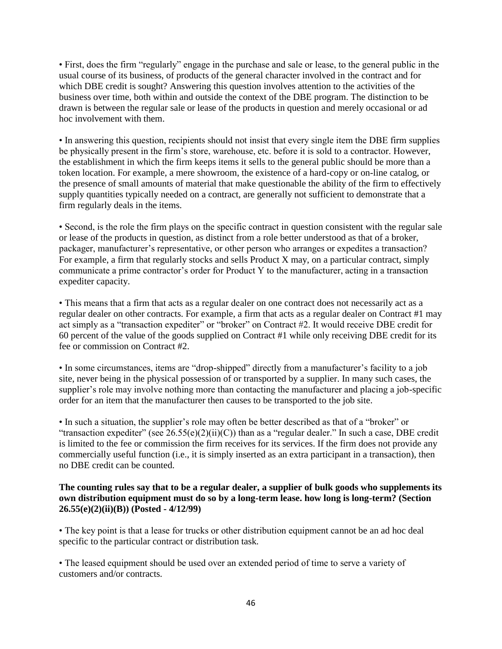• First, does the firm "regularly" engage in the purchase and sale or lease, to the general public in the usual course of its business, of products of the general character involved in the contract and for which DBE credit is sought? Answering this question involves attention to the activities of the business over time, both within and outside the context of the DBE program. The distinction to be drawn is between the regular sale or lease of the products in question and merely occasional or ad hoc involvement with them.

• In answering this question, recipients should not insist that every single item the DBE firm supplies be physically present in the firm's store, warehouse, etc. before it is sold to a contractor. However, the establishment in which the firm keeps items it sells to the general public should be more than a token location. For example, a mere showroom, the existence of a hard-copy or on-line catalog, or the presence of small amounts of material that make questionable the ability of the firm to effectively supply quantities typically needed on a contract, are generally not sufficient to demonstrate that a firm regularly deals in the items.

• Second, is the role the firm plays on the specific contract in question consistent with the regular sale or lease of the products in question, as distinct from a role better understood as that of a broker, packager, manufacturer's representative, or other person who arranges or expedites a transaction? For example, a firm that regularly stocks and sells Product X may, on a particular contract, simply communicate a prime contractor's order for Product Y to the manufacturer, acting in a transaction expediter capacity.

• This means that a firm that acts as a regular dealer on one contract does not necessarily act as a regular dealer on other contracts. For example, a firm that acts as a regular dealer on Contract #1 may act simply as a "transaction expediter" or "broker" on Contract #2. It would receive DBE credit for 60 percent of the value of the goods supplied on Contract #1 while only receiving DBE credit for its fee or commission on Contract #2.

• In some circumstances, items are "drop-shipped" directly from a manufacturer's facility to a job site, never being in the physical possession of or transported by a supplier. In many such cases, the supplier's role may involve nothing more than contacting the manufacturer and placing a job-specific order for an item that the manufacturer then causes to be transported to the job site.

• In such a situation, the supplier's role may often be better described as that of a "broker" or "transaction expediter" (see  $26.55(e)(2)(ii)(C)$ ) than as a "regular dealer." In such a case, DBE credit is limited to the fee or commission the firm receives for its services. If the firm does not provide any commercially useful function (i.e., it is simply inserted as an extra participant in a transaction), then no DBE credit can be counted.

## **The counting rules say that to be a regular dealer, a supplier of bulk goods who supplements its own distribution equipment must do so by a long-term lease. how long is long-term? (Section 26.55(e)(2)(ii)(B)) (Posted - 4/12/99)**

• The key point is that a lease for trucks or other distribution equipment cannot be an ad hoc deal specific to the particular contract or distribution task.

• The leased equipment should be used over an extended period of time to serve a variety of customers and/or contracts.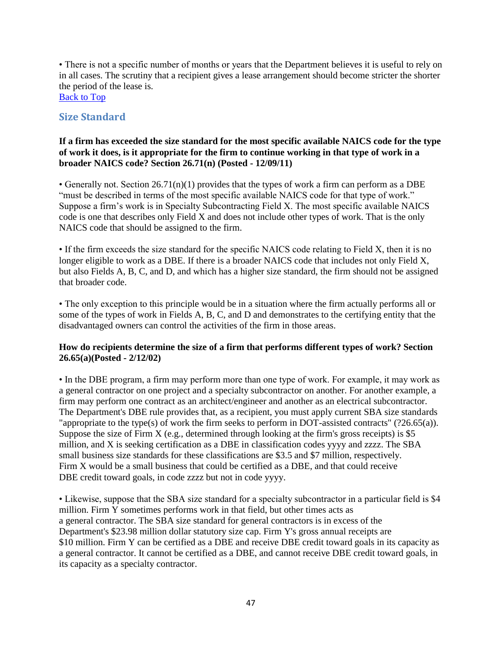• There is not a specific number of months or years that the Department believes it is useful to rely on in all cases. The scrutiny that a recipient gives a lease arrangement should become stricter the shorter the period of the lease is.

[Back to Top](#page-0-0)

# **Size Standard**

## **If a firm has exceeded the size standard for the most specific available NAICS code for the type of work it does, is it appropriate for the firm to continue working in that type of work in a broader NAICS code? Section 26.71(n) (Posted - 12/09/11)**

• Generally not. Section  $26.71(n)(1)$  provides that the types of work a firm can perform as a DBE "must be described in terms of the most specific available NAICS code for that type of work." Suppose a firm's work is in Specialty Subcontracting Field X. The most specific available NAICS code is one that describes only Field X and does not include other types of work. That is the only NAICS code that should be assigned to the firm.

• If the firm exceeds the size standard for the specific NAICS code relating to Field X, then it is no longer eligible to work as a DBE. If there is a broader NAICS code that includes not only Field X, but also Fields A, B, C, and D, and which has a higher size standard, the firm should not be assigned that broader code.

• The only exception to this principle would be in a situation where the firm actually performs all or some of the types of work in Fields A, B, C, and D and demonstrates to the certifying entity that the disadvantaged owners can control the activities of the firm in those areas.

# **How do recipients determine the size of a firm that performs different types of work? Section 26.65(a)(Posted - 2/12/02)**

• In the DBE program, a firm may perform more than one type of work. For example, it may work as a general contractor on one project and a specialty subcontractor on another. For another example, a firm may perform one contract as an architect/engineer and another as an electrical subcontractor. The Department's DBE rule provides that, as a recipient, you must apply current SBA size standards "appropriate to the type(s) of work the firm seeks to perform in DOT-assisted contracts" (?26.65(a)). Suppose the size of Firm X (e.g., determined through looking at the firm's gross receipts) is \$5 million, and X is seeking certification as a DBE in classification codes yyyy and zzzz. The SBA small business size standards for these classifications are \$3.5 and \$7 million, respectively. Firm X would be a small business that could be certified as a DBE, and that could receive DBE credit toward goals, in code zzzz but not in code yyyy.

• Likewise, suppose that the SBA size standard for a specialty subcontractor in a particular field is \$4 million. Firm Y sometimes performs work in that field, but other times acts as a general contractor. The SBA size standard for general contractors is in excess of the Department's \$23.98 million dollar statutory size cap. Firm Y's gross annual receipts are \$10 million. Firm Y can be certified as a DBE and receive DBE credit toward goals in its capacity as a general contractor. It cannot be certified as a DBE, and cannot receive DBE credit toward goals, in its capacity as a specialty contractor.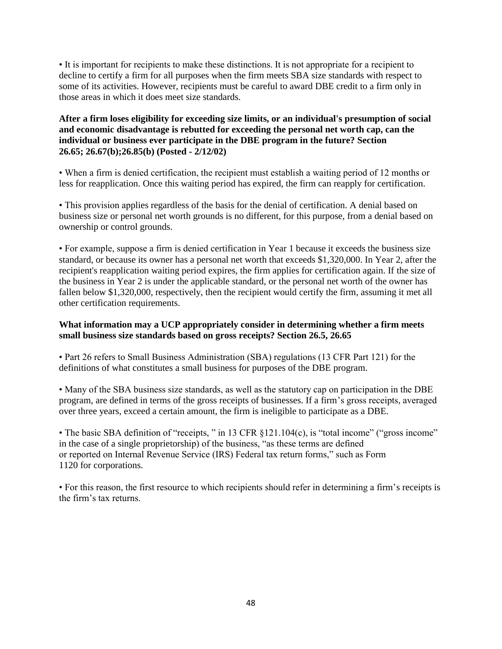• It is important for recipients to make these distinctions. It is not appropriate for a recipient to decline to certify a firm for all purposes when the firm meets SBA size standards with respect to some of its activities. However, recipients must be careful to award DBE credit to a firm only in those areas in which it does meet size standards.

**After a firm loses eligibility for exceeding size limits, or an individual's presumption of social and economic disadvantage is rebutted for exceeding the personal net worth cap, can the individual or business ever participate in the DBE program in the future? Section 26.65; 26.67(b);26.85(b) (Posted - 2/12/02)** 

• When a firm is denied certification, the recipient must establish a waiting period of 12 months or less for reapplication. Once this waiting period has expired, the firm can reapply for certification.

• This provision applies regardless of the basis for the denial of certification. A denial based on business size or personal net worth grounds is no different, for this purpose, from a denial based on ownership or control grounds.

• For example, suppose a firm is denied certification in Year 1 because it exceeds the business size standard, or because its owner has a personal net worth that exceeds \$1,320,000. In Year 2, after the recipient's reapplication waiting period expires, the firm applies for certification again. If the size of the business in Year 2 is under the applicable standard, or the personal net worth of the owner has fallen below \$1,320,000, respectively, then the recipient would certify the firm, assuming it met all other certification requirements.

### **What information may a UCP appropriately consider in determining whether a firm meets small business size standards based on gross receipts? Section 26.5, 26.65**

• Part 26 refers to Small Business Administration (SBA) regulations (13 CFR Part 121) for the definitions of what constitutes a small business for purposes of the DBE program.

• Many of the SBA business size standards, as well as the statutory cap on participation in the DBE program, are defined in terms of the gross receipts of businesses. If a firm's gross receipts, averaged over three years, exceed a certain amount, the firm is ineligible to participate as a DBE.

• The basic SBA definition of "receipts, " in 13 CFR §121.104(c), is "total income" ("gross income" in the case of a single proprietorship) of the business, "as these terms are defined or reported on Internal Revenue Service (IRS) Federal tax return forms," such as Form 1120 for corporations.

• For this reason, the first resource to which recipients should refer in determining a firm's receipts is the firm's tax returns.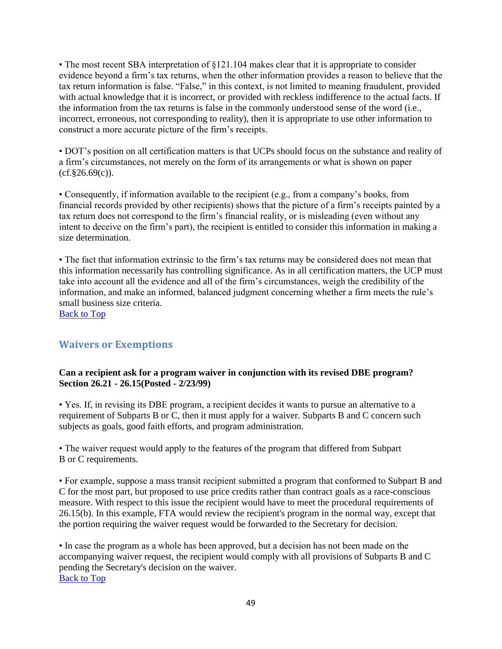• The most recent SBA interpretation of §121.104 makes clear that it is appropriate to consider evidence beyond a firm's tax returns, when the other information provides a reason to believe that the tax return information is false. "False," in this context, is not limited to meaning fraudulent, provided with actual knowledge that it is incorrect, or provided with reckless indifference to the actual facts. If the information from the tax returns is false in the commonly understood sense of the word (i.e., incorrect, erroneous, not corresponding to reality), then it is appropriate to use other information to construct a more accurate picture of the firm's receipts.

• DOT's position on all certification matters is that UCPs should focus on the substance and reality of a firm's circumstances, not merely on the form of its arrangements or what is shown on paper  $(cf.§26.69(c))$ .

• Consequently, if information available to the recipient (e.g., from a company's books, from financial records provided by other recipients) shows that the picture of a firm's receipts painted by a tax return does not correspond to the firm's financial reality, or is misleading (even without any intent to deceive on the firm's part), the recipient is entitled to consider this information in making a size determination.

• The fact that information extrinsic to the firm's tax returns may be considered does not mean that this information necessarily has controlling significance. As in all certification matters, the UCP must take into account all the evidence and all of the firm's circumstances, weigh the credibility of the information, and make an informed, balanced judgment concerning whether a firm meets the rule's small business size criteria.

[Back to Top](#page-0-0)

# **Waivers or Exemptions**

# **Can a recipient ask for a program waiver in conjunction with its revised DBE program? Section 26.21 - 26.15(Posted - 2/23/99)**

• Yes. If, in revising its DBE program, a recipient decides it wants to pursue an alternative to a requirement of Subparts B or C, then it must apply for a waiver. Subparts B and C concern such subjects as goals, good faith efforts, and program administration.

• The waiver request would apply to the features of the program that differed from Subpart B or C requirements.

• For example, suppose a mass transit recipient submitted a program that conformed to Subpart B and C for the most part, but proposed to use price credits rather than contract goals as a race-conscious measure. With respect to this issue the recipient would have to meet the procedural requirements of 26.15(b). In this example, FTA would review the recipient's program in the normal way, except that the portion requiring the waiver request would be forwarded to the Secretary for decision.

• In case the program as a whole has been approved, but a decision has not been made on the accompanying waiver request, the recipient would comply with all provisions of Subparts B and C pending the Secretary's decision on the waiver. [Back to Top](#page-0-0)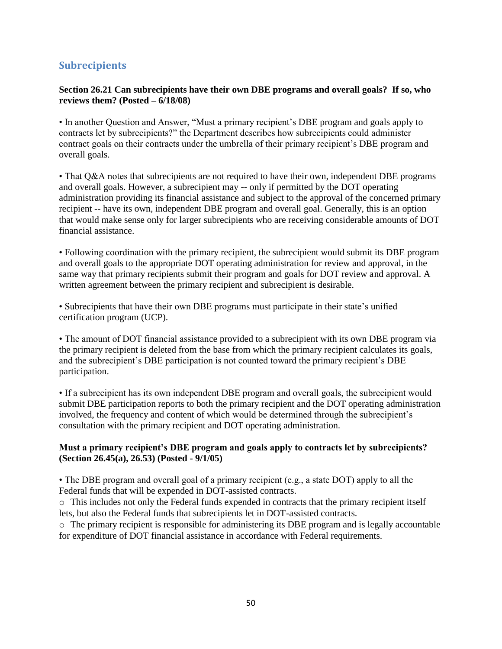# **Subrecipients**

# **Section 26.21 Can subrecipients have their own DBE programs and overall goals? If so, who reviews them? (Posted – 6/18/08)**

• In another Question and Answer, "Must a primary recipient's DBE program and goals apply to contracts let by subrecipients?" the Department describes how subrecipients could administer contract goals on their contracts under the umbrella of their primary recipient's DBE program and overall goals.

• That Q&A notes that subrecipients are not required to have their own, independent DBE programs and overall goals. However, a subrecipient may -- only if permitted by the DOT operating administration providing its financial assistance and subject to the approval of the concerned primary recipient -- have its own, independent DBE program and overall goal. Generally, this is an option that would make sense only for larger subrecipients who are receiving considerable amounts of DOT financial assistance.

• Following coordination with the primary recipient, the subrecipient would submit its DBE program and overall goals to the appropriate DOT operating administration for review and approval, in the same way that primary recipients submit their program and goals for DOT review and approval. A written agreement between the primary recipient and subrecipient is desirable.

• Subrecipients that have their own DBE programs must participate in their state's unified certification program (UCP).

• The amount of DOT financial assistance provided to a subrecipient with its own DBE program via the primary recipient is deleted from the base from which the primary recipient calculates its goals, and the subrecipient's DBE participation is not counted toward the primary recipient's DBE participation.

• If a subrecipient has its own independent DBE program and overall goals, the subrecipient would submit DBE participation reports to both the primary recipient and the DOT operating administration involved, the frequency and content of which would be determined through the subrecipient's consultation with the primary recipient and DOT operating administration.

## **Must a primary recipient's DBE program and goals apply to contracts let by subrecipients? (Section 26.45(a), 26.53) (Posted - 9/1/05)**

• The DBE program and overall goal of a primary recipient (e.g., a state DOT) apply to all the Federal funds that will be expended in DOT-assisted contracts.

o This includes not only the Federal funds expended in contracts that the primary recipient itself lets, but also the Federal funds that subrecipients let in DOT-assisted contracts.

 $\circ$  The primary recipient is responsible for administering its DBE program and is legally accountable for expenditure of DOT financial assistance in accordance with Federal requirements.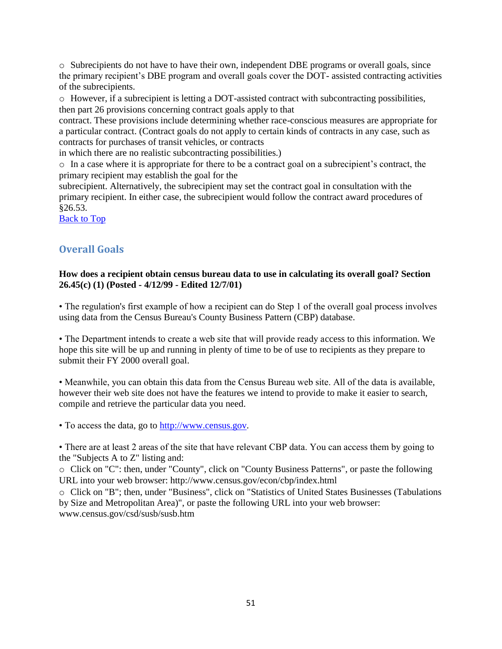o Subrecipients do not have to have their own, independent DBE programs or overall goals, since the primary recipient's DBE program and overall goals cover the DOT- assisted contracting activities of the subrecipients.

o However, if a subrecipient is letting a DOT-assisted contract with subcontracting possibilities, then part 26 provisions concerning contract goals apply to that

contract. These provisions include determining whether race-conscious measures are appropriate for a particular contract. (Contract goals do not apply to certain kinds of contracts in any case, such as contracts for purchases of transit vehicles, or contracts

in which there are no realistic subcontracting possibilities.)

o In a case where it is appropriate for there to be a contract goal on a subrecipient's contract, the primary recipient may establish the goal for the

subrecipient. Alternatively, the subrecipient may set the contract goal in consultation with the primary recipient. In either case, the subrecipient would follow the contract award procedures of §26.53.

[Back to Top](#page-0-0)

# **Overall Goals**

### **How does a recipient obtain census bureau data to use in calculating its overall goal? Section 26.45(c) (1) (Posted - 4/12/99 - Edited 12/7/01)**

• The regulation's first example of how a recipient can do Step 1 of the overall goal process involves using data from the Census Bureau's County Business Pattern (CBP) database.

• The Department intends to create a web site that will provide ready access to this information. We hope this site will be up and running in plenty of time to be of use to recipients as they prepare to submit their FY 2000 overall goal.

• Meanwhile, you can obtain this data from the Census Bureau web site. All of the data is available, however their web site does not have the features we intend to provide to make it easier to search, compile and retrieve the particular data you need.

• To access the data, go to [http://www.census.gov.](http://www.census.gov/)

• There are at least 2 areas of the site that have relevant CBP data. You can access them by going to the "Subjects A to Z" listing and:

o Click on "C": then, under "County", click on "County Business Patterns", or paste the following URL into your web browser: http://www.census.gov/econ/cbp/index.html

o Click on "B"; then, under "Business", click on "Statistics of United States Businesses (Tabulations by Size and Metropolitan Area)", or paste the following URL into your web browser: www.census.gov/csd/susb/susb.htm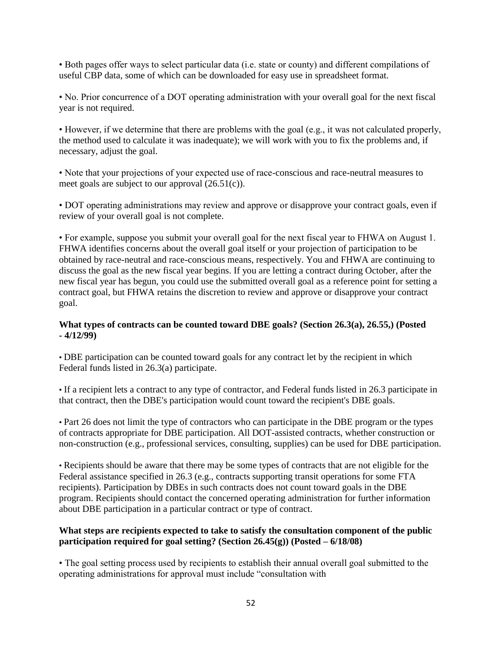• Both pages offer ways to select particular data (i.e. state or county) and different compilations of useful CBP data, some of which can be downloaded for easy use in spreadsheet format.

• No. Prior concurrence of a DOT operating administration with your overall goal for the next fiscal year is not required.

• However, if we determine that there are problems with the goal (e.g., it was not calculated properly, the method used to calculate it was inadequate); we will work with you to fix the problems and, if necessary, adjust the goal.

• Note that your projections of your expected use of race-conscious and race-neutral measures to meet goals are subject to our approval (26.51(c)).

• DOT operating administrations may review and approve or disapprove your contract goals, even if review of your overall goal is not complete.

• For example, suppose you submit your overall goal for the next fiscal year to FHWA on August 1. FHWA identifies concerns about the overall goal itself or your projection of participation to be obtained by race-neutral and race-conscious means, respectively. You and FHWA are continuing to discuss the goal as the new fiscal year begins. If you are letting a contract during October, after the new fiscal year has begun, you could use the submitted overall goal as a reference point for setting a contract goal, but FHWA retains the discretion to review and approve or disapprove your contract goal.

## **What types of contracts can be counted toward DBE goals? (Section 26.3(a), 26.55,) (Posted - 4/12/99)**

• DBE participation can be counted toward goals for any contract let by the recipient in which Federal funds listed in 26.3(a) participate.

• If a recipient lets a contract to any type of contractor, and Federal funds listed in 26.3 participate in that contract, then the DBE's participation would count toward the recipient's DBE goals.

• Part 26 does not limit the type of contractors who can participate in the DBE program or the types of contracts appropriate for DBE participation. All DOT-assisted contracts, whether construction or non-construction (e.g., professional services, consulting, supplies) can be used for DBE participation.

• Recipients should be aware that there may be some types of contracts that are not eligible for the Federal assistance specified in 26.3 (e.g., contracts supporting transit operations for some FTA recipients). Participation by DBEs in such contracts does not count toward goals in the DBE program. Recipients should contact the concerned operating administration for further information about DBE participation in a particular contract or type of contract.

## **What steps are recipients expected to take to satisfy the consultation component of the public participation required for goal setting? (Section 26.45(g)) (Posted – 6/18/08)**

• The goal setting process used by recipients to establish their annual overall goal submitted to the operating administrations for approval must include "consultation with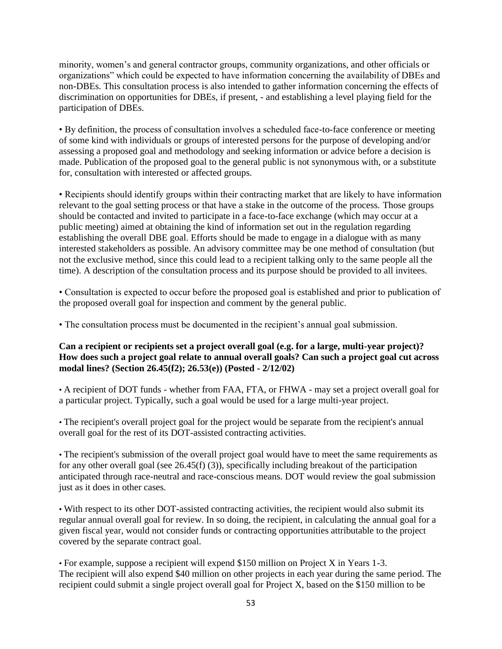minority, women's and general contractor groups, community organizations, and other officials or organizations" which could be expected to have information concerning the availability of DBEs and non-DBEs. This consultation process is also intended to gather information concerning the effects of discrimination on opportunities for DBEs, if present, - and establishing a level playing field for the participation of DBEs.

• By definition, the process of consultation involves a scheduled face-to-face conference or meeting of some kind with individuals or groups of interested persons for the purpose of developing and/or assessing a proposed goal and methodology and seeking information or advice before a decision is made. Publication of the proposed goal to the general public is not synonymous with, or a substitute for, consultation with interested or affected groups.

• Recipients should identify groups within their contracting market that are likely to have information relevant to the goal setting process or that have a stake in the outcome of the process. Those groups should be contacted and invited to participate in a face-to-face exchange (which may occur at a public meeting) aimed at obtaining the kind of information set out in the regulation regarding establishing the overall DBE goal. Efforts should be made to engage in a dialogue with as many interested stakeholders as possible. An advisory committee may be one method of consultation (but not the exclusive method, since this could lead to a recipient talking only to the same people all the time). A description of the consultation process and its purpose should be provided to all invitees.

• Consultation is expected to occur before the proposed goal is established and prior to publication of the proposed overall goal for inspection and comment by the general public.

• The consultation process must be documented in the recipient's annual goal submission.

### **Can a recipient or recipients set a project overall goal (e.g. for a large, multi-year project)? How does such a project goal relate to annual overall goals? Can such a project goal cut across modal lines? (Section 26.45(f2); 26.53(e)) (Posted - 2/12/02)**

• A recipient of DOT funds - whether from FAA, FTA, or FHWA - may set a project overall goal for a particular project. Typically, such a goal would be used for a large multi-year project.

• The recipient's overall project goal for the project would be separate from the recipient's annual overall goal for the rest of its DOT-assisted contracting activities.

• The recipient's submission of the overall project goal would have to meet the same requirements as for any other overall goal (see 26.45(f) (3)), specifically including breakout of the participation anticipated through race-neutral and race-conscious means. DOT would review the goal submission just as it does in other cases.

• With respect to its other DOT-assisted contracting activities, the recipient would also submit its regular annual overall goal for review. In so doing, the recipient, in calculating the annual goal for a given fiscal year, would not consider funds or contracting opportunities attributable to the project covered by the separate contract goal.

• For example, suppose a recipient will expend \$150 million on Project X in Years 1-3. The recipient will also expend \$40 million on other projects in each year during the same period. The recipient could submit a single project overall goal for Project X, based on the \$150 million to be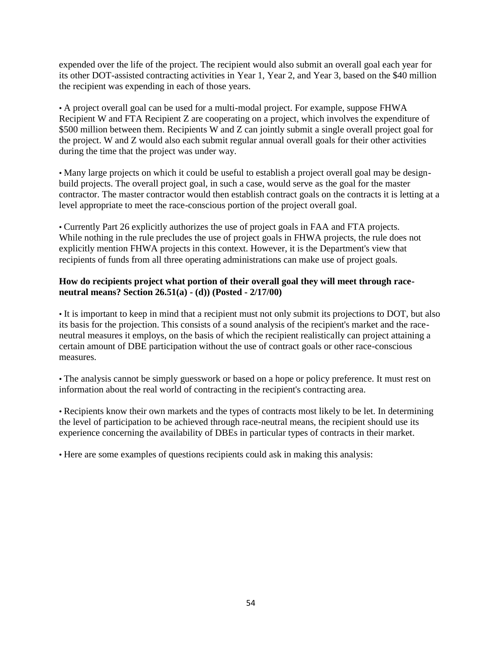expended over the life of the project. The recipient would also submit an overall goal each year for its other DOT-assisted contracting activities in Year 1, Year 2, and Year 3, based on the \$40 million the recipient was expending in each of those years.

• A project overall goal can be used for a multi-modal project. For example, suppose FHWA Recipient W and FTA Recipient Z are cooperating on a project, which involves the expenditure of \$500 million between them. Recipients W and Z can jointly submit a single overall project goal for the project. W and Z would also each submit regular annual overall goals for their other activities during the time that the project was under way.

• Many large projects on which it could be useful to establish a project overall goal may be designbuild projects. The overall project goal, in such a case, would serve as the goal for the master contractor. The master contractor would then establish contract goals on the contracts it is letting at a level appropriate to meet the race-conscious portion of the project overall goal.

• Currently Part 26 explicitly authorizes the use of project goals in FAA and FTA projects. While nothing in the rule precludes the use of project goals in FHWA projects, the rule does not explicitly mention FHWA projects in this context. However, it is the Department's view that recipients of funds from all three operating administrations can make use of project goals.

## **How do recipients project what portion of their overall goal they will meet through raceneutral means? Section 26.51(a) - (d)) (Posted - 2/17/00)**

• It is important to keep in mind that a recipient must not only submit its projections to DOT, but also its basis for the projection. This consists of a sound analysis of the recipient's market and the raceneutral measures it employs, on the basis of which the recipient realistically can project attaining a certain amount of DBE participation without the use of contract goals or other race-conscious measures.

• The analysis cannot be simply guesswork or based on a hope or policy preference. It must rest on information about the real world of contracting in the recipient's contracting area.

• Recipients know their own markets and the types of contracts most likely to be let. In determining the level of participation to be achieved through race-neutral means, the recipient should use its experience concerning the availability of DBEs in particular types of contracts in their market.

• Here are some examples of questions recipients could ask in making this analysis: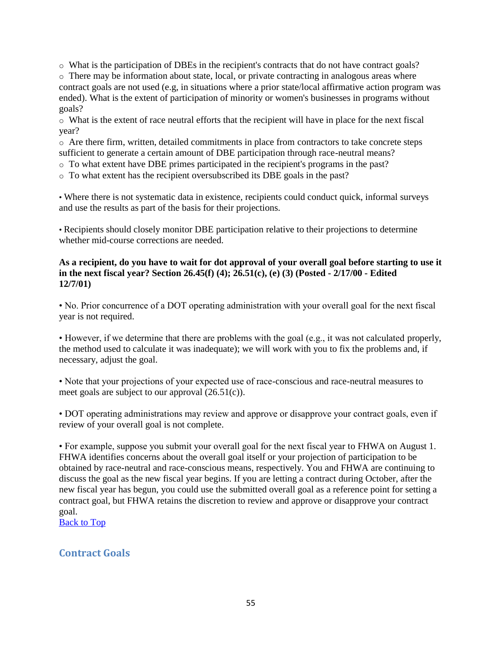o What is the participation of DBEs in the recipient's contracts that do not have contract goals?

o There may be information about state, local, or private contracting in analogous areas where contract goals are not used (e.g, in situations where a prior state/local affirmative action program was ended). What is the extent of participation of minority or women's businesses in programs without goals?

o What is the extent of race neutral efforts that the recipient will have in place for the next fiscal year?

o Are there firm, written, detailed commitments in place from contractors to take concrete steps sufficient to generate a certain amount of DBE participation through race-neutral means?

- o To what extent have DBE primes participated in the recipient's programs in the past?
- o To what extent has the recipient oversubscribed its DBE goals in the past?

• Where there is not systematic data in existence, recipients could conduct quick, informal surveys and use the results as part of the basis for their projections.

• Recipients should closely monitor DBE participation relative to their projections to determine whether mid-course corrections are needed.

## **As a recipient, do you have to wait for dot approval of your overall goal before starting to use it in the next fiscal year? Section 26.45(f) (4); 26.51(c), (e) (3) (Posted - 2/17/00 - Edited 12/7/01)**

• No. Prior concurrence of a DOT operating administration with your overall goal for the next fiscal year is not required.

• However, if we determine that there are problems with the goal (e.g., it was not calculated properly, the method used to calculate it was inadequate); we will work with you to fix the problems and, if necessary, adjust the goal.

• Note that your projections of your expected use of race-conscious and race-neutral measures to meet goals are subject to our approval (26.51(c)).

• DOT operating administrations may review and approve or disapprove your contract goals, even if review of your overall goal is not complete.

• For example, suppose you submit your overall goal for the next fiscal year to FHWA on August 1. FHWA identifies concerns about the overall goal itself or your projection of participation to be obtained by race-neutral and race-conscious means, respectively. You and FHWA are continuing to discuss the goal as the new fiscal year begins. If you are letting a contract during October, after the new fiscal year has begun, you could use the submitted overall goal as a reference point for setting a contract goal, but FHWA retains the discretion to review and approve or disapprove your contract goal.

[Back to Top](#page-0-0)

# **Contract Goals**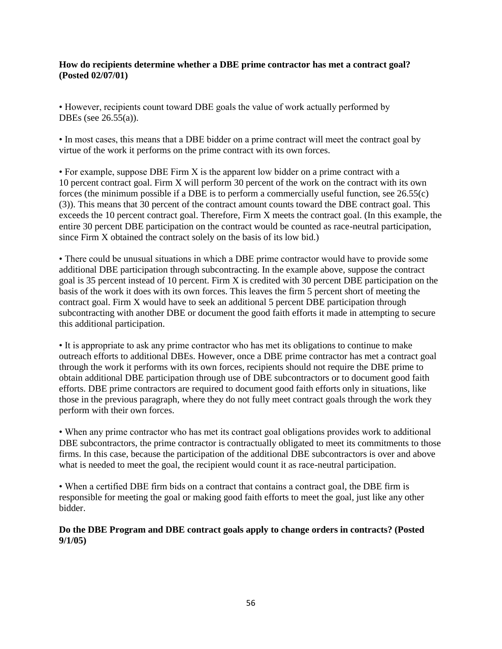### **How do recipients determine whether a DBE prime contractor has met a contract goal? (Posted 02/07/01)**

• However, recipients count toward DBE goals the value of work actually performed by DBEs (see 26.55(a)).

• In most cases, this means that a DBE bidder on a prime contract will meet the contract goal by virtue of the work it performs on the prime contract with its own forces.

• For example, suppose DBE Firm X is the apparent low bidder on a prime contract with a 10 percent contract goal. Firm X will perform 30 percent of the work on the contract with its own forces (the minimum possible if a DBE is to perform a commercially useful function, see 26.55(c) (3)). This means that 30 percent of the contract amount counts toward the DBE contract goal. This exceeds the 10 percent contract goal. Therefore, Firm X meets the contract goal. (In this example, the entire 30 percent DBE participation on the contract would be counted as race-neutral participation, since Firm X obtained the contract solely on the basis of its low bid.)

• There could be unusual situations in which a DBE prime contractor would have to provide some additional DBE participation through subcontracting. In the example above, suppose the contract goal is 35 percent instead of 10 percent. Firm X is credited with 30 percent DBE participation on the basis of the work it does with its own forces. This leaves the firm 5 percent short of meeting the contract goal. Firm X would have to seek an additional 5 percent DBE participation through subcontracting with another DBE or document the good faith efforts it made in attempting to secure this additional participation.

• It is appropriate to ask any prime contractor who has met its obligations to continue to make outreach efforts to additional DBEs. However, once a DBE prime contractor has met a contract goal through the work it performs with its own forces, recipients should not require the DBE prime to obtain additional DBE participation through use of DBE subcontractors or to document good faith efforts. DBE prime contractors are required to document good faith efforts only in situations, like those in the previous paragraph, where they do not fully meet contract goals through the work they perform with their own forces.

• When any prime contractor who has met its contract goal obligations provides work to additional DBE subcontractors, the prime contractor is contractually obligated to meet its commitments to those firms. In this case, because the participation of the additional DBE subcontractors is over and above what is needed to meet the goal, the recipient would count it as race-neutral participation.

• When a certified DBE firm bids on a contract that contains a contract goal, the DBE firm is responsible for meeting the goal or making good faith efforts to meet the goal, just like any other bidder.

**Do the DBE Program and DBE contract goals apply to change orders in contracts? (Posted 9/1/05)**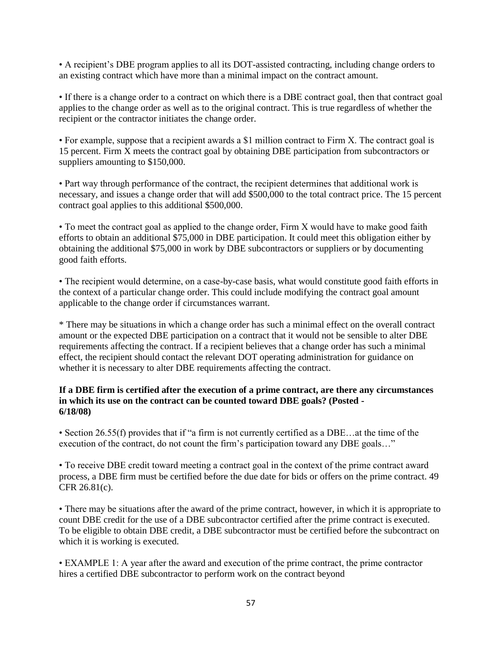• A recipient's DBE program applies to all its DOT-assisted contracting, including change orders to an existing contract which have more than a minimal impact on the contract amount.

• If there is a change order to a contract on which there is a DBE contract goal, then that contract goal applies to the change order as well as to the original contract. This is true regardless of whether the recipient or the contractor initiates the change order.

• For example, suppose that a recipient awards a \$1 million contract to Firm X. The contract goal is 15 percent. Firm X meets the contract goal by obtaining DBE participation from subcontractors or suppliers amounting to \$150,000.

• Part way through performance of the contract, the recipient determines that additional work is necessary, and issues a change order that will add \$500,000 to the total contract price. The 15 percent contract goal applies to this additional \$500,000.

• To meet the contract goal as applied to the change order, Firm X would have to make good faith efforts to obtain an additional \$75,000 in DBE participation. It could meet this obligation either by obtaining the additional \$75,000 in work by DBE subcontractors or suppliers or by documenting good faith efforts.

• The recipient would determine, on a case-by-case basis, what would constitute good faith efforts in the context of a particular change order. This could include modifying the contract goal amount applicable to the change order if circumstances warrant.

\* There may be situations in which a change order has such a minimal effect on the overall contract amount or the expected DBE participation on a contract that it would not be sensible to alter DBE requirements affecting the contract. If a recipient believes that a change order has such a minimal effect, the recipient should contact the relevant DOT operating administration for guidance on whether it is necessary to alter DBE requirements affecting the contract.

#### **If a DBE firm is certified after the execution of a prime contract, are there any circumstances in which its use on the contract can be counted toward DBE goals? (Posted - 6/18/08)**

• Section 26.55(f) provides that if "a firm is not currently certified as a DBE…at the time of the execution of the contract, do not count the firm's participation toward any DBE goals..."

• To receive DBE credit toward meeting a contract goal in the context of the prime contract award process, a DBE firm must be certified before the due date for bids or offers on the prime contract. 49 CFR 26.81(c).

• There may be situations after the award of the prime contract, however, in which it is appropriate to count DBE credit for the use of a DBE subcontractor certified after the prime contract is executed. To be eligible to obtain DBE credit, a DBE subcontractor must be certified before the subcontract on which it is working is executed.

• EXAMPLE 1: A year after the award and execution of the prime contract, the prime contractor hires a certified DBE subcontractor to perform work on the contract beyond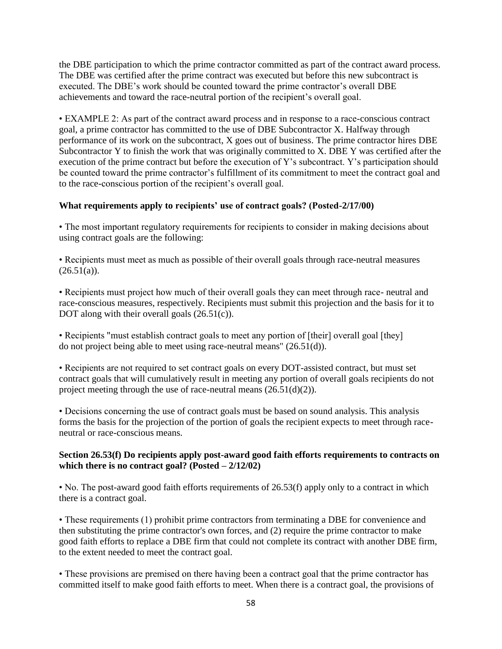the DBE participation to which the prime contractor committed as part of the contract award process. The DBE was certified after the prime contract was executed but before this new subcontract is executed. The DBE's work should be counted toward the prime contractor's overall DBE achievements and toward the race-neutral portion of the recipient's overall goal.

• EXAMPLE 2: As part of the contract award process and in response to a race-conscious contract goal, a prime contractor has committed to the use of DBE Subcontractor X. Halfway through performance of its work on the subcontract, X goes out of business. The prime contractor hires DBE Subcontractor Y to finish the work that was originally committed to X. DBE Y was certified after the execution of the prime contract but before the execution of Y's subcontract. Y's participation should be counted toward the prime contractor's fulfillment of its commitment to meet the contract goal and to the race-conscious portion of the recipient's overall goal.

## **What requirements apply to recipients' use of contract goals? (Posted-2/17/00)**

• The most important regulatory requirements for recipients to consider in making decisions about using contract goals are the following:

• Recipients must meet as much as possible of their overall goals through race-neutral measures  $(26.51(a)).$ 

• Recipients must project how much of their overall goals they can meet through race- neutral and race-conscious measures, respectively. Recipients must submit this projection and the basis for it to DOT along with their overall goals  $(26.51(c))$ .

• Recipients "must establish contract goals to meet any portion of [their] overall goal [they] do not project being able to meet using race-neutral means" (26.51(d)).

• Recipients are not required to set contract goals on every DOT-assisted contract, but must set contract goals that will cumulatively result in meeting any portion of overall goals recipients do not project meeting through the use of race-neutral means  $(26.51(d)(2))$ .

• Decisions concerning the use of contract goals must be based on sound analysis. This analysis forms the basis for the projection of the portion of goals the recipient expects to meet through raceneutral or race-conscious means.

#### **Section 26.53(f) Do recipients apply post-award good faith efforts requirements to contracts on which there is no contract goal? (Posted – 2/12/02)**

• No. The post-award good faith efforts requirements of 26.53(f) apply only to a contract in which there is a contract goal.

• These requirements (1) prohibit prime contractors from terminating a DBE for convenience and then substituting the prime contractor's own forces, and (2) require the prime contractor to make good faith efforts to replace a DBE firm that could not complete its contract with another DBE firm, to the extent needed to meet the contract goal.

• These provisions are premised on there having been a contract goal that the prime contractor has committed itself to make good faith efforts to meet. When there is a contract goal, the provisions of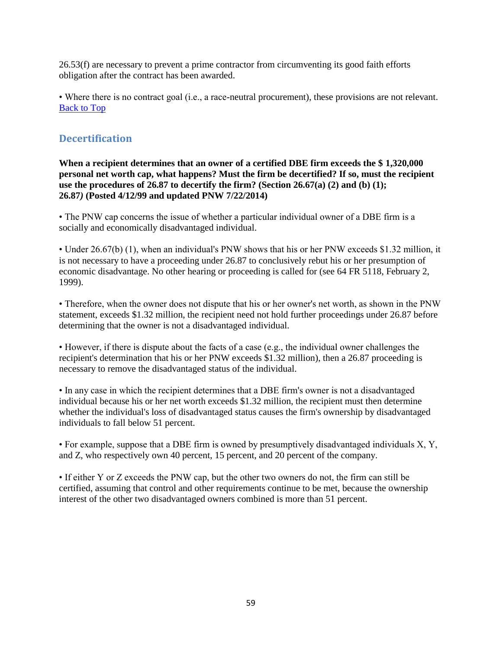26.53(f) are necessary to prevent a prime contractor from circumventing its good faith efforts obligation after the contract has been awarded.

• Where there is no contract goal (i.e., a race-neutral procurement), these provisions are not relevant. [Back to Top](#page-0-0)

# **Decertification**

**When a recipient determines that an owner of a certified DBE firm exceeds the \$ 1,320,000 personal net worth cap, what happens? Must the firm be decertified? If so, must the recipient use the procedures of 26.87 to decertify the firm? (Section 26.67(a) (2) and (b) (1); 26.87***)* **(Posted 4/12/99 and updated PNW 7/22/2014)** 

• The PNW cap concerns the issue of whether a particular individual owner of a DBE firm is a socially and economically disadvantaged individual.

• Under 26.67(b) (1), when an individual's PNW shows that his or her PNW exceeds \$1.32 million, it is not necessary to have a proceeding under 26.87 to conclusively rebut his or her presumption of economic disadvantage. No other hearing or proceeding is called for (see 64 FR 5118, February 2, 1999).

• Therefore, when the owner does not dispute that his or her owner's net worth, as shown in the PNW statement, exceeds \$1.32 million, the recipient need not hold further proceedings under 26.87 before determining that the owner is not a disadvantaged individual.

• However, if there is dispute about the facts of a case (e.g., the individual owner challenges the recipient's determination that his or her PNW exceeds \$1.32 million), then a 26.87 proceeding is necessary to remove the disadvantaged status of the individual.

• In any case in which the recipient determines that a DBE firm's owner is not a disadvantaged individual because his or her net worth exceeds \$1.32 million, the recipient must then determine whether the individual's loss of disadvantaged status causes the firm's ownership by disadvantaged individuals to fall below 51 percent.

• For example, suppose that a DBE firm is owned by presumptively disadvantaged individuals X, Y, and Z, who respectively own 40 percent, 15 percent, and 20 percent of the company.

• If either Y or Z exceeds the PNW cap, but the other two owners do not, the firm can still be certified, assuming that control and other requirements continue to be met, because the ownership interest of the other two disadvantaged owners combined is more than 51 percent.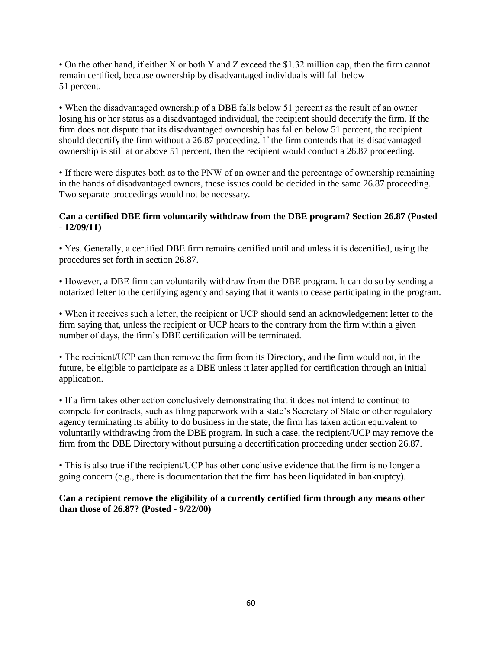• On the other hand, if either X or both Y and Z exceed the \$1.32 million cap, then the firm cannot remain certified, because ownership by disadvantaged individuals will fall below 51 percent.

• When the disadvantaged ownership of a DBE falls below 51 percent as the result of an owner losing his or her status as a disadvantaged individual, the recipient should decertify the firm. If the firm does not dispute that its disadvantaged ownership has fallen below 51 percent, the recipient should decertify the firm without a 26.87 proceeding. If the firm contends that its disadvantaged ownership is still at or above 51 percent, then the recipient would conduct a 26.87 proceeding.

• If there were disputes both as to the PNW of an owner and the percentage of ownership remaining in the hands of disadvantaged owners, these issues could be decided in the same 26.87 proceeding. Two separate proceedings would not be necessary.

## **Can a certified DBE firm voluntarily withdraw from the DBE program? Section 26.87 (Posted - 12/09/11)**

• Yes. Generally, a certified DBE firm remains certified until and unless it is decertified, using the procedures set forth in section 26.87.

• However, a DBE firm can voluntarily withdraw from the DBE program. It can do so by sending a notarized letter to the certifying agency and saying that it wants to cease participating in the program.

• When it receives such a letter, the recipient or UCP should send an acknowledgement letter to the firm saying that, unless the recipient or UCP hears to the contrary from the firm within a given number of days, the firm's DBE certification will be terminated.

• The recipient/UCP can then remove the firm from its Directory, and the firm would not, in the future, be eligible to participate as a DBE unless it later applied for certification through an initial application.

• If a firm takes other action conclusively demonstrating that it does not intend to continue to compete for contracts, such as filing paperwork with a state's Secretary of State or other regulatory agency terminating its ability to do business in the state, the firm has taken action equivalent to voluntarily withdrawing from the DBE program. In such a case, the recipient/UCP may remove the firm from the DBE Directory without pursuing a decertification proceeding under section 26.87.

• This is also true if the recipient/UCP has other conclusive evidence that the firm is no longer a going concern (e.g., there is documentation that the firm has been liquidated in bankruptcy).

**Can a recipient remove the eligibility of a currently certified firm through any means other than those of 26.87? (Posted - 9/22/00)**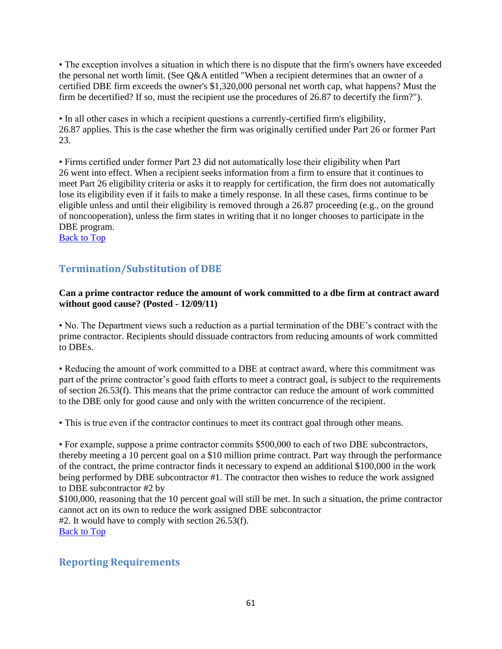• The exception involves a situation in which there is no dispute that the firm's owners have exceeded the personal net worth limit. (See Q&A entitled "When a recipient determines that an owner of a certified DBE firm exceeds the owner's \$1,320,000 personal net worth cap, what happens? Must the firm be decertified? If so, must the recipient use the procedures of 26.87 to decertify the firm?").

• In all other cases in which a recipient questions a currently-certified firm's eligibility, 26.87 applies. This is the case whether the firm was originally certified under Part 26 or former Part 23.

• Firms certified under former Part 23 did not automatically lose their eligibility when Part 26 went into effect. When a recipient seeks information from a firm to ensure that it continues to meet Part 26 eligibility criteria or asks it to reapply for certification, the firm does not automatically lose its eligibility even if it fails to make a timely response. In all these cases, firms continue to be eligible unless and until their eligibility is removed through a 26.87 proceeding (e.g., on the ground of noncooperation), unless the firm states in writing that it no longer chooses to participate in the DBE program.

[Back to Top](#page-0-0)

# **Termination/Substitution of DBE**

## **Can a prime contractor reduce the amount of work committed to a dbe firm at contract award without good cause? (Posted - 12/09/11)**

• No. The Department views such a reduction as a partial termination of the DBE's contract with the prime contractor. Recipients should dissuade contractors from reducing amounts of work committed to DBEs.

• Reducing the amount of work committed to a DBE at contract award, where this commitment was part of the prime contractor's good faith efforts to meet a contract goal, is subject to the requirements of section 26.53(f). This means that the prime contractor can reduce the amount of work committed to the DBE only for good cause and only with the written concurrence of the recipient.

• This is true even if the contractor continues to meet its contract goal through other means.

• For example, suppose a prime contractor commits \$500,000 to each of two DBE subcontractors, thereby meeting a 10 percent goal on a \$10 million prime contract. Part way through the performance of the contract, the prime contractor finds it necessary to expend an additional \$100,000 in the work being performed by DBE subcontractor #1. The contractor then wishes to reduce the work assigned to DBE subcontractor #2 by

\$100,000, reasoning that the 10 percent goal will still be met. In such a situation, the prime contractor cannot act on its own to reduce the work assigned DBE subcontractor #2. It would have to comply with section 26.53(f). [Back to Top](#page-0-0)

# **Reporting Requirements**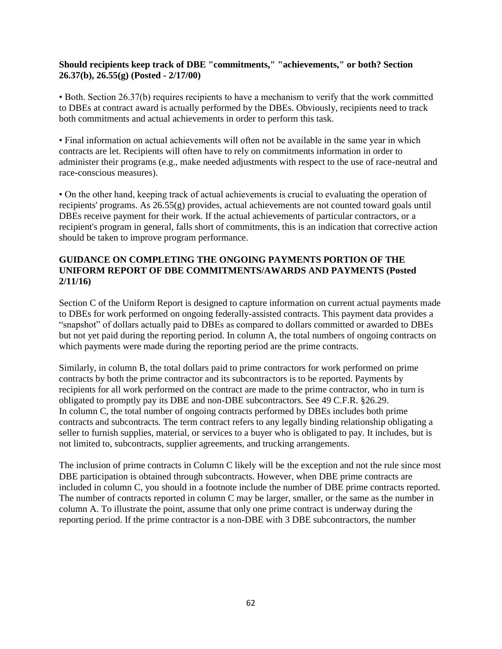## **Should recipients keep track of DBE "commitments," "achievements," or both? Section 26.37(b), 26.55(g) (Posted - 2/17/00)**

• Both. Section 26.37(b) requires recipients to have a mechanism to verify that the work committed to DBEs at contract award is actually performed by the DBEs. Obviously, recipients need to track both commitments and actual achievements in order to perform this task.

• Final information on actual achievements will often not be available in the same year in which contracts are let. Recipients will often have to rely on commitments information in order to administer their programs (e.g., make needed adjustments with respect to the use of race-neutral and race-conscious measures).

• On the other hand, keeping track of actual achievements is crucial to evaluating the operation of recipients' programs. As 26.55(g) provides, actual achievements are not counted toward goals until DBEs receive payment for their work. If the actual achievements of particular contractors, or a recipient's program in general, falls short of commitments, this is an indication that corrective action should be taken to improve program performance.

## **GUIDANCE ON COMPLETING THE ONGOING PAYMENTS PORTION OF THE UNIFORM REPORT OF DBE COMMITMENTS/AWARDS AND PAYMENTS (Posted 2/11/16)**

Section C of the Uniform Report is designed to capture information on current actual payments made to DBEs for work performed on ongoing federally-assisted contracts. This payment data provides a "snapshot" of dollars actually paid to DBEs as compared to dollars committed or awarded to DBEs but not yet paid during the reporting period. In column A, the total numbers of ongoing contracts on which payments were made during the reporting period are the prime contracts.

Similarly, in column B, the total dollars paid to prime contractors for work performed on prime contracts by both the prime contractor and its subcontractors is to be reported. Payments by recipients for all work performed on the contract are made to the prime contractor, who in turn is obligated to promptly pay its DBE and non-DBE subcontractors. See 49 C.F.R. §26.29. In column C, the total number of ongoing contracts performed by DBEs includes both prime contracts and subcontracts. The term contract refers to any legally binding relationship obligating a seller to furnish supplies, material, or services to a buyer who is obligated to pay. It includes, but is not limited to, subcontracts, supplier agreements, and trucking arrangements.

The inclusion of prime contracts in Column C likely will be the exception and not the rule since most DBE participation is obtained through subcontracts. However, when DBE prime contracts are included in column C, you should in a footnote include the number of DBE prime contracts reported. The number of contracts reported in column C may be larger, smaller, or the same as the number in column A. To illustrate the point, assume that only one prime contract is underway during the reporting period. If the prime contractor is a non-DBE with 3 DBE subcontractors, the number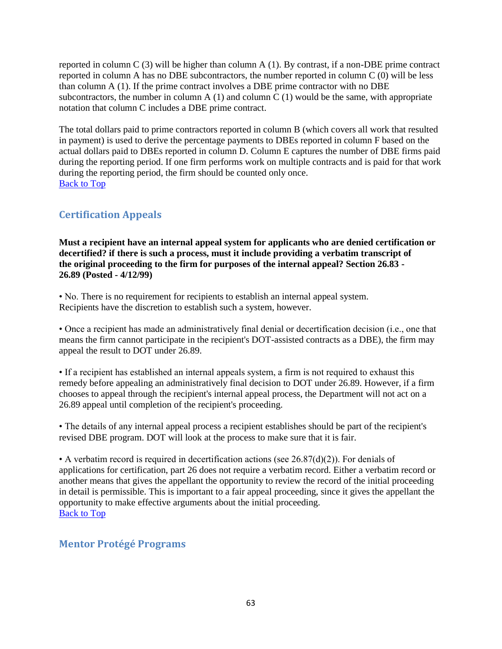reported in column C  $(3)$  will be higher than column A  $(1)$ . By contrast, if a non-DBE prime contract reported in column A has no DBE subcontractors, the number reported in column C (0) will be less than column A (1). If the prime contract involves a DBE prime contractor with no DBE subcontractors, the number in column A  $(1)$  and column C  $(1)$  would be the same, with appropriate notation that column C includes a DBE prime contract.

The total dollars paid to prime contractors reported in column B (which covers all work that resulted in payment) is used to derive the percentage payments to DBEs reported in column F based on the actual dollars paid to DBEs reported in column D. Column E captures the number of DBE firms paid during the reporting period. If one firm performs work on multiple contracts and is paid for that work during the reporting period, the firm should be counted only once. [Back to Top](#page-0-0)

# **Certification Appeals**

**Must a recipient have an internal appeal system for applicants who are denied certification or decertified? if there is such a process, must it include providing a verbatim transcript of the original proceeding to the firm for purposes of the internal appeal? Section 26.83 - 26.89 (Posted - 4/12/99)** 

• No. There is no requirement for recipients to establish an internal appeal system. Recipients have the discretion to establish such a system, however.

• Once a recipient has made an administratively final denial or decertification decision (i.e., one that means the firm cannot participate in the recipient's DOT-assisted contracts as a DBE), the firm may appeal the result to DOT under 26.89.

• If a recipient has established an internal appeals system, a firm is not required to exhaust this remedy before appealing an administratively final decision to DOT under 26.89. However, if a firm chooses to appeal through the recipient's internal appeal process, the Department will not act on a 26.89 appeal until completion of the recipient's proceeding.

• The details of any internal appeal process a recipient establishes should be part of the recipient's revised DBE program. DOT will look at the process to make sure that it is fair.

• A verbatim record is required in decertification actions (see  $26.87(d)(2)$ ). For denials of applications for certification, part 26 does not require a verbatim record. Either a verbatim record or another means that gives the appellant the opportunity to review the record of the initial proceeding in detail is permissible. This is important to a fair appeal proceeding, since it gives the appellant the opportunity to make effective arguments about the initial proceeding. [Back to Top](#page-0-0)

# **Mentor Protégé Programs**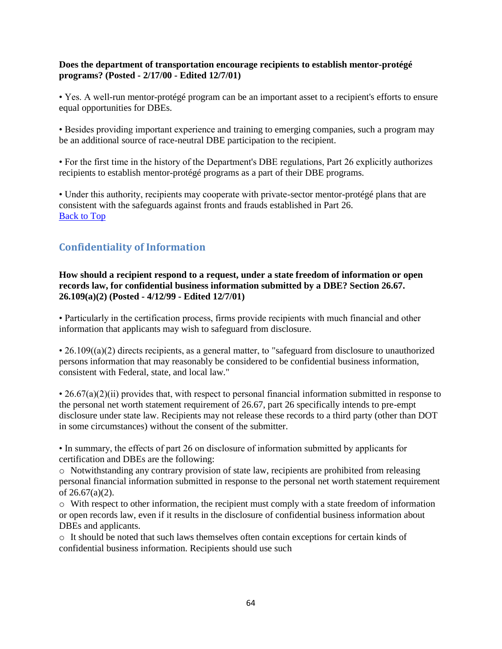## **Does the department of transportation encourage recipients to establish mentor-protégé programs? (Posted - 2/17/00 - Edited 12/7/01)**

• Yes. A well-run mentor-protégé program can be an important asset to a recipient's efforts to ensure equal opportunities for DBEs.

• Besides providing important experience and training to emerging companies, such a program may be an additional source of race-neutral DBE participation to the recipient.

• For the first time in the history of the Department's DBE regulations, Part 26 explicitly authorizes recipients to establish mentor-protégé programs as a part of their DBE programs.

• Under this authority, recipients may cooperate with private-sector mentor-protégé plans that are consistent with the safeguards against fronts and frauds established in Part 26. [Back to Top](#page-0-0)

# **Confidentiality of Information**

**How should a recipient respond to a request, under a state freedom of information or open records law, for confidential business information submitted by a DBE? Section 26.67. 26.109(a)(2) (Posted - 4/12/99 - Edited 12/7/01)** 

• Particularly in the certification process, firms provide recipients with much financial and other information that applicants may wish to safeguard from disclosure.

• 26.109((a)(2) directs recipients, as a general matter, to "safeguard from disclosure to unauthorized persons information that may reasonably be considered to be confidential business information, consistent with Federal, state, and local law."

 $\cdot$  26.67(a)(2)(ii) provides that, with respect to personal financial information submitted in response to the personal net worth statement requirement of 26.67, part 26 specifically intends to pre-empt disclosure under state law. Recipients may not release these records to a third party (other than DOT in some circumstances) without the consent of the submitter.

• In summary, the effects of part 26 on disclosure of information submitted by applicants for certification and DBEs are the following:

 $\circ$  Notwithstanding any contrary provision of state law, recipients are prohibited from releasing personal financial information submitted in response to the personal net worth statement requirement of 26.67(a)(2).

o With respect to other information, the recipient must comply with a state freedom of information or open records law, even if it results in the disclosure of confidential business information about DBEs and applicants.

o It should be noted that such laws themselves often contain exceptions for certain kinds of confidential business information. Recipients should use such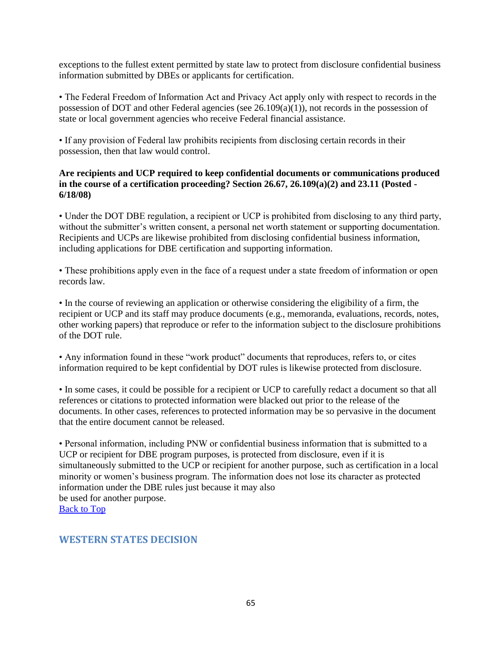exceptions to the fullest extent permitted by state law to protect from disclosure confidential business information submitted by DBEs or applicants for certification.

• The Federal Freedom of Information Act and Privacy Act apply only with respect to records in the possession of DOT and other Federal agencies (see 26.109(a)(1)), not records in the possession of state or local government agencies who receive Federal financial assistance.

• If any provision of Federal law prohibits recipients from disclosing certain records in their possession, then that law would control.

## **Are recipients and UCP required to keep confidential documents or communications produced in the course of a certification proceeding? Section 26.67, 26.109(a)(2) and 23.11 (Posted - 6/18/08)**

• Under the DOT DBE regulation, a recipient or UCP is prohibited from disclosing to any third party, without the submitter's written consent, a personal net worth statement or supporting documentation. Recipients and UCPs are likewise prohibited from disclosing confidential business information, including applications for DBE certification and supporting information.

• These prohibitions apply even in the face of a request under a state freedom of information or open records law.

• In the course of reviewing an application or otherwise considering the eligibility of a firm, the recipient or UCP and its staff may produce documents (e.g., memoranda, evaluations, records, notes, other working papers) that reproduce or refer to the information subject to the disclosure prohibitions of the DOT rule.

• Any information found in these "work product" documents that reproduces, refers to, or cites information required to be kept confidential by DOT rules is likewise protected from disclosure.

• In some cases, it could be possible for a recipient or UCP to carefully redact a document so that all references or citations to protected information were blacked out prior to the release of the documents. In other cases, references to protected information may be so pervasive in the document that the entire document cannot be released.

• Personal information, including PNW or confidential business information that is submitted to a UCP or recipient for DBE program purposes, is protected from disclosure, even if it is simultaneously submitted to the UCP or recipient for another purpose, such as certification in a local minority or women's business program. The information does not lose its character as protected information under the DBE rules just because it may also be used for another purpose. [Back to Top](#page-0-0)

# **WESTERN STATES DECISION**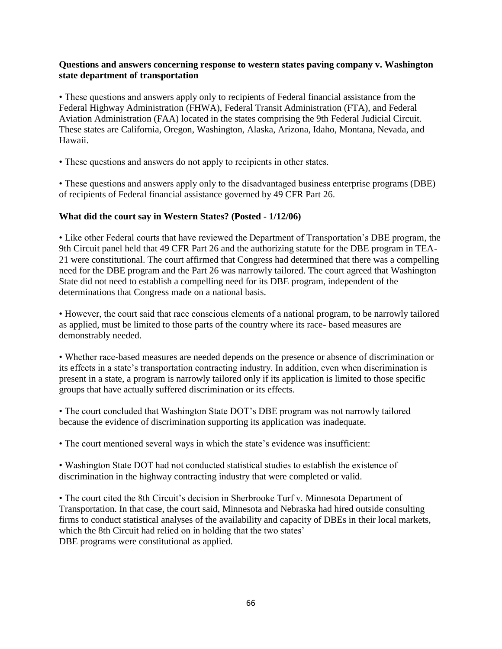## **Questions and answers concerning response to western states paving company v. Washington state department of transportation**

• These questions and answers apply only to recipients of Federal financial assistance from the Federal Highway Administration (FHWA), Federal Transit Administration (FTA), and Federal Aviation Administration (FAA) located in the states comprising the 9th Federal Judicial Circuit. These states are California, Oregon, Washington, Alaska, Arizona, Idaho, Montana, Nevada, and Hawaii.

• These questions and answers do not apply to recipients in other states.

• These questions and answers apply only to the disadvantaged business enterprise programs (DBE) of recipients of Federal financial assistance governed by 49 CFR Part 26.

## **What did the court say in Western States? (Posted - 1/12/06)**

• Like other Federal courts that have reviewed the Department of Transportation's DBE program, the 9th Circuit panel held that 49 CFR Part 26 and the authorizing statute for the DBE program in TEA-21 were constitutional. The court affirmed that Congress had determined that there was a compelling need for the DBE program and the Part 26 was narrowly tailored. The court agreed that Washington State did not need to establish a compelling need for its DBE program, independent of the determinations that Congress made on a national basis.

• However, the court said that race conscious elements of a national program, to be narrowly tailored as applied, must be limited to those parts of the country where its race- based measures are demonstrably needed.

• Whether race-based measures are needed depends on the presence or absence of discrimination or its effects in a state's transportation contracting industry. In addition, even when discrimination is present in a state, a program is narrowly tailored only if its application is limited to those specific groups that have actually suffered discrimination or its effects.

• The court concluded that Washington State DOT's DBE program was not narrowly tailored because the evidence of discrimination supporting its application was inadequate.

• The court mentioned several ways in which the state's evidence was insufficient:

• Washington State DOT had not conducted statistical studies to establish the existence of discrimination in the highway contracting industry that were completed or valid.

• The court cited the 8th Circuit's decision in Sherbrooke Turf v. Minnesota Department of Transportation. In that case, the court said, Minnesota and Nebraska had hired outside consulting firms to conduct statistical analyses of the availability and capacity of DBEs in their local markets, which the 8th Circuit had relied on in holding that the two states' DBE programs were constitutional as applied.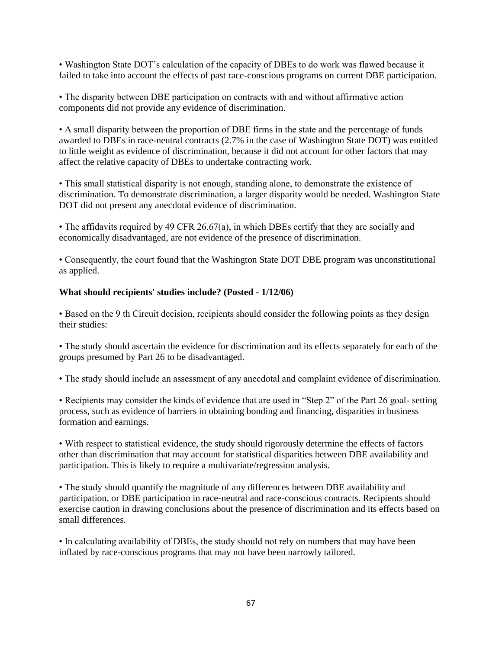• Washington State DOT's calculation of the capacity of DBEs to do work was flawed because it failed to take into account the effects of past race-conscious programs on current DBE participation.

• The disparity between DBE participation on contracts with and without affirmative action components did not provide any evidence of discrimination.

• A small disparity between the proportion of DBE firms in the state and the percentage of funds awarded to DBEs in race-neutral contracts (2.7% in the case of Washington State DOT) was entitled to little weight as evidence of discrimination, because it did not account for other factors that may affect the relative capacity of DBEs to undertake contracting work.

• This small statistical disparity is not enough, standing alone, to demonstrate the existence of discrimination. To demonstrate discrimination, a larger disparity would be needed. Washington State DOT did not present any anecdotal evidence of discrimination.

• The affidavits required by 49 CFR 26.67(a), in which DBEs certify that they are socially and economically disadvantaged, are not evidence of the presence of discrimination.

• Consequently, the court found that the Washington State DOT DBE program was unconstitutional as applied.

# **What should recipients' studies include? (Posted - 1/12/06)**

• Based on the 9 th Circuit decision, recipients should consider the following points as they design their studies:

• The study should ascertain the evidence for discrimination and its effects separately for each of the groups presumed by Part 26 to be disadvantaged.

• The study should include an assessment of any anecdotal and complaint evidence of discrimination.

• Recipients may consider the kinds of evidence that are used in "Step 2" of the Part 26 goal- setting process, such as evidence of barriers in obtaining bonding and financing, disparities in business formation and earnings.

• With respect to statistical evidence, the study should rigorously determine the effects of factors other than discrimination that may account for statistical disparities between DBE availability and participation. This is likely to require a multivariate/regression analysis.

• The study should quantify the magnitude of any differences between DBE availability and participation, or DBE participation in race-neutral and race-conscious contracts. Recipients should exercise caution in drawing conclusions about the presence of discrimination and its effects based on small differences.

• In calculating availability of DBEs, the study should not rely on numbers that may have been inflated by race-conscious programs that may not have been narrowly tailored.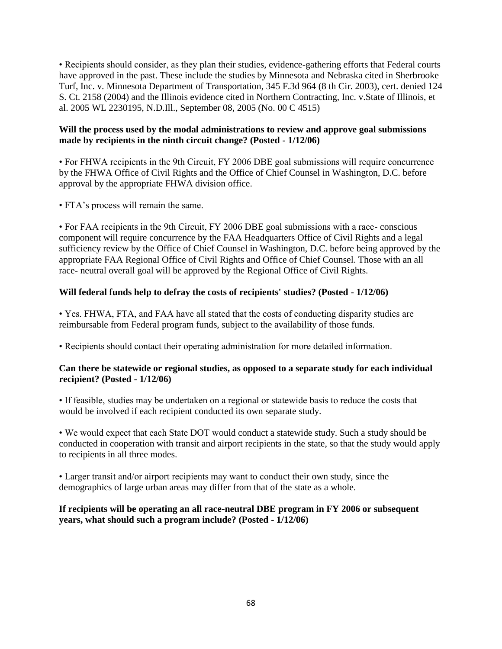• Recipients should consider, as they plan their studies, evidence-gathering efforts that Federal courts have approved in the past. These include the studies by Minnesota and Nebraska cited in Sherbrooke Turf, Inc. v. Minnesota Department of Transportation, 345 F.3d 964 (8 th Cir. 2003), cert. denied 124 S. Ct. 2158 (2004) and the Illinois evidence cited in Northern Contracting, Inc. v.State of Illinois, et al. 2005 WL 2230195, N.D.Ill., September 08, 2005 (No. 00 C 4515)

## **Will the process used by the modal administrations to review and approve goal submissions made by recipients in the ninth circuit change? (Posted - 1/12/06)**

• For FHWA recipients in the 9th Circuit, FY 2006 DBE goal submissions will require concurrence by the FHWA Office of Civil Rights and the Office of Chief Counsel in Washington, D.C. before approval by the appropriate FHWA division office.

• FTA's process will remain the same.

• For FAA recipients in the 9th Circuit, FY 2006 DBE goal submissions with a race- conscious component will require concurrence by the FAA Headquarters Office of Civil Rights and a legal sufficiency review by the Office of Chief Counsel in Washington, D.C. before being approved by the appropriate FAA Regional Office of Civil Rights and Office of Chief Counsel. Those with an all race- neutral overall goal will be approved by the Regional Office of Civil Rights.

# **Will federal funds help to defray the costs of recipients' studies? (Posted - 1/12/06)**

• Yes. FHWA, FTA, and FAA have all stated that the costs of conducting disparity studies are reimbursable from Federal program funds, subject to the availability of those funds.

• Recipients should contact their operating administration for more detailed information.

## **Can there be statewide or regional studies, as opposed to a separate study for each individual recipient? (Posted - 1/12/06)**

• If feasible, studies may be undertaken on a regional or statewide basis to reduce the costs that would be involved if each recipient conducted its own separate study.

• We would expect that each State DOT would conduct a statewide study. Such a study should be conducted in cooperation with transit and airport recipients in the state, so that the study would apply to recipients in all three modes.

• Larger transit and/or airport recipients may want to conduct their own study, since the demographics of large urban areas may differ from that of the state as a whole.

# **If recipients will be operating an all race-neutral DBE program in FY 2006 or subsequent years, what should such a program include? (Posted - 1/12/06)**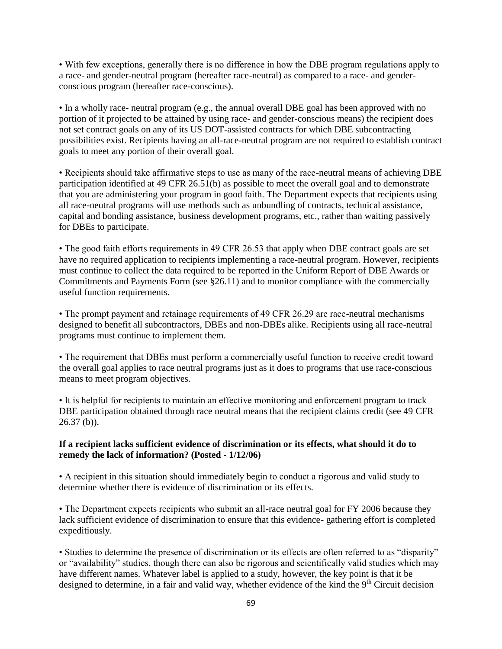• With few exceptions, generally there is no difference in how the DBE program regulations apply to a race- and gender-neutral program (hereafter race-neutral) as compared to a race- and genderconscious program (hereafter race-conscious).

• In a wholly race- neutral program (e.g., the annual overall DBE goal has been approved with no portion of it projected to be attained by using race- and gender-conscious means) the recipient does not set contract goals on any of its US DOT-assisted contracts for which DBE subcontracting possibilities exist. Recipients having an all-race-neutral program are not required to establish contract goals to meet any portion of their overall goal.

• Recipients should take affirmative steps to use as many of the race-neutral means of achieving DBE participation identified at 49 CFR 26.51(b) as possible to meet the overall goal and to demonstrate that you are administering your program in good faith. The Department expects that recipients using all race-neutral programs will use methods such as unbundling of contracts, technical assistance, capital and bonding assistance, business development programs, etc., rather than waiting passively for DBEs to participate.

• The good faith efforts requirements in 49 CFR 26.53 that apply when DBE contract goals are set have no required application to recipients implementing a race-neutral program. However, recipients must continue to collect the data required to be reported in the Uniform Report of DBE Awards or Commitments and Payments Form (see §26.11) and to monitor compliance with the commercially useful function requirements.

• The prompt payment and retainage requirements of 49 CFR 26.29 are race-neutral mechanisms designed to benefit all subcontractors, DBEs and non-DBEs alike. Recipients using all race-neutral programs must continue to implement them.

• The requirement that DBEs must perform a commercially useful function to receive credit toward the overall goal applies to race neutral programs just as it does to programs that use race-conscious means to meet program objectives.

• It is helpful for recipients to maintain an effective monitoring and enforcement program to track DBE participation obtained through race neutral means that the recipient claims credit (see 49 CFR  $26.37$  (b)).

## **If a recipient lacks sufficient evidence of discrimination or its effects, what should it do to remedy the lack of information? (Posted - 1/12/06)**

• A recipient in this situation should immediately begin to conduct a rigorous and valid study to determine whether there is evidence of discrimination or its effects.

• The Department expects recipients who submit an all-race neutral goal for FY 2006 because they lack sufficient evidence of discrimination to ensure that this evidence- gathering effort is completed expeditiously.

• Studies to determine the presence of discrimination or its effects are often referred to as "disparity" or "availability" studies, though there can also be rigorous and scientifically valid studies which may have different names. Whatever label is applied to a study, however, the key point is that it be designed to determine, in a fair and valid way, whether evidence of the kind the  $9<sup>th</sup>$  Circuit decision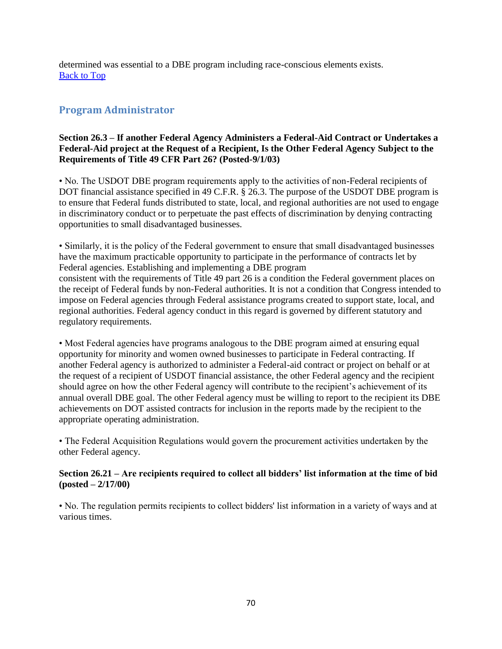determined was essential to a DBE program including race-conscious elements exists. [Back to Top](#page-0-0)

# **Program Administrator**

## **Section 26.3 – If another Federal Agency Administers a Federal-Aid Contract or Undertakes a Federal-Aid project at the Request of a Recipient, Is the Other Federal Agency Subject to the Requirements of Title 49 CFR Part 26? (Posted-9/1/03)**

• No. The USDOT DBE program requirements apply to the activities of non-Federal recipients of DOT financial assistance specified in 49 C.F.R. § 26.3. The purpose of the USDOT DBE program is to ensure that Federal funds distributed to state, local, and regional authorities are not used to engage in discriminatory conduct or to perpetuate the past effects of discrimination by denying contracting opportunities to small disadvantaged businesses.

• Similarly, it is the policy of the Federal government to ensure that small disadvantaged businesses have the maximum practicable opportunity to participate in the performance of contracts let by Federal agencies. Establishing and implementing a DBE program consistent with the requirements of Title 49 part 26 is a condition the Federal government places on the receipt of Federal funds by non-Federal authorities. It is not a condition that Congress intended to impose on Federal agencies through Federal assistance programs created to support state, local, and regional authorities. Federal agency conduct in this regard is governed by different statutory and regulatory requirements.

• Most Federal agencies have programs analogous to the DBE program aimed at ensuring equal opportunity for minority and women owned businesses to participate in Federal contracting. If another Federal agency is authorized to administer a Federal-aid contract or project on behalf or at the request of a recipient of USDOT financial assistance, the other Federal agency and the recipient should agree on how the other Federal agency will contribute to the recipient's achievement of its annual overall DBE goal. The other Federal agency must be willing to report to the recipient its DBE achievements on DOT assisted contracts for inclusion in the reports made by the recipient to the appropriate operating administration.

• The Federal Acquisition Regulations would govern the procurement activities undertaken by the other Federal agency.

## **Section 26.21 – Are recipients required to collect all bidders' list information at the time of bid (posted – 2/17/00)**

• No. The regulation permits recipients to collect bidders' list information in a variety of ways and at various times.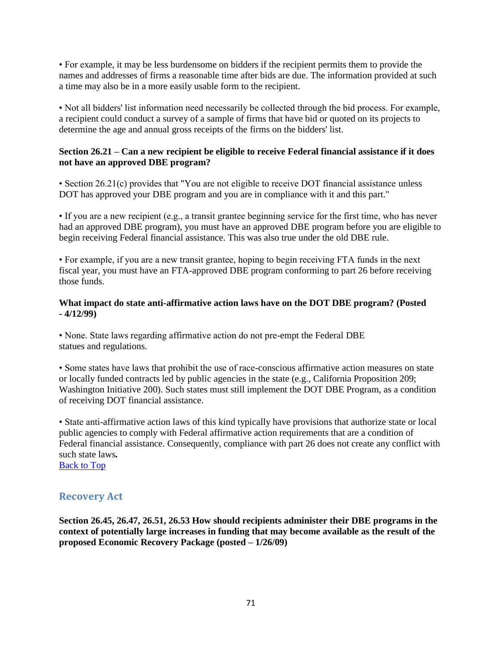• For example, it may be less burdensome on bidders if the recipient permits them to provide the names and addresses of firms a reasonable time after bids are due. The information provided at such a time may also be in a more easily usable form to the recipient.

• Not all bidders' list information need necessarily be collected through the bid process. For example, a recipient could conduct a survey of a sample of firms that have bid or quoted on its projects to determine the age and annual gross receipts of the firms on the bidders' list.

## **Section 26.21 – Can a new recipient be eligible to receive Federal financial assistance if it does not have an approved DBE program?**

• Section 26.21(c) provides that "You are not eligible to receive DOT financial assistance unless DOT has approved your DBE program and you are in compliance with it and this part."

• If you are a new recipient (e.g., a transit grantee beginning service for the first time, who has never had an approved DBE program), you must have an approved DBE program before you are eligible to begin receiving Federal financial assistance. This was also true under the old DBE rule.

• For example, if you are a new transit grantee, hoping to begin receiving FTA funds in the next fiscal year, you must have an FTA-approved DBE program conforming to part 26 before receiving those funds.

## **What impact do state anti-affirmative action laws have on the DOT DBE program? (Posted - 4/12/99)**

• None. State laws regarding affirmative action do not pre-empt the Federal DBE statues and regulations.

• Some states have laws that prohibit the use of race-conscious affirmative action measures on state or locally funded contracts led by public agencies in the state (e.g., California Proposition 209; Washington Initiative 200). Such states must still implement the DOT DBE Program, as a condition of receiving DOT financial assistance.

• State anti-affirmative action laws of this kind typically have provisions that authorize state or local public agencies to comply with Federal affirmative action requirements that are a condition of Federal financial assistance. Consequently, compliance with part 26 does not create any conflict with such state laws*.* 

[Back to Top](#page-0-0)

# **Recovery Act**

**Section 26.45, 26.47, 26.51, 26.53 How should recipients administer their DBE programs in the context of potentially large increases in funding that may become available as the result of the proposed Economic Recovery Package (posted – 1/26/09)**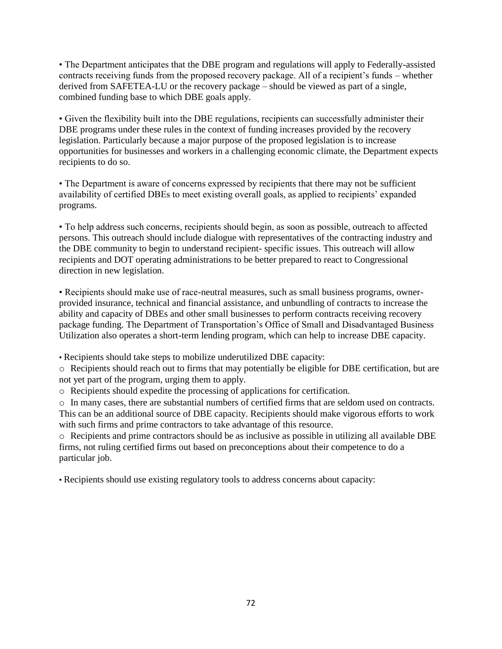• The Department anticipates that the DBE program and regulations will apply to Federally-assisted contracts receiving funds from the proposed recovery package. All of a recipient's funds – whether derived from SAFETEA-LU or the recovery package – should be viewed as part of a single, combined funding base to which DBE goals apply.

• Given the flexibility built into the DBE regulations, recipients can successfully administer their DBE programs under these rules in the context of funding increases provided by the recovery legislation. Particularly because a major purpose of the proposed legislation is to increase opportunities for businesses and workers in a challenging economic climate, the Department expects recipients to do so.

• The Department is aware of concerns expressed by recipients that there may not be sufficient availability of certified DBEs to meet existing overall goals, as applied to recipients' expanded programs.

• To help address such concerns, recipients should begin, as soon as possible, outreach to affected persons. This outreach should include dialogue with representatives of the contracting industry and the DBE community to begin to understand recipient- specific issues. This outreach will allow recipients and DOT operating administrations to be better prepared to react to Congressional direction in new legislation.

• Recipients should make use of race-neutral measures, such as small business programs, ownerprovided insurance, technical and financial assistance, and unbundling of contracts to increase the ability and capacity of DBEs and other small businesses to perform contracts receiving recovery package funding. The Department of Transportation's Office of Small and Disadvantaged Business Utilization also operates a short-term lending program, which can help to increase DBE capacity.

• Recipients should take steps to mobilize underutilized DBE capacity:

o Recipients should reach out to firms that may potentially be eligible for DBE certification, but are not yet part of the program, urging them to apply.

o Recipients should expedite the processing of applications for certification.

o In many cases, there are substantial numbers of certified firms that are seldom used on contracts. This can be an additional source of DBE capacity. Recipients should make vigorous efforts to work with such firms and prime contractors to take advantage of this resource.

o Recipients and prime contractors should be as inclusive as possible in utilizing all available DBE firms, not ruling certified firms out based on preconceptions about their competence to do a particular job.

• Recipients should use existing regulatory tools to address concerns about capacity: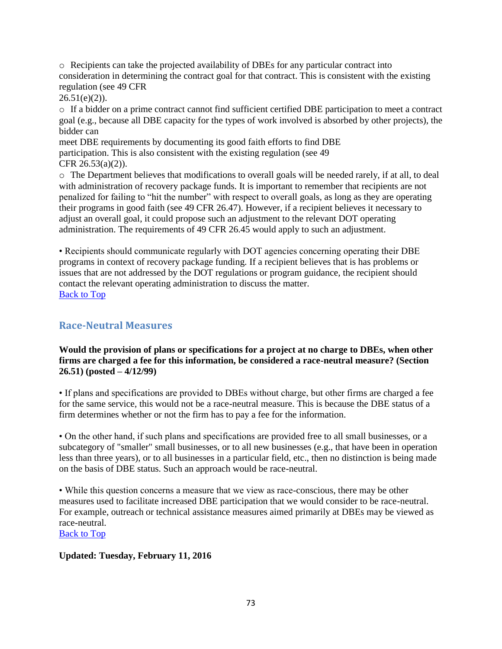o Recipients can take the projected availability of DBEs for any particular contract into consideration in determining the contract goal for that contract. This is consistent with the existing regulation (see 49 CFR

 $26.51(e)(2)$ ).

o If a bidder on a prime contract cannot find sufficient certified DBE participation to meet a contract goal (e.g., because all DBE capacity for the types of work involved is absorbed by other projects), the bidder can

meet DBE requirements by documenting its good faith efforts to find DBE participation. This is also consistent with the existing regulation (see 49 CFR 26.53(a)(2)).

o The Department believes that modifications to overall goals will be needed rarely, if at all, to deal with administration of recovery package funds. It is important to remember that recipients are not penalized for failing to "hit the number" with respect to overall goals, as long as they are operating their programs in good faith (see 49 CFR 26.47). However, if a recipient believes it necessary to adjust an overall goal, it could propose such an adjustment to the relevant DOT operating administration. The requirements of 49 CFR 26.45 would apply to such an adjustment.

• Recipients should communicate regularly with DOT agencies concerning operating their DBE programs in context of recovery package funding. If a recipient believes that is has problems or issues that are not addressed by the DOT regulations or program guidance, the recipient should contact the relevant operating administration to discuss the matter. [Back to Top](#page-0-0)

## **Race-Neutral Measures**

## **Would the provision of plans or specifications for a project at no charge to DBEs, when other firms are charged a fee for this information, be considered a race-neutral measure? (Section 26.51) (posted – 4/12/99)**

• If plans and specifications are provided to DBEs without charge, but other firms are charged a fee for the same service, this would not be a race-neutral measure. This is because the DBE status of a firm determines whether or not the firm has to pay a fee for the information.

• On the other hand, if such plans and specifications are provided free to all small businesses, or a subcategory of "smaller" small businesses, or to all new businesses (e.g., that have been in operation less than three years), or to all businesses in a particular field, etc., then no distinction is being made on the basis of DBE status. Such an approach would be race-neutral.

• While this question concerns a measure that we view as race-conscious, there may be other measures used to facilitate increased DBE participation that we would consider to be race-neutral. For example, outreach or technical assistance measures aimed primarily at DBEs may be viewed as race-neutral.

[Back to Top](#page-0-0)

## **Updated: Tuesday, February 11, 2016**